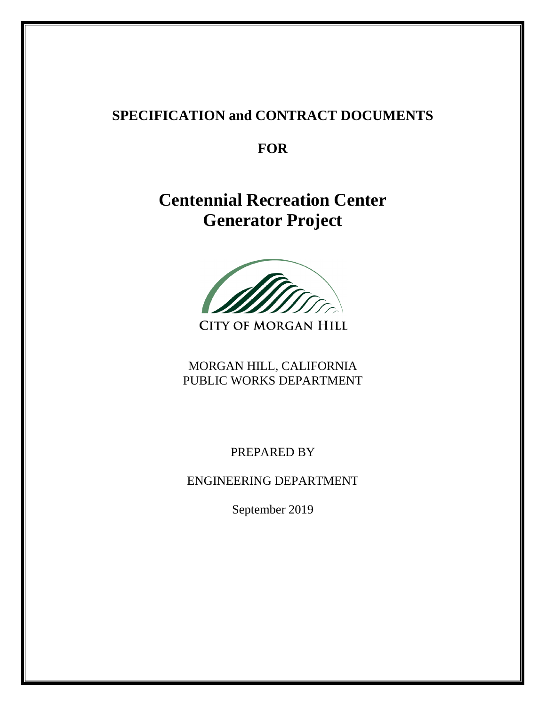# **SPECIFICATION and CONTRACT DOCUMENTS**

**FOR** 

**Centennial Recreation Center Generator Project** 

**CITY OF MORGAN HILL** 

MORGAN HILL, CALIFORNIA PUBLIC WORKS DEPARTMENT

PREPARED BY

ENGINEERING DEPARTMENT

September 2019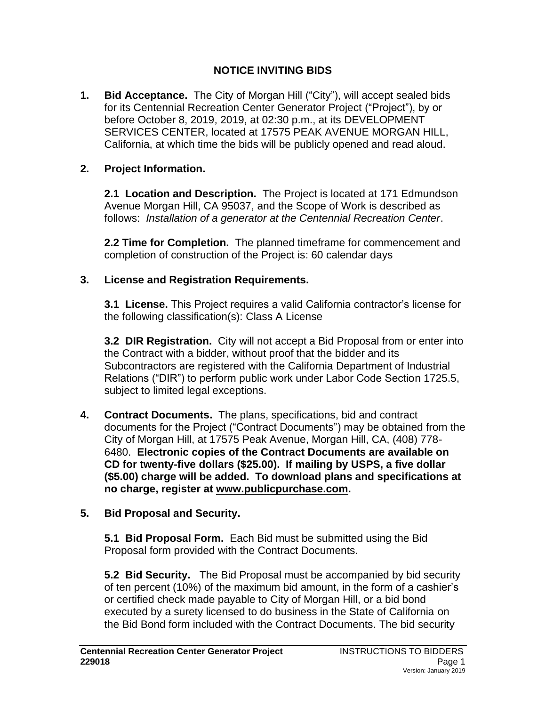# **NOTICE INVITING BIDS**

**1. Bid Acceptance.** The City of Morgan Hill ("City"), will accept sealed bids for its Centennial Recreation Center Generator Project ("Project"), by or before October 8, 2019, 2019, at 02:30 p.m., at its DEVELOPMENT SERVICES CENTER, located at 17575 PEAK AVENUE MORGAN HILL, California, at which time the bids will be publicly opened and read aloud.

# **2. Project Information.**

**2.1 Location and Description.** The Project is located at 171 Edmundson Avenue Morgan Hill, CA 95037, and the Scope of Work is described as follows: *Installation of a generator at the Centennial Recreation Center*.

**2.2 Time for Completion.** The planned timeframe for commencement and completion of construction of the Project is: 60 calendar days

## **3. License and Registration Requirements.**

**3.1 License.** This Project requires a valid California contractor's license for the following classification(s): Class A License

**3.2 DIR Registration.** City will not accept a Bid Proposal from or enter into the Contract with a bidder, without proof that the bidder and its Subcontractors are registered with the California Department of Industrial Relations ("DIR") to perform public work under Labor Code Section 1725.5, subject to limited legal exceptions.

**4. Contract Documents.** The plans, specifications, bid and contract documents for the Project ("Contract Documents") may be obtained from the City of Morgan Hill, at 17575 Peak Avenue, Morgan Hill, CA, (408) 778- 6480. **Electronic copies of the Contract Documents are available on CD for twenty-five dollars (\$25.00). If mailing by USPS, a five dollar (\$5.00) charge will be added. To download plans and specifications at no charge, register at [www.publicpurchase.com.](http://www.publicpurchase.com/)**

## **5. Bid Proposal and Security.**

**5.1 Bid Proposal Form.** Each Bid must be submitted using the Bid Proposal form provided with the Contract Documents.

**5.2 Bid Security.** The Bid Proposal must be accompanied by bid security of ten percent (10%) of the maximum bid amount, in the form of a cashier's or certified check made payable to City of Morgan Hill, or a bid bond executed by a surety licensed to do business in the State of California on the Bid Bond form included with the Contract Documents. The bid security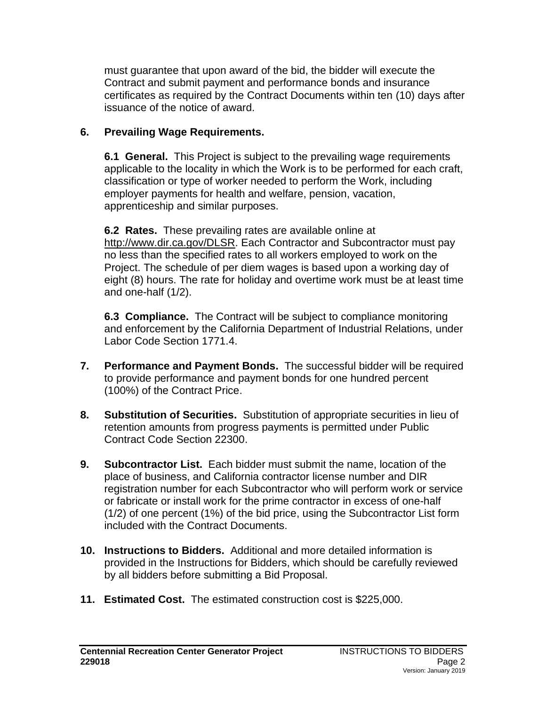must guarantee that upon award of the bid, the bidder will execute the Contract and submit payment and performance bonds and insurance certificates as required by the Contract Documents within ten (10) days after issuance of the notice of award.

# **6. Prevailing Wage Requirements.**

**6.1 General.**This Project is subject to the prevailing wage requirements applicable to the locality in which the Work is to be performed for each craft, classification or type of worker needed to perform the Work, including employer payments for health and welfare, pension, vacation, apprenticeship and similar purposes.

**6.2 Rates.**These prevailing rates are available online at [http://www.dir.ca.gov/DLSR.](http://www.dir.ca.gov/DLSR) Each Contractor and Subcontractor must pay no less than the specified rates to all workers employed to work on the Project. The schedule of per diem wages is based upon a working day of eight (8) hours. The rate for holiday and overtime work must be at least time and one-half (1/2).

**6.3 Compliance.** The Contract will be subject to compliance monitoring and enforcement by the California Department of Industrial Relations, under Labor Code Section 1771.4.

- **7. Performance and Payment Bonds.** The successful bidder will be required to provide performance and payment bonds for one hundred percent (100%) of the Contract Price.
- **8. Substitution of Securities.** Substitution of appropriate securities in lieu of retention amounts from progress payments is permitted under Public Contract Code Section 22300.
- **9. Subcontractor List.** Each bidder must submit the name, location of the place of business, and California contractor license number and DIR registration number for each Subcontractor who will perform work or service or fabricate or install work for the prime contractor in excess of one-half (1/2) of one percent (1%) of the bid price, using the Subcontractor List form included with the Contract Documents.
- **10. Instructions to Bidders.** Additional and more detailed information is provided in the Instructions for Bidders, which should be carefully reviewed by all bidders before submitting a Bid Proposal.
- **11. Estimated Cost.** The estimated construction cost is \$225,000.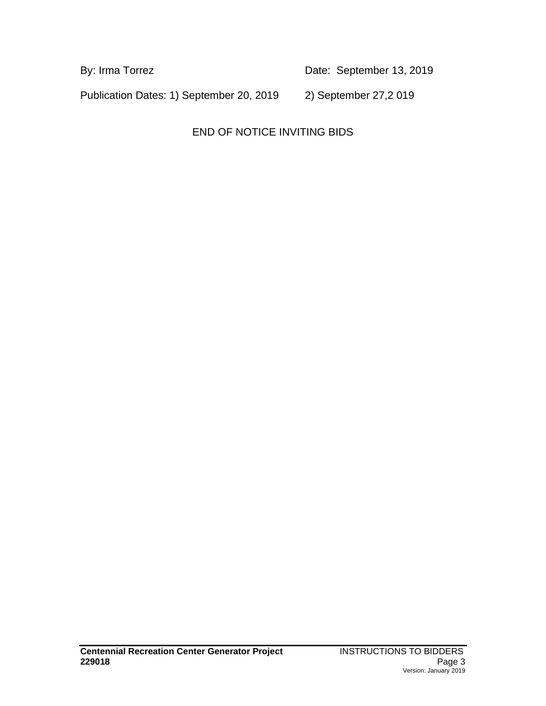By: Irma Torrez **Date:** September 13, 2019

Publication Dates: 1) September 20, 2019 2) September 27,2 019

END OF NOTICE INVITING BIDS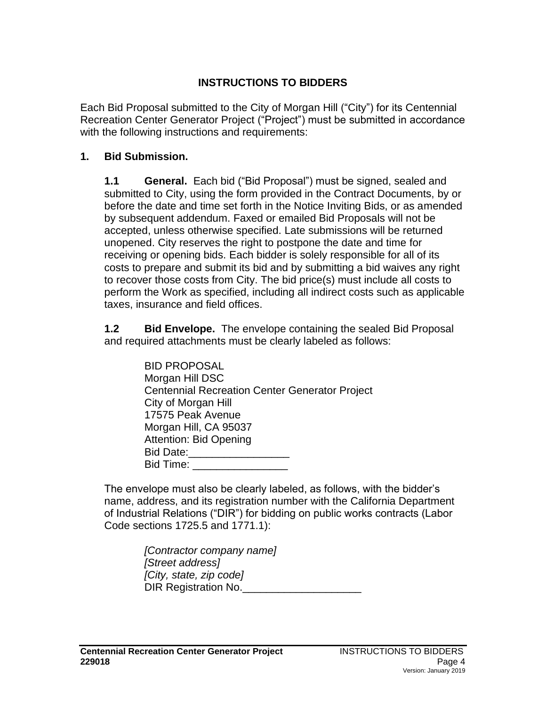# **INSTRUCTIONS TO BIDDERS**

Each Bid Proposal submitted to the City of Morgan Hill ("City") for its Centennial Recreation Center Generator Project ("Project") must be submitted in accordance with the following instructions and requirements:

#### **1. Bid Submission.**

**1.1 General.** Each bid ("Bid Proposal") must be signed, sealed and submitted to City, using the form provided in the Contract Documents, by or before the date and time set forth in the Notice Inviting Bids, or as amended by subsequent addendum. Faxed or emailed Bid Proposals will not be accepted, unless otherwise specified. Late submissions will be returned unopened. City reserves the right to postpone the date and time for receiving or opening bids. Each bidder is solely responsible for all of its costs to prepare and submit its bid and by submitting a bid waives any right to recover those costs from City. The bid price(s) must include all costs to perform the Work as specified, including all indirect costs such as applicable taxes, insurance and field offices.

**1.2 Bid Envelope.** The envelope containing the sealed Bid Proposal and required attachments must be clearly labeled as follows:

| <b>BID PROPOSAL</b>                                   |
|-------------------------------------------------------|
| Morgan Hill DSC                                       |
| <b>Centennial Recreation Center Generator Project</b> |
| City of Morgan Hill                                   |
| 17575 Peak Avenue                                     |
| Morgan Hill, CA 95037                                 |
| <b>Attention: Bid Opening</b>                         |
| Bid Date:                                             |
| Bid Time:                                             |
|                                                       |

The envelope must also be clearly labeled, as follows, with the bidder's name, address, and its registration number with the California Department of Industrial Relations ("DIR") for bidding on public works contracts (Labor Code sections 1725.5 and 1771.1):

> *[Contractor company name] [Street address] [City, state, zip code]* DIR Registration No.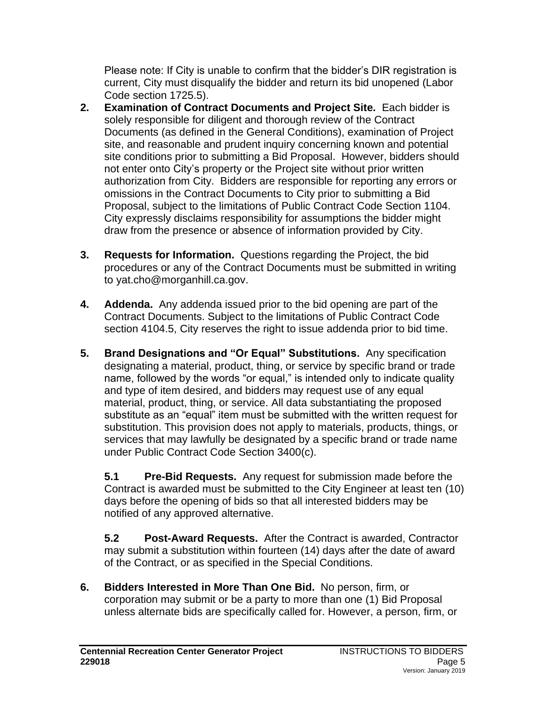Please note: If City is unable to confirm that the bidder's DIR registration is current, City must disqualify the bidder and return its bid unopened (Labor Code section 1725.5).

- **2. Examination of Contract Documents and Project Site.** Each bidder is solely responsible for diligent and thorough review of the Contract Documents (as defined in the General Conditions), examination of Project site, and reasonable and prudent inquiry concerning known and potential site conditions prior to submitting a Bid Proposal. However, bidders should not enter onto City's property or the Project site without prior written authorization from City. Bidders are responsible for reporting any errors or omissions in the Contract Documents to City prior to submitting a Bid Proposal, subject to the limitations of Public Contract Code Section 1104. City expressly disclaims responsibility for assumptions the bidder might draw from the presence or absence of information provided by City.
- **3. Requests for Information.** Questions regarding the Project, the bid procedures or any of the Contract Documents must be submitted in writing to yat.cho@morganhill.ca.gov.
- **4. Addenda.** Any addenda issued prior to the bid opening are part of the Contract Documents. Subject to the limitations of Public Contract Code section 4104.5, City reserves the right to issue addenda prior to bid time.
- **5. Brand Designations and "Or Equal" Substitutions.** Any specification designating a material, product, thing, or service by specific brand or trade name, followed by the words "or equal," is intended only to indicate quality and type of item desired, and bidders may request use of any equal material, product, thing, or service. All data substantiating the proposed substitute as an "equal" item must be submitted with the written request for substitution. This provision does not apply to materials, products, things, or services that may lawfully be designated by a specific brand or trade name under Public Contract Code Section 3400(c).

**5.1 Pre-Bid Requests.** Any request for submission made before the Contract is awarded must be submitted to the City Engineer at least ten (10) days before the opening of bids so that all interested bidders may be notified of any approved alternative.

**5.2 Post-Award Requests.** After the Contract is awarded, Contractor may submit a substitution within fourteen (14) days after the date of award of the Contract, or as specified in the Special Conditions.

**6. Bidders Interested in More Than One Bid.** No person, firm, or corporation may submit or be a party to more than one (1) Bid Proposal unless alternate bids are specifically called for. However, a person, firm, or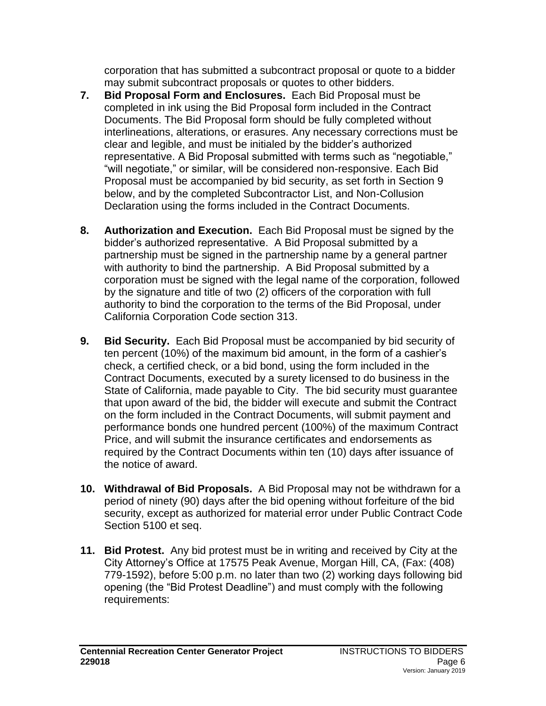corporation that has submitted a subcontract proposal or quote to a bidder may submit subcontract proposals or quotes to other bidders.

- **7. Bid Proposal Form and Enclosures.** Each Bid Proposal must be completed in ink using the Bid Proposal form included in the Contract Documents. The Bid Proposal form should be fully completed without interlineations, alterations, or erasures. Any necessary corrections must be clear and legible, and must be initialed by the bidder's authorized representative. A Bid Proposal submitted with terms such as "negotiable," "will negotiate," or similar, will be considered non-responsive. Each Bid Proposal must be accompanied by bid security, as set forth in Section 9 below, and by the completed Subcontractor List, and Non-Collusion Declaration using the forms included in the Contract Documents.
- **8. Authorization and Execution.** Each Bid Proposal must be signed by the bidder's authorized representative. A Bid Proposal submitted by a partnership must be signed in the partnership name by a general partner with authority to bind the partnership. A Bid Proposal submitted by a corporation must be signed with the legal name of the corporation, followed by the signature and title of two (2) officers of the corporation with full authority to bind the corporation to the terms of the Bid Proposal, under California Corporation Code section 313.
- **9. Bid Security.** Each Bid Proposal must be accompanied by bid security of ten percent (10%) of the maximum bid amount, in the form of a cashier's check, a certified check, or a bid bond, using the form included in the Contract Documents, executed by a surety licensed to do business in the State of California, made payable to City. The bid security must guarantee that upon award of the bid, the bidder will execute and submit the Contract on the form included in the Contract Documents, will submit payment and performance bonds one hundred percent (100%) of the maximum Contract Price, and will submit the insurance certificates and endorsements as required by the Contract Documents within ten (10) days after issuance of the notice of award.
- **10. Withdrawal of Bid Proposals.** A Bid Proposal may not be withdrawn for a period of ninety (90) days after the bid opening without forfeiture of the bid security, except as authorized for material error under Public Contract Code Section 5100 et seq.
- **11. Bid Protest.** Any bid protest must be in writing and received by City at the City Attorney's Office at 17575 Peak Avenue, Morgan Hill, CA, (Fax: (408) 779-1592), before 5:00 p.m. no later than two (2) working days following bid opening (the "Bid Protest Deadline") and must comply with the following requirements: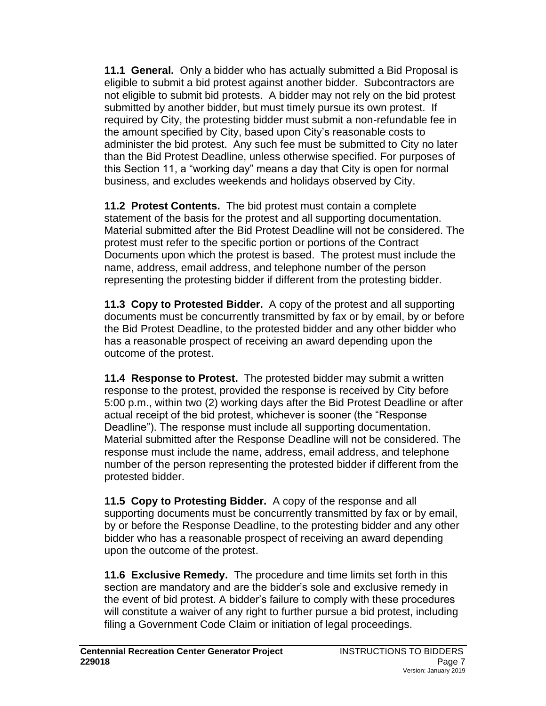**11.1 General.**Only a bidder who has actually submitted a Bid Proposal is eligible to submit a bid protest against another bidder. Subcontractors are not eligible to submit bid protests. A bidder may not rely on the bid protest submitted by another bidder, but must timely pursue its own protest. If required by City, the protesting bidder must submit a non-refundable fee in the amount specified by City, based upon City's reasonable costs to administer the bid protest. Any such fee must be submitted to City no later than the Bid Protest Deadline, unless otherwise specified. For purposes of this Section 11, a "working day" means a day that City is open for normal business, and excludes weekends and holidays observed by City.

**11.2 Protest Contents.** The bid protest must contain a complete statement of the basis for the protest and all supporting documentation. Material submitted after the Bid Protest Deadline will not be considered. The protest must refer to the specific portion or portions of the Contract Documents upon which the protest is based. The protest must include the name, address, email address, and telephone number of the person representing the protesting bidder if different from the protesting bidder.

**11.3 Copy to Protested Bidder.**A copy of the protest and all supporting documents must be concurrently transmitted by fax or by email, by or before the Bid Protest Deadline, to the protested bidder and any other bidder who has a reasonable prospect of receiving an award depending upon the outcome of the protest.

**11.4 Response to Protest.**The protested bidder may submit a written response to the protest, provided the response is received by City before 5:00 p.m., within two (2) working days after the Bid Protest Deadline or after actual receipt of the bid protest, whichever is sooner (the "Response Deadline"). The response must include all supporting documentation. Material submitted after the Response Deadline will not be considered. The response must include the name, address, email address, and telephone number of the person representing the protested bidder if different from the protested bidder.

**11.5 Copy to Protesting Bidder.**A copy of the response and all supporting documents must be concurrently transmitted by fax or by email, by or before the Response Deadline, to the protesting bidder and any other bidder who has a reasonable prospect of receiving an award depending upon the outcome of the protest.

**11.6 Exclusive Remedy.**The procedure and time limits set forth in this section are mandatory and are the bidder's sole and exclusive remedy in the event of bid protest. A bidder's failure to comply with these procedures will constitute a waiver of any right to further pursue a bid protest, including filing a Government Code Claim or initiation of legal proceedings.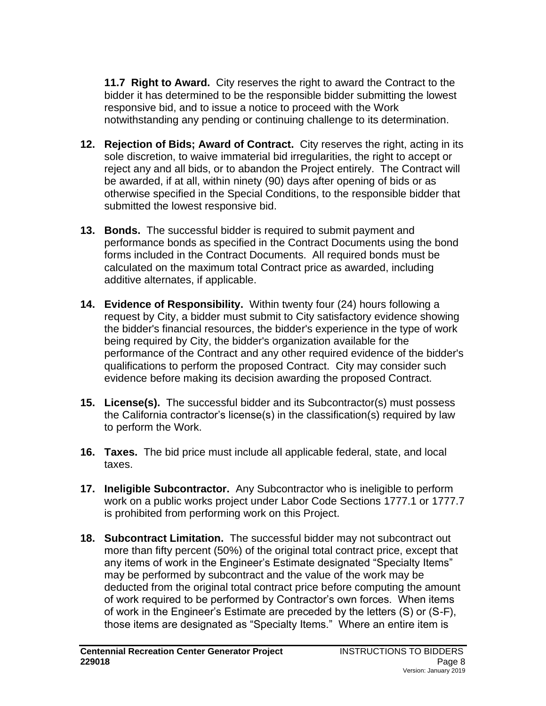**11.7 Right to Award.**City reserves the right to award the Contract to the bidder it has determined to be the responsible bidder submitting the lowest responsive bid, and to issue a notice to proceed with the Work notwithstanding any pending or continuing challenge to its determination.

- **12. Rejection of Bids; Award of Contract.** City reserves the right, acting in its sole discretion, to waive immaterial bid irregularities, the right to accept or reject any and all bids, or to abandon the Project entirely. The Contract will be awarded, if at all, within ninety (90) days after opening of bids or as otherwise specified in the Special Conditions, to the responsible bidder that submitted the lowest responsive bid.
- **13. Bonds.** The successful bidder is required to submit payment and performance bonds as specified in the Contract Documents using the bond forms included in the Contract Documents. All required bonds must be calculated on the maximum total Contract price as awarded, including additive alternates, if applicable.
- **14. Evidence of Responsibility.** Within twenty four (24) hours following a request by City, a bidder must submit to City satisfactory evidence showing the bidder's financial resources, the bidder's experience in the type of work being required by City, the bidder's organization available for the performance of the Contract and any other required evidence of the bidder's qualifications to perform the proposed Contract. City may consider such evidence before making its decision awarding the proposed Contract.
- **15. License(s).** The successful bidder and its Subcontractor(s) must possess the California contractor's license(s) in the classification(s) required by law to perform the Work.
- **16. Taxes.** The bid price must include all applicable federal, state, and local taxes.
- **17. Ineligible Subcontractor.** Any Subcontractor who is ineligible to perform work on a public works project under Labor Code Sections 1777.1 or 1777.7 is prohibited from performing work on this Project.
- **18. Subcontract Limitation.** The successful bidder may not subcontract out more than fifty percent (50%) of the original total contract price, except that any items of work in the Engineer's Estimate designated "Specialty Items" may be performed by subcontract and the value of the work may be deducted from the original total contract price before computing the amount of work required to be performed by Contractor's own forces. When items of work in the Engineer's Estimate are preceded by the letters (S) or (S-F), those items are designated as "Specialty Items." Where an entire item is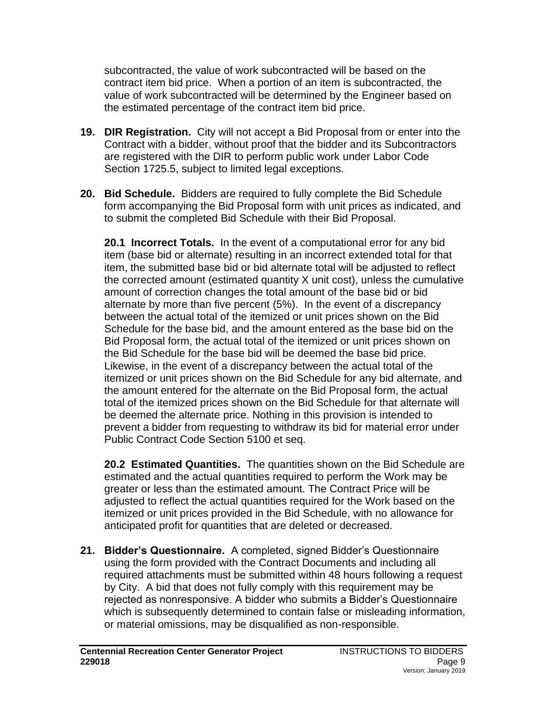subcontracted, the value of work subcontracted will be based on the contract item bid price. When a portion of an item is subcontracted, the value of work subcontracted will be determined by the Engineer based on the estimated percentage of the contract item bid price.

- **19. DIR Registration.** City will not accept a Bid Proposal from or enter into the Contract with a bidder, without proof that the bidder and its Subcontractors are registered with the DIR to perform public work under Labor Code Section 1725.5, subject to limited legal exceptions.
- **20. Bid Schedule.** Bidders are required to fully complete the Bid Schedule form accompanying the Bid Proposal form with unit prices as indicated, and to submit the completed Bid Schedule with their Bid Proposal.

**20.1 Incorrect Totals.** In the event of a computational error for any bid item (base bid or alternate) resulting in an incorrect extended total for that item, the submitted base bid or bid alternate total will be adjusted to reflect the corrected amount (estimated quantity X unit cost), unless the cumulative amount of correction changes the total amount of the base bid or bid alternate by more than five percent (5%). In the event of a discrepancy between the actual total of the itemized or unit prices shown on the Bid Schedule for the base bid, and the amount entered as the base bid on the Bid Proposal form, the actual total of the itemized or unit prices shown on the Bid Schedule for the base bid will be deemed the base bid price. Likewise, in the event of a discrepancy between the actual total of the itemized or unit prices shown on the Bid Schedule for any bid alternate, and the amount entered for the alternate on the Bid Proposal form, the actual total of the itemized prices shown on the Bid Schedule for that alternate will be deemed the alternate price. Nothing in this provision is intended to prevent a bidder from requesting to withdraw its bid for material error under Public Contract Code Section 5100 et seq.

**20.2 Estimated Quantities.** The quantities shown on the Bid Schedule are estimated and the actual quantities required to perform the Work may be greater or less than the estimated amount. The Contract Price will be adjusted to reflect the actual quantities required for the Work based on the itemized or unit prices provided in the Bid Schedule, with no allowance for anticipated profit for quantities that are deleted or decreased.

**21. Bidder's Questionnaire.** A completed, signed Bidder's Questionnaire using the form provided with the Contract Documents and including all required attachments must be submitted within 48 hours following a request by City. A bid that does not fully comply with this requirement may be rejected as nonresponsive. A bidder who submits a Bidder's Questionnaire which is subsequently determined to contain false or misleading information, or material omissions, may be disqualified as non-responsible.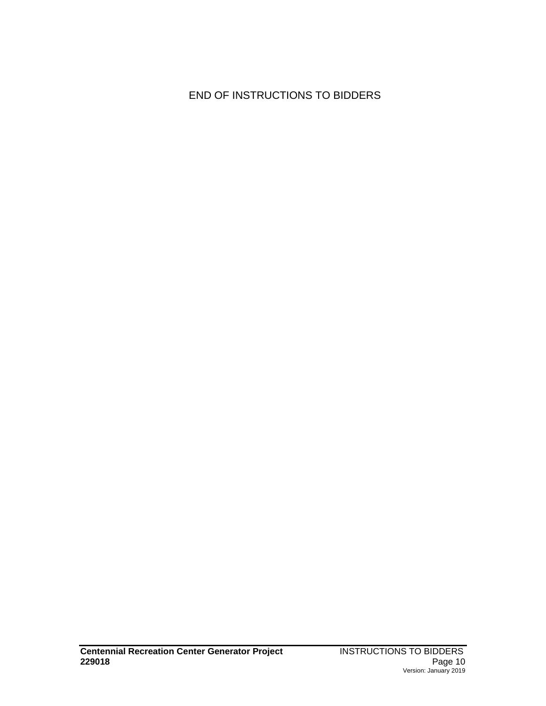# END OF INSTRUCTIONS TO BIDDERS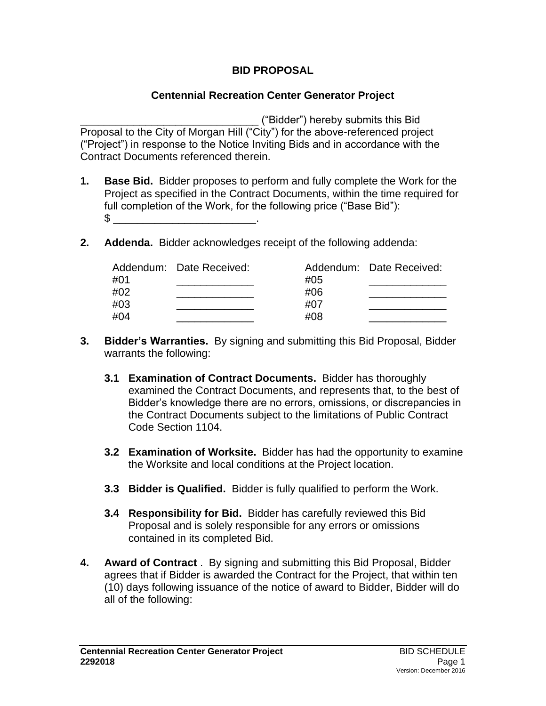## **BID PROPOSAL**

#### **Centennial Recreation Center Generator Project**

\_\_\_\_\_\_\_\_\_\_\_\_\_\_\_\_\_\_\_\_\_\_\_\_\_\_\_\_\_\_ ("Bidder") hereby submits this Bid Proposal to the City of Morgan Hill ("City") for the above-referenced project ("Project") in response to the Notice Inviting Bids and in accordance with the Contract Documents referenced therein.

- **1. Base Bid.** Bidder proposes to perform and fully complete the Work for the Project as specified in the Contract Documents, within the time required for full completion of the Work, for the following price ("Base Bid"):  $\mathbb S$
- **2. Addenda.** Bidder acknowledges receipt of the following addenda:

|     | Addendum: Date Received: |     | Addendum: Date Received: |
|-----|--------------------------|-----|--------------------------|
| #01 |                          | #05 |                          |
| #02 |                          | #06 |                          |
| #03 |                          | #07 |                          |
| #04 |                          | #08 |                          |

- **3. Bidder's Warranties.** By signing and submitting this Bid Proposal, Bidder warrants the following:
	- **3.1 Examination of Contract Documents.**Bidder has thoroughly examined the Contract Documents, and represents that, to the best of Bidder's knowledge there are no errors, omissions, or discrepancies in the Contract Documents subject to the limitations of Public Contract Code Section 1104.
	- **3.2 Examination of Worksite.** Bidder has had the opportunity to examine the Worksite and local conditions at the Project location.
	- **3.3 Bidder is Qualified.**Bidder is fully qualified to perform the Work.
	- **3.4 Responsibility for Bid.**Bidder has carefully reviewed this Bid Proposal and is solely responsible for any errors or omissions contained in its completed Bid.
- **4. Award of Contract** . By signing and submitting this Bid Proposal, Bidder agrees that if Bidder is awarded the Contract for the Project, that within ten (10) days following issuance of the notice of award to Bidder, Bidder will do all of the following: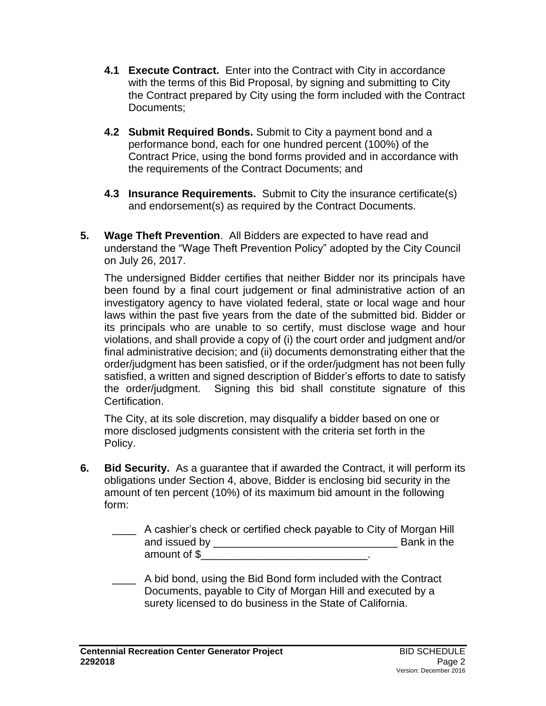- **4.1 Execute Contract.** Enter into the Contract with City in accordance with the terms of this Bid Proposal, by signing and submitting to City the Contract prepared by City using the form included with the Contract Documents;
- **4.2 Submit Required Bonds.** Submit to City a payment bond and a performance bond, each for one hundred percent (100%) of the Contract Price, using the bond forms provided and in accordance with the requirements of the Contract Documents; and
- **4.3 Insurance Requirements.** Submit to City the insurance certificate(s) and endorsement(s) as required by the Contract Documents.
- **5. Wage Theft Prevention**. All Bidders are expected to have read and understand the "Wage Theft Prevention Policy" adopted by the City Council on July 26, 2017.

The undersigned Bidder certifies that neither Bidder nor its principals have been found by a final court judgement or final administrative action of an investigatory agency to have violated federal, state or local wage and hour laws within the past five years from the date of the submitted bid. Bidder or its principals who are unable to so certify, must disclose wage and hour violations, and shall provide a copy of (i) the court order and judgment and/or final administrative decision; and (ii) documents demonstrating either that the order/judgment has been satisfied, or if the order/judgment has not been fully satisfied, a written and signed description of Bidder's efforts to date to satisfy the order/judgment. Signing this bid shall constitute signature of this Certification.

The City, at its sole discretion, may disqualify a bidder based on one or more disclosed judgments consistent with the criteria set forth in the Policy.

- **6. Bid Security.** As a guarantee that if awarded the Contract, it will perform its obligations under Section 4, above, Bidder is enclosing bid security in the amount of ten percent (10%) of its maximum bid amount in the following form:
	- \_\_\_\_ A cashier's check or certified check payable to City of Morgan Hill and issued by \_\_\_\_\_\_\_\_\_\_\_\_\_\_\_\_\_\_\_\_\_\_\_\_\_\_\_\_\_\_\_ Bank in the amount of \$
	- \_\_\_\_ A bid bond, using the Bid Bond form included with the Contract Documents, payable to City of Morgan Hill and executed by a surety licensed to do business in the State of California.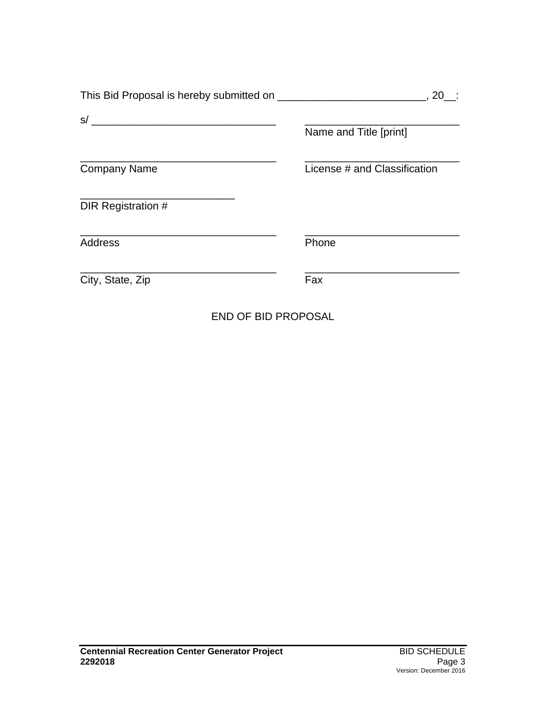|                     | . 20                         |
|---------------------|------------------------------|
| S/                  |                              |
|                     | Name and Title [print]       |
| <b>Company Name</b> | License # and Classification |
| DIR Registration #  |                              |
| <b>Address</b>      | Phone                        |
| City, State, Zip    | Fax                          |

END OF BID PROPOSAL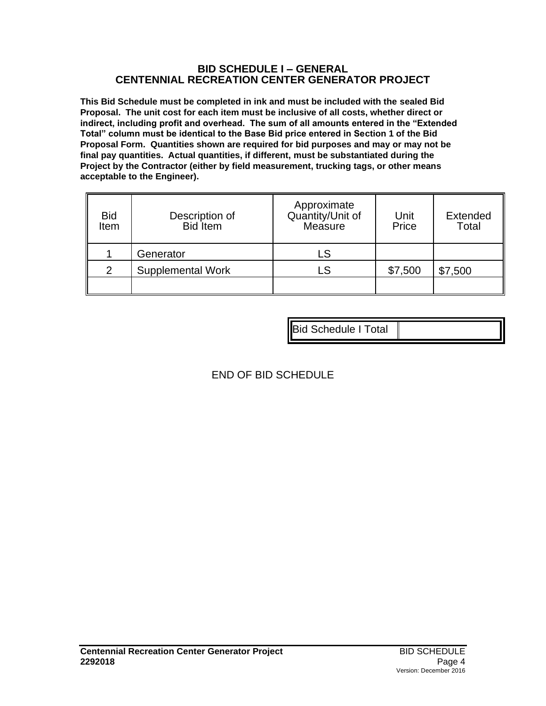#### **BID SCHEDULE I – GENERAL CENTENNIAL RECREATION CENTER GENERATOR PROJECT**

**This Bid Schedule must be completed in ink and must be included with the sealed Bid Proposal. The unit cost for each item must be inclusive of all costs, whether direct or indirect, including profit and overhead. The sum of all amounts entered in the "Extended Total" column must be identical to the Base Bid price entered in Section 1 of the Bid Proposal Form. Quantities shown are required for bid purposes and may or may not be final pay quantities. Actual quantities, if different, must be substantiated during the Project by the Contractor (either by field measurement, trucking tags, or other means acceptable to the Engineer).**

| <b>Bid</b><br>Item | Description of<br><b>Bid</b> Item | Approximate<br>Quantity/Unit of<br>Measure | Unit<br>Price | <b>Extended</b><br>Total |
|--------------------|-----------------------------------|--------------------------------------------|---------------|--------------------------|
|                    | Generator                         | LS                                         |               |                          |
| 2                  | <b>Supplemental Work</b>          | LS                                         | \$7,500       | \$7,500                  |
|                    |                                   |                                            |               |                          |

Bid Schedule I Total

# END OF BID SCHEDULE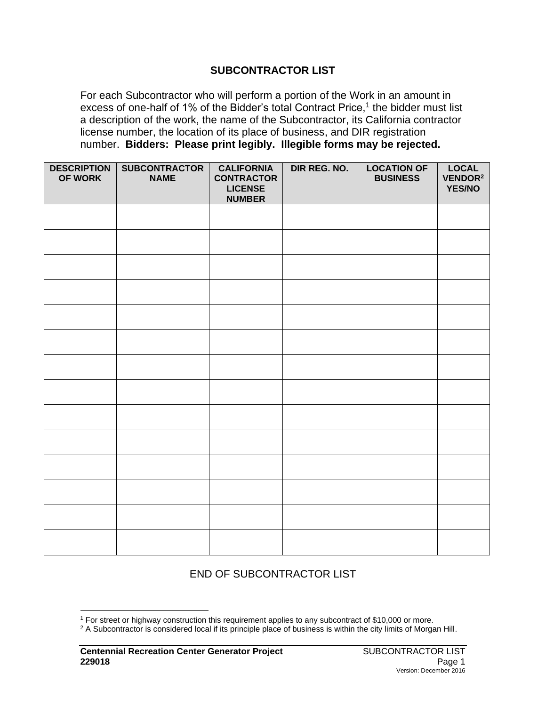#### **SUBCONTRACTOR LIST**

For each Subcontractor who will perform a portion of the Work in an amount in excess of one-half of 1% of the Bidder's total Contract Price,<sup>1</sup> the bidder must list a description of the work, the name of the Subcontractor, its California contractor license number, the location of its place of business, and DIR registration number. **Bidders: Please print legibly. Illegible forms may be rejected.**

| <b>DESCRIPTION</b><br>OF WORK | <b>SUBCONTRACTOR</b><br><b>NAME</b> | <b>CALIFORNIA</b><br><b>CONTRACTOR</b><br><b>LICENSE</b><br><b>NUMBER</b> | DIR REG. NO. | <b>LOCATION OF</b><br><b>BUSINESS</b> | <b>LOCAL</b><br>VENDOR <sup>2</sup><br><b>YES/NO</b> |
|-------------------------------|-------------------------------------|---------------------------------------------------------------------------|--------------|---------------------------------------|------------------------------------------------------|
|                               |                                     |                                                                           |              |                                       |                                                      |
|                               |                                     |                                                                           |              |                                       |                                                      |
|                               |                                     |                                                                           |              |                                       |                                                      |
|                               |                                     |                                                                           |              |                                       |                                                      |
|                               |                                     |                                                                           |              |                                       |                                                      |
|                               |                                     |                                                                           |              |                                       |                                                      |
|                               |                                     |                                                                           |              |                                       |                                                      |
|                               |                                     |                                                                           |              |                                       |                                                      |
|                               |                                     |                                                                           |              |                                       |                                                      |
|                               |                                     |                                                                           |              |                                       |                                                      |
|                               |                                     |                                                                           |              |                                       |                                                      |
|                               |                                     |                                                                           |              |                                       |                                                      |
|                               |                                     |                                                                           |              |                                       |                                                      |
|                               |                                     |                                                                           |              |                                       |                                                      |

## END OF SUBCONTRACTOR LIST

<sup>1</sup> For street or highway construction this requirement applies to any subcontract of \$10,000 or more.

<sup>&</sup>lt;sup>2</sup> A Subcontractor is considered local if its principle place of business is within the city limits of Morgan Hill.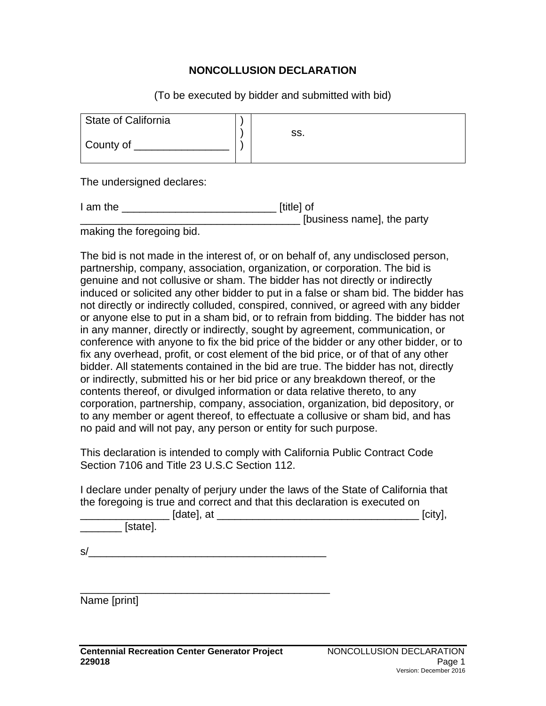#### **NONCOLLUSION DECLARATION**

(To be executed by bidder and submitted with bid)

| State of California |     |
|---------------------|-----|
| County of           | SS. |

The undersigned declares:

| I am the | [title] of                 |
|----------|----------------------------|
|          | [business name], the party |
|          |                            |

making the foregoing bid.

The bid is not made in the interest of, or on behalf of, any undisclosed person, partnership, company, association, organization, or corporation. The bid is genuine and not collusive or sham. The bidder has not directly or indirectly induced or solicited any other bidder to put in a false or sham bid. The bidder has not directly or indirectly colluded, conspired, connived, or agreed with any bidder or anyone else to put in a sham bid, or to refrain from bidding. The bidder has not in any manner, directly or indirectly, sought by agreement, communication, or conference with anyone to fix the bid price of the bidder or any other bidder, or to fix any overhead, profit, or cost element of the bid price, or of that of any other bidder. All statements contained in the bid are true. The bidder has not, directly or indirectly, submitted his or her bid price or any breakdown thereof, or the contents thereof, or divulged information or data relative thereto, to any corporation, partnership, company, association, organization, bid depository, or to any member or agent thereof, to effectuate a collusive or sham bid, and has no paid and will not pay, any person or entity for such purpose.

This declaration is intended to comply with California Public Contract Code Section 7106 and Title 23 U.S.C Section 112.

I declare under penalty of perjury under the laws of the State of California that the foregoing is true and correct and that this declaration is executed on

| [date], at | [city] |
|------------|--------|
| [state].   |        |

 $s/$ 

\_\_\_\_\_\_\_\_\_\_\_\_\_\_\_\_\_\_\_\_\_\_\_\_\_\_\_\_\_\_\_\_\_\_\_\_\_\_\_\_\_\_

Name [print]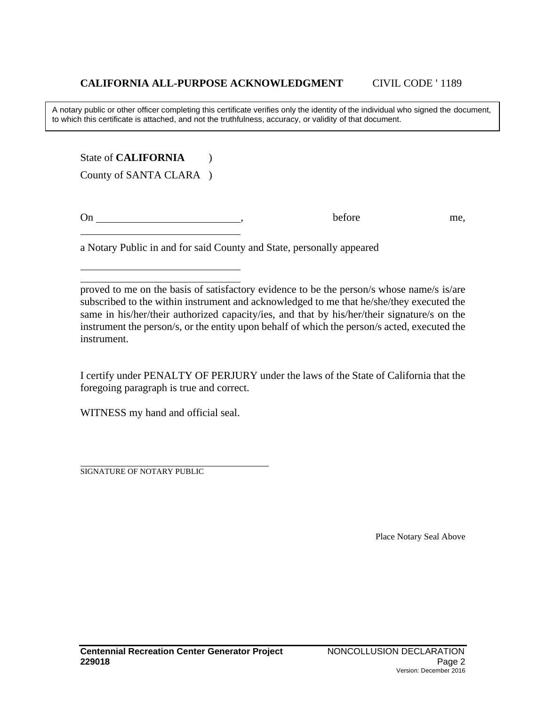A notary public or other officer completing this certificate verifies only the identity of the individual who signed the document, to which this certificate is attached, and not the truthfulness, accuracy, or validity of that document.

State of **CALIFORNIA** (1)

County of SANTA CLARA )

On before me,

a Notary Public in and for said County and State, personally appeared

proved to me on the basis of satisfactory evidence to be the person/s whose name/s is/are subscribed to the within instrument and acknowledged to me that he/she/they executed the same in his/her/their authorized capacity/ies, and that by his/her/their signature/s on the instrument the person/s, or the entity upon behalf of which the person/s acted, executed the instrument.

I certify under PENALTY OF PERJURY under the laws of the State of California that the foregoing paragraph is true and correct.

WITNESS my hand and official seal.

SIGNATURE OF NOTARY PUBLIC

Place Notary Seal Above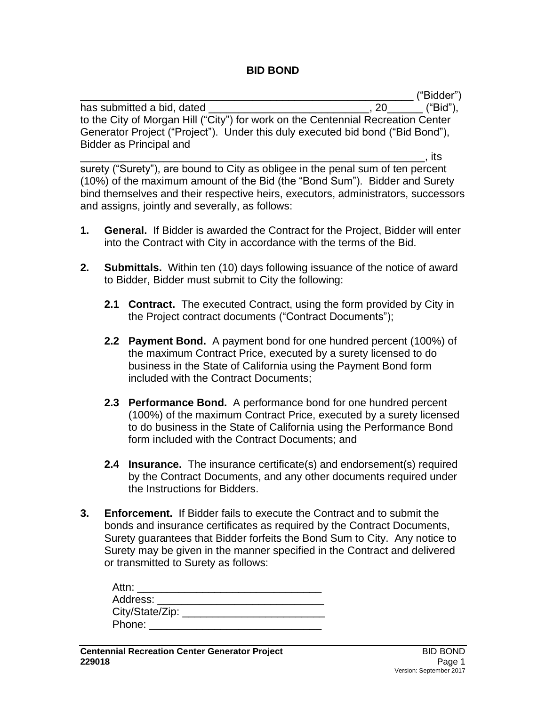#### **BID BOND**

\_\_\_\_\_\_\_\_\_\_\_\_\_\_\_\_\_\_\_\_\_\_\_\_\_\_\_\_\_\_\_\_\_\_\_\_\_\_\_\_\_\_\_\_\_\_\_\_\_\_\_\_\_\_\_\_ ("Bidder") has submitted a bid, dated  $\sim$  . 20 ("Bid"), to the City of Morgan Hill ("City") for work on the Centennial Recreation Center Generator Project ("Project"). Under this duly executed bid bond ("Bid Bond"), Bidder as Principal and

\_\_\_\_\_\_\_\_\_\_\_\_\_\_\_\_\_\_\_\_\_\_\_\_\_\_\_\_\_\_\_\_\_\_\_\_\_\_\_\_\_\_\_\_\_\_\_\_\_\_\_\_\_\_\_\_\_\_, its surety ("Surety"), are bound to City as obligee in the penal sum of ten percent (10%) of the maximum amount of the Bid (the "Bond Sum"). Bidder and Surety bind themselves and their respective heirs, executors, administrators, successors and assigns, jointly and severally, as follows:

- **1. General.** If Bidder is awarded the Contract for the Project, Bidder will enter into the Contract with City in accordance with the terms of the Bid.
- **2. Submittals.** Within ten (10) days following issuance of the notice of award to Bidder, Bidder must submit to City the following:
	- **2.1 Contract.** The executed Contract, using the form provided by City in the Project contract documents ("Contract Documents");
	- **2.2 Payment Bond.** A payment bond for one hundred percent (100%) of the maximum Contract Price, executed by a surety licensed to do business in the State of California using the Payment Bond form included with the Contract Documents;
	- **2.3 Performance Bond.** A performance bond for one hundred percent (100%) of the maximum Contract Price, executed by a surety licensed to do business in the State of California using the Performance Bond form included with the Contract Documents; and
	- **2.4 Insurance.** The insurance certificate(s) and endorsement(s) required by the Contract Documents, and any other documents required under the Instructions for Bidders.
- **3. Enforcement.** If Bidder fails to execute the Contract and to submit the bonds and insurance certificates as required by the Contract Documents, Surety guarantees that Bidder forfeits the Bond Sum to City. Any notice to Surety may be given in the manner specified in the Contract and delivered or transmitted to Surety as follows:

| Attn:           |  |
|-----------------|--|
| Address:        |  |
| City/State/Zip: |  |
| Phone:          |  |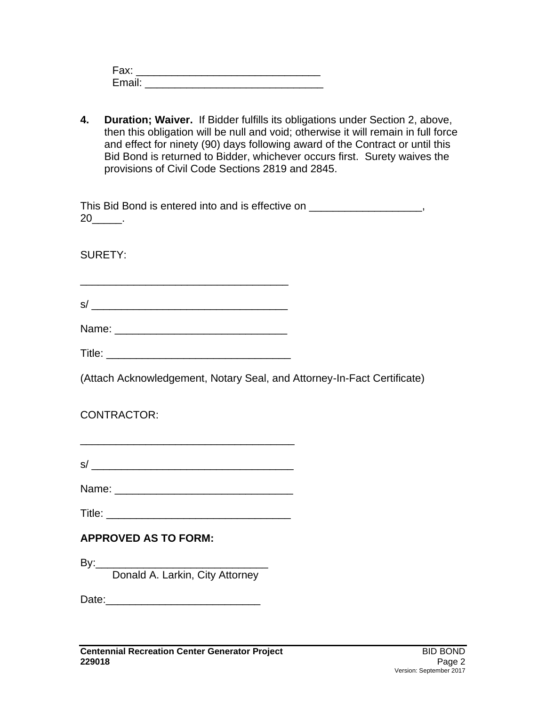| Fax:   |  |
|--------|--|
| Email: |  |

**4. Duration; Waiver.** If Bidder fulfills its obligations under Section 2, above, then this obligation will be null and void; otherwise it will remain in full force and effect for ninety (90) days following award of the Contract or until this Bid Bond is returned to Bidder, whichever occurs first. Surety waives the provisions of Civil Code Sections 2819 and 2845.

| This Bid Bond is entered into and is effective on |  |
|---------------------------------------------------|--|
| 20                                                |  |

SURETY:

\_\_\_\_\_\_\_\_\_\_\_\_\_\_\_\_\_\_\_\_\_\_\_\_\_\_\_\_\_\_\_\_\_\_\_  $s/$   $\overline{\phantom{a}}$ 

| Title: |
|--------|
|--------|

(Attach Acknowledgement, Notary Seal, and Attorney-In-Fact Certificate)

CONTRACTOR:

| $\sim$<br>c |  |  |  |
|-------------|--|--|--|

Name: \_\_\_\_\_\_\_\_\_\_\_\_\_\_\_\_\_\_\_\_\_\_\_\_\_\_\_\_\_\_

Title: \_\_\_\_\_\_\_\_\_\_\_\_\_\_\_\_\_\_\_\_\_\_\_\_\_\_\_\_\_\_\_

# **APPROVED AS TO FORM:**

 $\mathsf{By:}\_\_$ 

Donald A. Larkin, City Attorney

Date:\_\_\_\_\_\_\_\_\_\_\_\_\_\_\_\_\_\_\_\_\_\_\_\_\_\_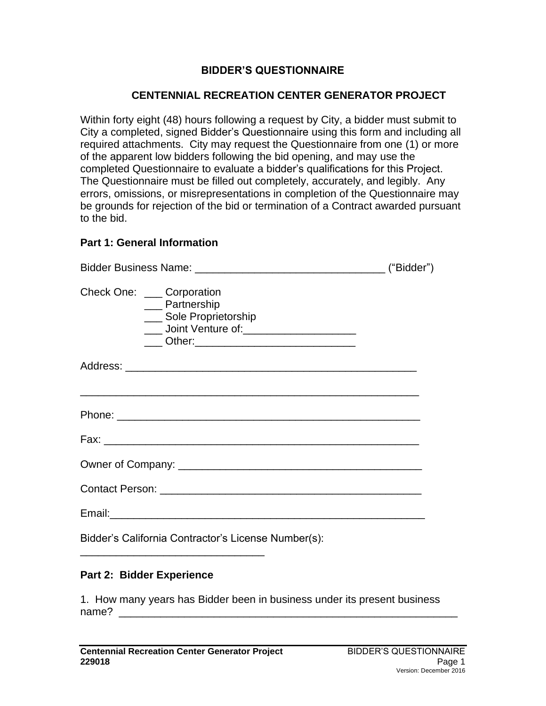### **BIDDER'S QUESTIONNAIRE**

#### **CENTENNIAL RECREATION CENTER GENERATOR PROJECT**

Within forty eight (48) hours following a request by City, a bidder must submit to City a completed, signed Bidder's Questionnaire using this form and including all required attachments. City may request the Questionnaire from one (1) or more of the apparent low bidders following the bid opening, and may use the completed Questionnaire to evaluate a bidder's qualifications for this Project. The Questionnaire must be filled out completely, accurately, and legibly. Any errors, omissions, or misrepresentations in completion of the Questionnaire may be grounds for rejection of the bid or termination of a Contract awarded pursuant to the bid.

#### **Part 1: General Information**

| Check One: ____ Corporation<br>__ Partnership<br>___ Sole Proprietorship<br>____ Joint Venture of: _______________________<br>____ Other:_________________________________ |  |
|----------------------------------------------------------------------------------------------------------------------------------------------------------------------------|--|
|                                                                                                                                                                            |  |
|                                                                                                                                                                            |  |
|                                                                                                                                                                            |  |
|                                                                                                                                                                            |  |
|                                                                                                                                                                            |  |
|                                                                                                                                                                            |  |
| Bidder's California Contractor's License Number(s):                                                                                                                        |  |

#### **Part 2: Bidder Experience**

\_\_\_\_\_\_\_\_\_\_\_\_\_\_\_\_\_\_\_\_\_\_\_\_\_\_\_\_\_\_\_

1. How many years has Bidder been in business under its present business name?  $\qquad$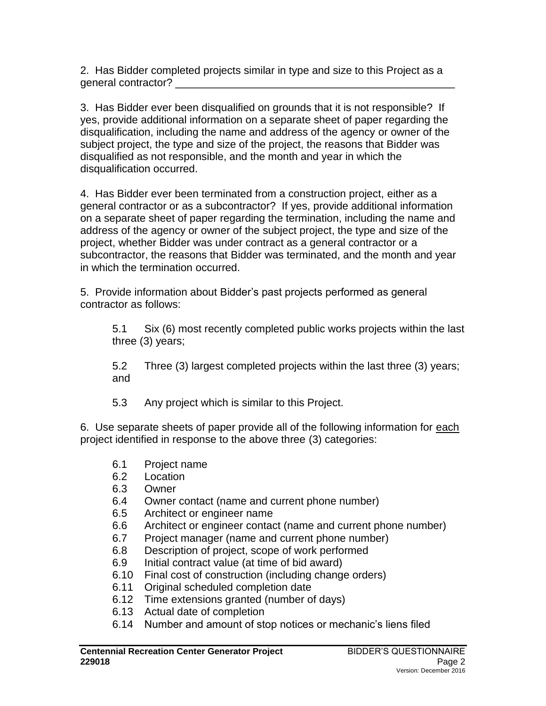2. Has Bidder completed projects similar in type and size to this Project as a general contractor? \_\_\_\_\_\_\_\_\_\_\_\_\_\_\_\_\_\_\_\_\_\_\_\_\_\_\_\_\_\_\_\_\_\_\_\_\_\_\_\_\_\_\_\_\_\_\_

3. Has Bidder ever been disqualified on grounds that it is not responsible? If yes, provide additional information on a separate sheet of paper regarding the disqualification, including the name and address of the agency or owner of the subject project, the type and size of the project, the reasons that Bidder was disqualified as not responsible, and the month and year in which the disqualification occurred.

4. Has Bidder ever been terminated from a construction project, either as a general contractor or as a subcontractor? If yes, provide additional information on a separate sheet of paper regarding the termination, including the name and address of the agency or owner of the subject project, the type and size of the project, whether Bidder was under contract as a general contractor or a subcontractor, the reasons that Bidder was terminated, and the month and year in which the termination occurred.

5. Provide information about Bidder's past projects performed as general contractor as follows:

5.1 Six (6) most recently completed public works projects within the last three (3) years;

5.2 Three (3) largest completed projects within the last three (3) years; and

5.3 Any project which is similar to this Project.

6. Use separate sheets of paper provide all of the following information for each project identified in response to the above three (3) categories:

- 6.1 Project name
- 6.2 Location
- 6.3 Owner
- 6.4 Owner contact (name and current phone number)
- 6.5 Architect or engineer name
- 6.6 Architect or engineer contact (name and current phone number)
- 6.7 Project manager (name and current phone number)
- 6.8 Description of project, scope of work performed
- 6.9 Initial contract value (at time of bid award)
- 6.10 Final cost of construction (including change orders)
- 6.11 Original scheduled completion date
- 6.12 Time extensions granted (number of days)
- 6.13 Actual date of completion
- 6.14 Number and amount of stop notices or mechanic's liens filed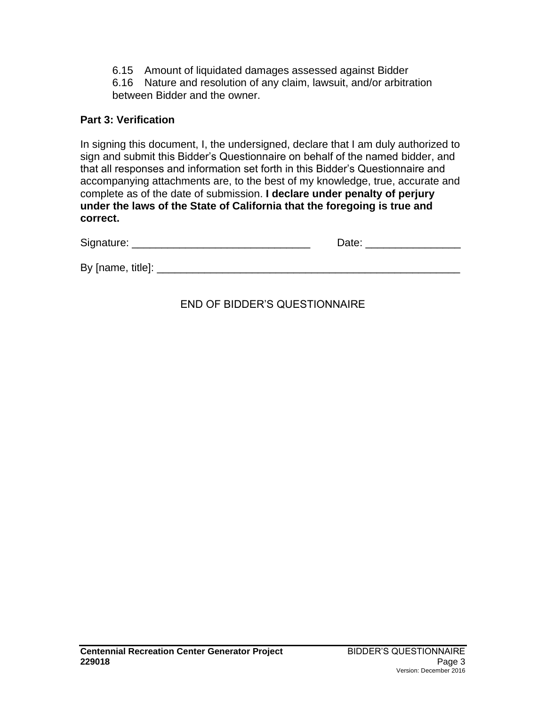6.15 Amount of liquidated damages assessed against Bidder

6.16 Nature and resolution of any claim, lawsuit, and/or arbitration between Bidder and the owner.

#### **Part 3: Verification**

In signing this document, I, the undersigned, declare that I am duly authorized to sign and submit this Bidder's Questionnaire on behalf of the named bidder, and that all responses and information set forth in this Bidder's Questionnaire and accompanying attachments are, to the best of my knowledge, true, accurate and complete as of the date of submission. **I declare under penalty of perjury under the laws of the State of California that the foregoing is true and correct.**

| Signature:        | Date: |
|-------------------|-------|
| By [name, title]: |       |

# END OF BIDDER'S QUESTIONNAIRE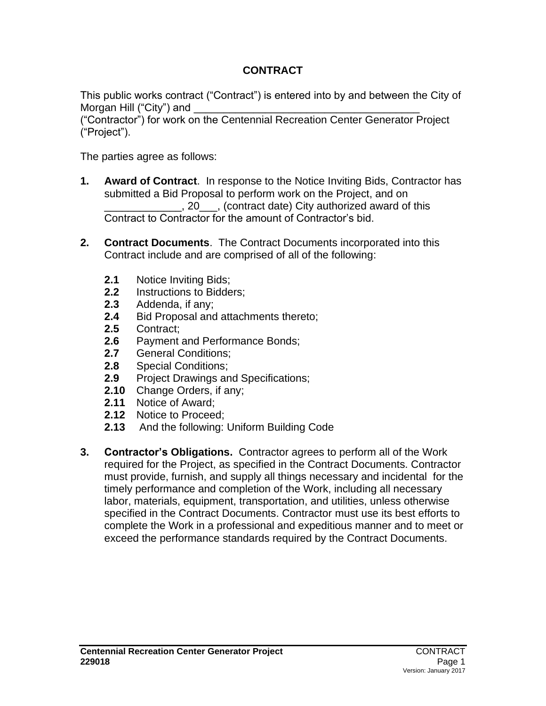# **CONTRACT**

This public works contract ("Contract") is entered into by and between the City of Morgan Hill ("City") and

("Contractor") for work on the Centennial Recreation Center Generator Project ("Project").

The parties agree as follows:

- **1. Award of Contract**. In response to the Notice Inviting Bids, Contractor has submitted a Bid Proposal to perform work on the Project, and on \_\_\_\_\_\_\_\_\_\_\_\_\_, 20\_\_\_, (contract date) City authorized award of this Contract to Contractor for the amount of Contractor's bid.
- **2. Contract Documents**. The Contract Documents incorporated into this Contract include and are comprised of all of the following:
	- **2.1** Notice Inviting Bids;
	- **2.2** Instructions to Bidders;
	- **2.3** Addenda, if any;
	- **2.4** Bid Proposal and attachments thereto;
	- **2.5** Contract;
	- **2.6** Payment and Performance Bonds;
	- **2.7** General Conditions;
	- **2.8** Special Conditions;
	- **2.9** Project Drawings and Specifications;
	- **2.10** Change Orders, if any;
	- **2.11** Notice of Award;
	- **2.12** Notice to Proceed;
	- **2.13** And the following: Uniform Building Code
- **3. Contractor's Obligations.** Contractor agrees to perform all of the Work required for the Project, as specified in the Contract Documents. Contractor must provide, furnish, and supply all things necessary and incidental for the timely performance and completion of the Work, including all necessary labor, materials, equipment, transportation, and utilities, unless otherwise specified in the Contract Documents. Contractor must use its best efforts to complete the Work in a professional and expeditious manner and to meet or exceed the performance standards required by the Contract Documents.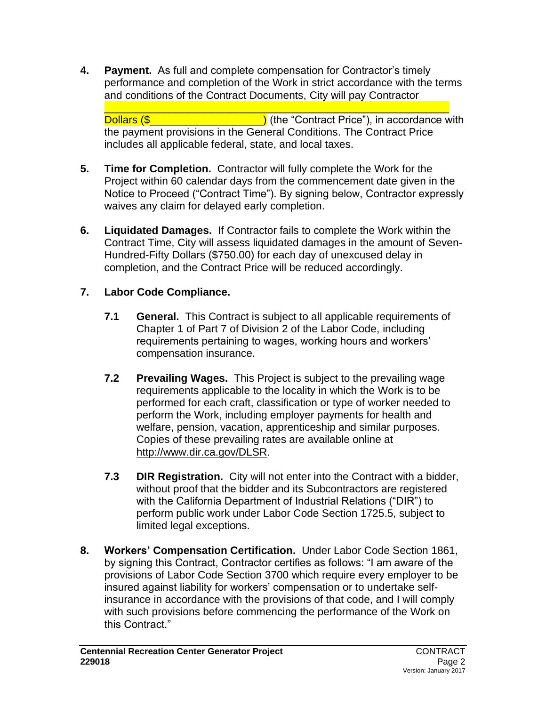**4. Payment.** As full and complete compensation for Contractor's timely performance and completion of the Work in strict accordance with the terms and conditions of the Contract Documents, City will pay Contractor

\_\_\_\_\_\_\_\_\_\_\_\_\_\_\_\_\_\_\_\_\_\_\_\_\_\_\_\_\_\_\_\_\_\_\_\_\_\_\_\_\_\_\_\_\_\_\_\_\_\_\_\_\_\_\_\_\_\_ Dollars  $(\frac{1}{2})$  (the "Contract Price"), in accordance with the payment provisions in the General Conditions. The Contract Price includes all applicable federal, state, and local taxes.

- **5. Time for Completion.** Contractor will fully complete the Work for the Project within 60 calendar days from the commencement date given in the Notice to Proceed ("Contract Time"). By signing below, Contractor expressly waives any claim for delayed early completion.
- **6. Liquidated Damages.** If Contractor fails to complete the Work within the Contract Time, City will assess liquidated damages in the amount of Seven-Hundred-Fifty Dollars (\$750.00) for each day of unexcused delay in completion, and the Contract Price will be reduced accordingly.

# **7. Labor Code Compliance.**

- **7.1 General.** This Contract is subject to all applicable requirements of Chapter 1 of Part 7 of Division 2 of the Labor Code, including requirements pertaining to wages, working hours and workers' compensation insurance.
- **7.2 Prevailing Wages.** This Project is subject to the prevailing wage requirements applicable to the locality in which the Work is to be performed for each craft, classification or type of worker needed to perform the Work, including employer payments for health and welfare, pension, vacation, apprenticeship and similar purposes. Copies of these prevailing rates are available online at [http://www.dir.ca.gov/DLSR.](http://www.dir.ca.gov/DLSR)
- **7.3 DIR Registration.**City will not enter into the Contract with a bidder, without proof that the bidder and its Subcontractors are registered with the California Department of Industrial Relations ("DIR") to perform public work under Labor Code Section 1725.5, subject to limited legal exceptions.
- **8. Workers' Compensation Certification.** Under Labor Code Section 1861, by signing this Contract, Contractor certifies as follows: "I am aware of the provisions of Labor Code Section 3700 which require every employer to be insured against liability for workers' compensation or to undertake selfinsurance in accordance with the provisions of that code, and I will comply with such provisions before commencing the performance of the Work on this Contract."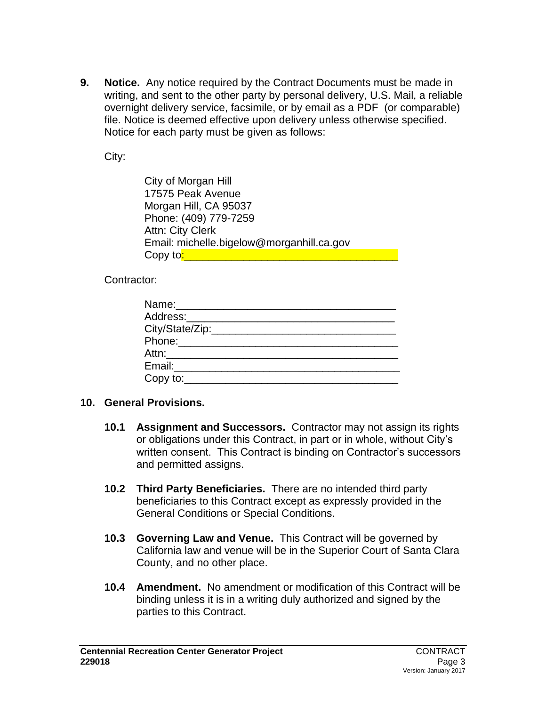**9. Notice.** Any notice required by the Contract Documents must be made in writing, and sent to the other party by personal delivery, U.S. Mail, a reliable overnight delivery service, facsimile, or by email as a PDF (or comparable) file. Notice is deemed effective upon delivery unless otherwise specified. Notice for each party must be given as follows:

City:

City of Morgan Hill 17575 Peak Avenue Morgan Hill, CA 95037 Phone: (409) 779-7259 Attn: City Clerk Email: michelle.bigelow@morganhill.ca.gov Copy to<mark>:\_\_\_\_\_\_\_\_\_\_\_\_\_\_\_\_\_\_\_\_\_\_\_\_\_\_\_\_</mark>

Contractor:

| Name:________________________ |  |
|-------------------------------|--|
| Address:_________________     |  |
| City/State/Zip:_____________  |  |
|                               |  |
| Attn:_________________        |  |
| Email: <b>Exercise Email:</b> |  |
| Copy to: $\_\_$               |  |

#### **10. General Provisions.**

- **10.1 Assignment and Successors.** Contractor may not assign its rights or obligations under this Contract, in part or in whole, without City's written consent. This Contract is binding on Contractor's successors and permitted assigns.
- **10.2 Third Party Beneficiaries.** There are no intended third party beneficiaries to this Contract except as expressly provided in the General Conditions or Special Conditions.
- **10.3 Governing Law and Venue.** This Contract will be governed by California law and venue will be in the Superior Court of Santa Clara County, and no other place.
- **10.4 Amendment.** No amendment or modification of this Contract will be binding unless it is in a writing duly authorized and signed by the parties to this Contract.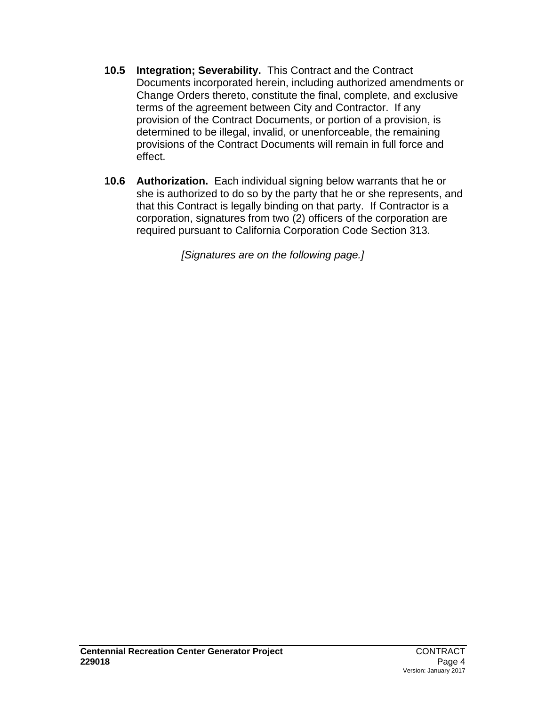- **10.5 Integration; Severability.** This Contract and the Contract Documents incorporated herein, including authorized amendments or Change Orders thereto, constitute the final, complete, and exclusive terms of the agreement between City and Contractor. If any provision of the Contract Documents, or portion of a provision, is determined to be illegal, invalid, or unenforceable, the remaining provisions of the Contract Documents will remain in full force and effect.
- **10.6 Authorization.** Each individual signing below warrants that he or she is authorized to do so by the party that he or she represents, and that this Contract is legally binding on that party. If Contractor is a corporation, signatures from two (2) officers of the corporation are required pursuant to California Corporation Code Section 313.

*[Signatures are on the following page.]*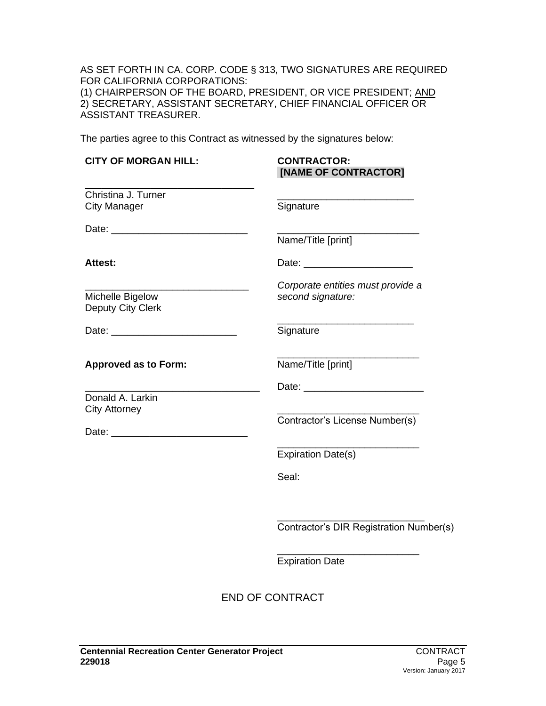AS SET FORTH IN CA. CORP. CODE § 313, TWO SIGNATURES ARE REQUIRED FOR CALIFORNIA CORPORATIONS: (1) CHAIRPERSON OF THE BOARD, PRESIDENT, OR VICE PRESIDENT; AND 2) SECRETARY, ASSISTANT SECRETARY, CHIEF FINANCIAL OFFICER OR ASSISTANT TREASURER.

The parties agree to this Contract as witnessed by the signatures below:

| <b>CITY OF MORGAN HILL:</b>                | <b>CONTRACTOR:</b><br>[NAME OF CONTRACTOR]             |
|--------------------------------------------|--------------------------------------------------------|
| Christina J. Turner<br><b>City Manager</b> | Signature                                              |
|                                            | Name/Title [print]                                     |
| Attest:                                    |                                                        |
| Michelle Bigelow<br>Deputy City Clerk      | Corporate entities must provide a<br>second signature: |
|                                            | Signature                                              |
| <b>Approved as to Form:</b>                | Name/Title [print]                                     |
| Donald A. Larkin<br><b>City Attorney</b>   | Contractor's License Number(s)                         |
|                                            | <b>Expiration Date(s)</b>                              |
|                                            | Seal:                                                  |
|                                            | Contractor's DIR Registration Number(s)                |
|                                            | <b>Expiration Date</b>                                 |
|                                            | <b>END OF CONTRACT</b>                                 |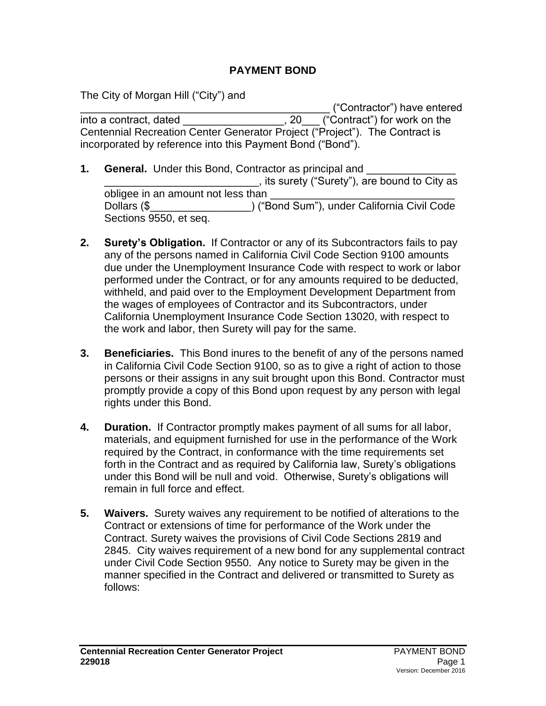## **PAYMENT BOND**

The City of Morgan Hill ("City") and

\_\_\_\_\_\_\_\_\_\_\_\_\_\_\_\_\_\_\_\_\_\_\_\_\_\_\_\_\_\_\_\_\_\_\_\_\_\_\_\_\_\_ ("Contractor") have entered into a contract, dated  $\qquad \qquad$ , 20 ("Contract") for work on the Centennial Recreation Center Generator Project ("Project"). The Contract is incorporated by reference into this Payment Bond ("Bond").

- **1. General.** Under this Bond, Contractor as principal and \_\_\_\_\_\_\_\_\_\_\_\_\_\_\_\_\_\_\_\_\_\_\_\_\_\_, its surety ("Surety"), are bound to City as obligee in an amount not less than Dollars (\$  $\qquad \qquad$  ) ("Bond Sum"), under California Civil Code Sections 9550, et seq.
- **2. Surety's Obligation.** If Contractor or any of its Subcontractors fails to pay any of the persons named in California Civil Code Section 9100 amounts due under the Unemployment Insurance Code with respect to work or labor performed under the Contract, or for any amounts required to be deducted, withheld, and paid over to the Employment Development Department from the wages of employees of Contractor and its Subcontractors, under California Unemployment Insurance Code Section 13020, with respect to the work and labor, then Surety will pay for the same.
- **3. Beneficiaries.** This Bond inures to the benefit of any of the persons named in California Civil Code Section 9100, so as to give a right of action to those persons or their assigns in any suit brought upon this Bond. Contractor must promptly provide a copy of this Bond upon request by any person with legal rights under this Bond.
- **4. Duration.** If Contractor promptly makes payment of all sums for all labor, materials, and equipment furnished for use in the performance of the Work required by the Contract, in conformance with the time requirements set forth in the Contract and as required by California law, Surety's obligations under this Bond will be null and void. Otherwise, Surety's obligations will remain in full force and effect.
- **5. Waivers.** Surety waives any requirement to be notified of alterations to the Contract or extensions of time for performance of the Work under the Contract. Surety waives the provisions of Civil Code Sections 2819 and 2845. City waives requirement of a new bond for any supplemental contract under Civil Code Section 9550. Any notice to Surety may be given in the manner specified in the Contract and delivered or transmitted to Surety as follows: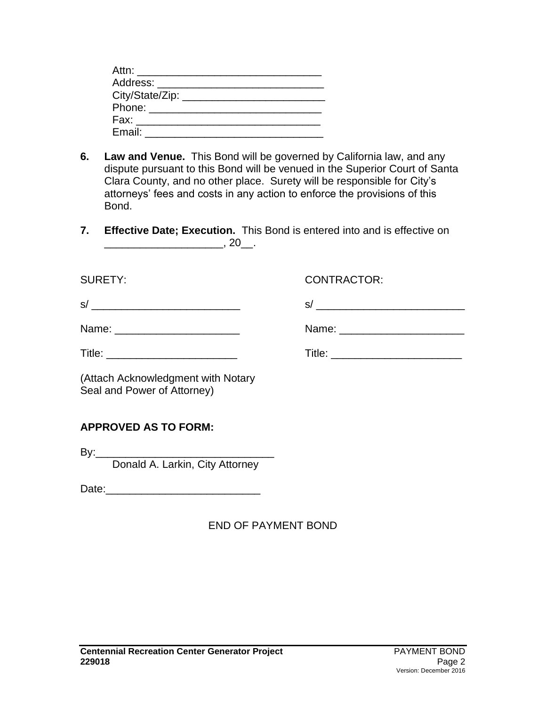| Attn: _________________________                                                                                                                                                                                                |  |
|--------------------------------------------------------------------------------------------------------------------------------------------------------------------------------------------------------------------------------|--|
| Address: _______________________                                                                                                                                                                                               |  |
| City/State/Zip: ______                                                                                                                                                                                                         |  |
| Phone: the contract of the contract of the contract of the contract of the contract of the contract of the contract of the contract of the contract of the contract of the contract of the contract of the contract of the con |  |
| Fax: ________________________                                                                                                                                                                                                  |  |
| Email:                                                                                                                                                                                                                         |  |

- **6. Law and Venue.** This Bond will be governed by California law, and any dispute pursuant to this Bond will be venued in the Superior Court of Santa Clara County, and no other place. Surety will be responsible for City's attorneys' fees and costs in any action to enforce the provisions of this Bond.
- **7. Effective Date; Execution.** This Bond is entered into and is effective on  $\frac{1}{20}$ , 20\_.

| <b>SURETY:</b>                                                    | <b>CONTRACTOR:</b> |
|-------------------------------------------------------------------|--------------------|
|                                                                   |                    |
| Name: _________________________                                   |                    |
|                                                                   |                    |
| (Attach Acknowledgment with Notary<br>Seal and Power of Attorney) |                    |
| <b>APPROVED AS TO FORM:</b>                                       |                    |
|                                                                   |                    |

Donald A. Larkin, City Attorney

Date:\_\_\_\_\_\_\_\_\_\_\_\_\_\_\_\_\_\_\_\_\_\_\_\_\_\_

END OF PAYMENT BOND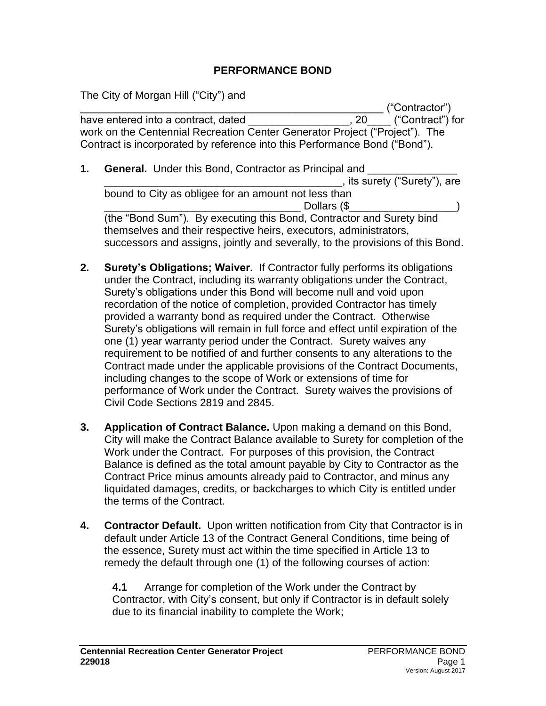## **PERFORMANCE BOND**

The City of Morgan Hill ("City") and

\_\_\_\_\_\_\_\_\_\_\_\_\_\_\_\_\_\_\_\_\_\_\_\_\_\_\_\_\_\_\_\_\_\_\_\_\_\_\_\_\_\_\_\_\_\_\_\_\_\_\_ ("Contractor") have entered into a contract, dated  $\qquad \qquad$ , 20  $\qquad$  ("Contract") for work on the Centennial Recreation Center Generator Project ("Project"). The Contract is incorporated by reference into this Performance Bond ("Bond").

- **1. General.** Under this Bond, Contractor as Principal and \_\_\_\_\_\_\_\_\_\_\_\_\_\_\_\_\_\_\_\_\_\_\_\_\_\_\_\_\_\_\_\_\_\_\_\_\_\_\_\_, its surety ("Surety"), are bound to City as obligee for an amount not less than Dollars (\$ (the "Bond Sum"). By executing this Bond, Contractor and Surety bind themselves and their respective heirs, executors, administrators, successors and assigns, jointly and severally, to the provisions of this Bond.
- **2. Surety's Obligations; Waiver.** If Contractor fully performs its obligations under the Contract, including its warranty obligations under the Contract, Surety's obligations under this Bond will become null and void upon recordation of the notice of completion, provided Contractor has timely provided a warranty bond as required under the Contract. Otherwise Surety's obligations will remain in full force and effect until expiration of the one (1) year warranty period under the Contract. Surety waives any requirement to be notified of and further consents to any alterations to the Contract made under the applicable provisions of the Contract Documents, including changes to the scope of Work or extensions of time for performance of Work under the Contract. Surety waives the provisions of Civil Code Sections 2819 and 2845.
- **3. Application of Contract Balance.** Upon making a demand on this Bond, City will make the Contract Balance available to Surety for completion of the Work under the Contract. For purposes of this provision, the Contract Balance is defined as the total amount payable by City to Contractor as the Contract Price minus amounts already paid to Contractor, and minus any liquidated damages, credits, or backcharges to which City is entitled under the terms of the Contract.
- **4. Contractor Default.** Upon written notification from City that Contractor is in default under Article 13 of the Contract General Conditions, time being of the essence, Surety must act within the time specified in Article 13 to remedy the default through one (1) of the following courses of action:

**4.1** Arrange for completion of the Work under the Contract by Contractor, with City's consent, but only if Contractor is in default solely due to its financial inability to complete the Work;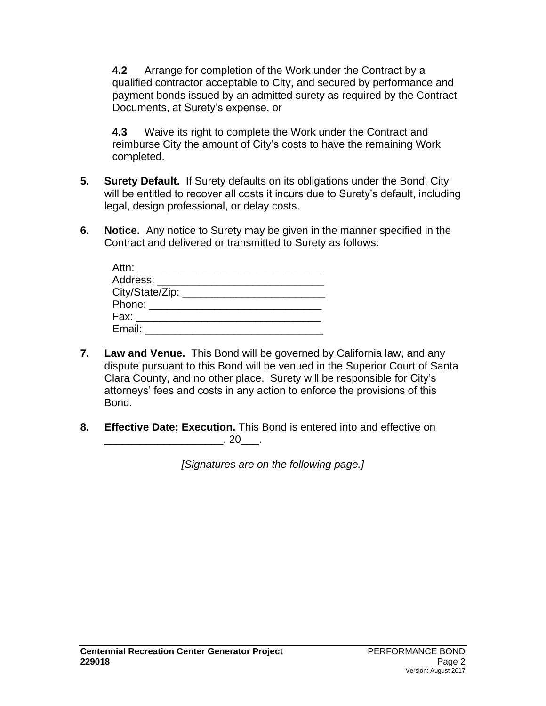**4.2** Arrange for completion of the Work under the Contract by a qualified contractor acceptable to City, and secured by performance and payment bonds issued by an admitted surety as required by the Contract Documents, at Surety's expense, or

**4.3** Waive its right to complete the Work under the Contract and reimburse City the amount of City's costs to have the remaining Work completed.

- **5. Surety Default.** If Surety defaults on its obligations under the Bond, City will be entitled to recover all costs it incurs due to Surety's default, including legal, design professional, or delay costs.
- **6. Notice.** Any notice to Surety may be given in the manner specified in the Contract and delivered or transmitted to Surety as follows:

| Attn: ________________________ |  |
|--------------------------------|--|
| Address: __________            |  |
|                                |  |
|                                |  |
| Fax: _____________________     |  |
| Email:                         |  |

- **7. Law and Venue.** This Bond will be governed by California law, and any dispute pursuant to this Bond will be venued in the Superior Court of Santa Clara County, and no other place. Surety will be responsible for City's attorneys' fees and costs in any action to enforce the provisions of this Bond.
- **8. Effective Date; Execution.** This Bond is entered into and effective on  $\overline{\phantom{a}}$ , 20 $\overline{\phantom{a}}$ .

*[Signatures are on the following page.]*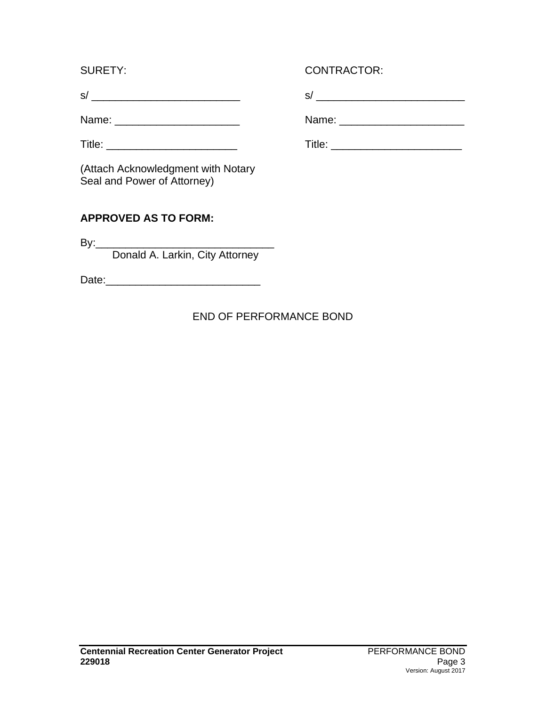(Attach Acknowledgment with Notary Seal and Power of Attorney)

# **APPROVED AS TO FORM:**

 $By:$ 

Donald A. Larkin, City Attorney

Date:\_\_\_\_\_\_\_\_\_\_\_\_\_\_\_\_\_\_\_\_\_\_\_\_\_\_

# END OF PERFORMANCE BOND

# SURETY: CONTRACTOR:

s/ \_\_\_\_\_\_\_\_\_\_\_\_\_\_\_\_\_\_\_\_\_\_\_\_\_ s/ \_\_\_\_\_\_\_\_\_\_\_\_\_\_\_\_\_\_\_\_\_\_\_\_\_

Name: \_\_\_\_\_\_\_\_\_\_\_\_\_\_\_\_\_\_\_\_\_ Name: \_\_\_\_\_\_\_\_\_\_\_\_\_\_\_\_\_\_\_\_\_

Title: \_\_\_\_\_\_\_\_\_\_\_\_\_\_\_\_\_\_\_\_\_\_ Title: \_\_\_\_\_\_\_\_\_\_\_\_\_\_\_\_\_\_\_\_\_\_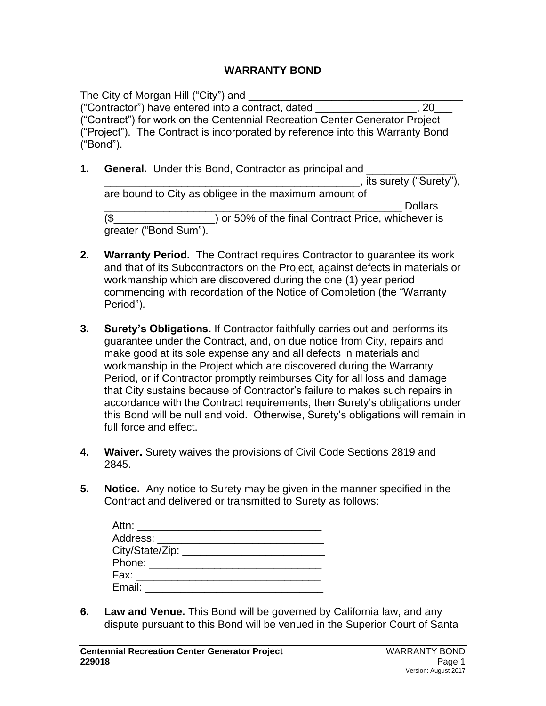#### **WARRANTY BOND**

The City of Morgan Hill ("City") and ("Contractor") have entered into a contract, dated \_\_\_\_\_\_\_\_\_\_\_\_\_\_\_\_\_, 20\_\_\_ ("Contract") for work on the Centennial Recreation Center Generator Project ("Project"). The Contract is incorporated by reference into this Warranty Bond ("Bond").

- **1. General.** Under this Bond, Contractor as principal and \_\_\_\_\_\_\_\_\_\_\_\_\_\_\_\_\_\_\_\_\_\_\_\_\_\_\_\_\_\_\_\_\_\_\_\_\_\_\_\_\_\_\_, its surety ("Surety"), are bound to City as obligee in the maximum amount of \_\_\_\_\_\_\_\_\_\_\_\_\_\_\_\_\_\_\_\_\_\_\_\_\_\_\_\_\_\_\_\_\_\_\_\_\_\_\_\_\_\_\_\_\_\_\_\_\_\_ Dollars (\$\_\_\_\_\_\_\_\_\_\_\_\_\_\_\_\_\_) or 50% of the final Contract Price, whichever is greater ("Bond Sum").
- **2. Warranty Period.** The Contract requires Contractor to guarantee its work and that of its Subcontractors on the Project, against defects in materials or workmanship which are discovered during the one (1) year period commencing with recordation of the Notice of Completion (the "Warranty Period").
- **3. Surety's Obligations.** If Contractor faithfully carries out and performs its guarantee under the Contract, and, on due notice from City, repairs and make good at its sole expense any and all defects in materials and workmanship in the Project which are discovered during the Warranty Period, or if Contractor promptly reimburses City for all loss and damage that City sustains because of Contractor's failure to makes such repairs in accordance with the Contract requirements, then Surety's obligations under this Bond will be null and void. Otherwise, Surety's obligations will remain in full force and effect.
- **4. Waiver.** Surety waives the provisions of Civil Code Sections 2819 and 2845.
- **5. Notice.** Any notice to Surety may be given in the manner specified in the Contract and delivered or transmitted to Surety as follows:

| Attn: ________________________                                                                                                                                                                                                       |  |
|--------------------------------------------------------------------------------------------------------------------------------------------------------------------------------------------------------------------------------------|--|
| Address: ______________________                                                                                                                                                                                                      |  |
| City/State/Zip: _______                                                                                                                                                                                                              |  |
| Phone: <u>with the state of the state of the state of the state of the state of the state of the state of the state of the state of the state of the state of the state of the state of the state of the state of the state of t</u> |  |
| Fax: ____________________                                                                                                                                                                                                            |  |
| Email:                                                                                                                                                                                                                               |  |

**6. Law and Venue.** This Bond will be governed by California law, and any dispute pursuant to this Bond will be venued in the Superior Court of Santa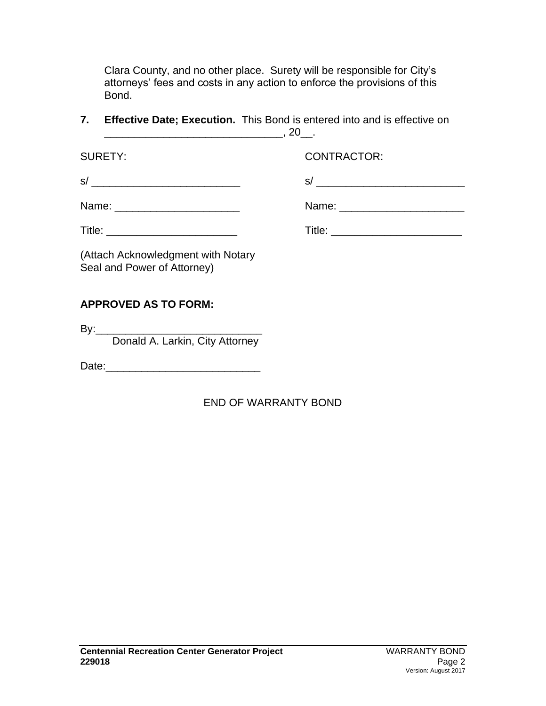Clara County, and no other place. Surety will be responsible for City's attorneys' fees and costs in any action to enforce the provisions of this Bond.

**7. Effective Date; Execution.** This Bond is entered into and is effective on \_\_\_\_\_\_\_\_\_\_\_\_\_\_\_\_\_\_\_\_\_\_\_\_\_\_\_\_\_\_, 20\_\_.

SURETY: CONTRACTOR:

 $s/$ 

| Name: |  |  |  |  |
|-------|--|--|--|--|
|       |  |  |  |  |

Name: \_\_\_\_\_\_\_\_\_\_\_\_\_\_\_\_\_\_\_\_\_ Name: \_\_\_\_\_\_\_\_\_\_\_\_\_\_\_\_\_\_\_\_\_

Title: \_\_\_\_\_\_\_\_\_\_\_\_\_\_\_\_\_\_\_\_\_\_ Title: \_\_\_\_\_\_\_\_\_\_\_\_\_\_\_\_\_\_\_\_\_\_

(Attach Acknowledgment with Notary Seal and Power of Attorney)

# **APPROVED AS TO FORM:**

 $By:$ 

Donald A. Larkin, City Attorney

Date:\_\_\_\_\_\_\_\_\_\_\_\_\_\_\_\_\_\_\_\_\_\_\_\_\_\_

# END OF WARRANTY BOND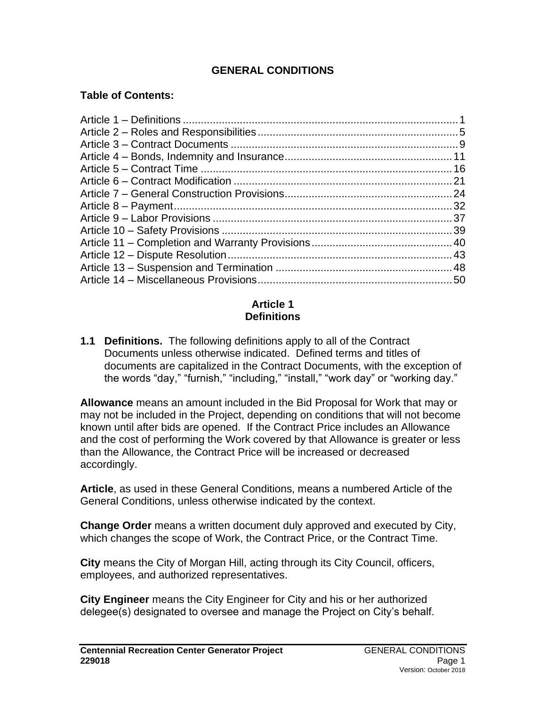# **GENERAL CONDITIONS**

### **Table of Contents:**

#### **Article 1 Definitions**

**1.1 Definitions.** The following definitions apply to all of the Contract Documents unless otherwise indicated. Defined terms and titles of documents are capitalized in the Contract Documents, with the exception of the words "day," "furnish," "including," "install," "work day" or "working day."

**Allowance** means an amount included in the Bid Proposal for Work that may or may not be included in the Project, depending on conditions that will not become known until after bids are opened. If the Contract Price includes an Allowance and the cost of performing the Work covered by that Allowance is greater or less than the Allowance, the Contract Price will be increased or decreased accordingly.

**Article**, as used in these General Conditions, means a numbered Article of the General Conditions, unless otherwise indicated by the context.

**Change Order** means a written document duly approved and executed by City, which changes the scope of Work, the Contract Price, or the Contract Time.

**City** means the City of Morgan Hill, acting through its City Council, officers, employees, and authorized representatives.

**City Engineer** means the City Engineer for City and his or her authorized delegee(s) designated to oversee and manage the Project on City's behalf.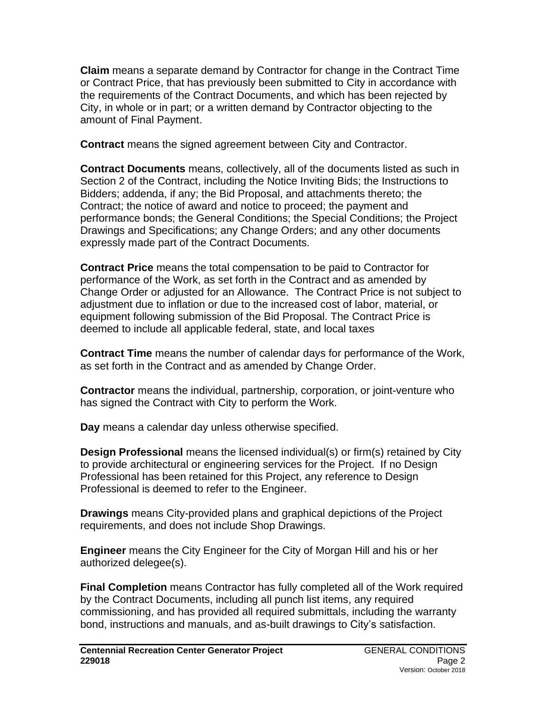**Claim** means a separate demand by Contractor for change in the Contract Time or Contract Price, that has previously been submitted to City in accordance with the requirements of the Contract Documents, and which has been rejected by City, in whole or in part; or a written demand by Contractor objecting to the amount of Final Payment.

**Contract** means the signed agreement between City and Contractor.

**Contract Documents** means, collectively, all of the documents listed as such in Section 2 of the Contract, including the Notice Inviting Bids; the Instructions to Bidders; addenda, if any; the Bid Proposal, and attachments thereto; the Contract; the notice of award and notice to proceed; the payment and performance bonds; the General Conditions; the Special Conditions; the Project Drawings and Specifications; any Change Orders; and any other documents expressly made part of the Contract Documents.

**Contract Price** means the total compensation to be paid to Contractor for performance of the Work, as set forth in the Contract and as amended by Change Order or adjusted for an Allowance. The Contract Price is not subject to adjustment due to inflation or due to the increased cost of labor, material, or equipment following submission of the Bid Proposal. The Contract Price is deemed to include all applicable federal, state, and local taxes

**Contract Time** means the number of calendar days for performance of the Work, as set forth in the Contract and as amended by Change Order.

**Contractor** means the individual, partnership, corporation, or joint-venture who has signed the Contract with City to perform the Work.

**Day** means a calendar day unless otherwise specified.

**Design Professional** means the licensed individual(s) or firm(s) retained by City to provide architectural or engineering services for the Project. If no Design Professional has been retained for this Project, any reference to Design Professional is deemed to refer to the Engineer.

**Drawings** means City-provided plans and graphical depictions of the Project requirements, and does not include Shop Drawings.

**Engineer** means the City Engineer for the City of Morgan Hill and his or her authorized delegee(s).

**Final Completion** means Contractor has fully completed all of the Work required by the Contract Documents, including all punch list items, any required commissioning, and has provided all required submittals, including the warranty bond, instructions and manuals, and as-built drawings to City's satisfaction.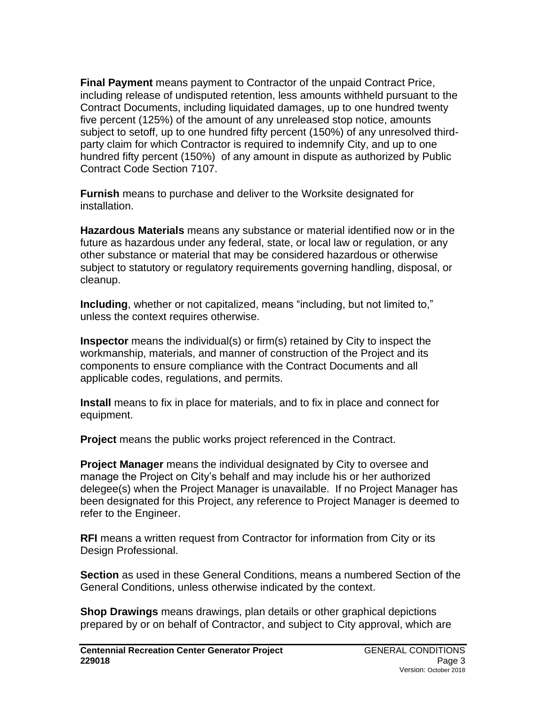**Final Payment** means payment to Contractor of the unpaid Contract Price, including release of undisputed retention, less amounts withheld pursuant to the Contract Documents, including liquidated damages, up to one hundred twenty five percent (125%) of the amount of any unreleased stop notice, amounts subject to setoff, up to one hundred fifty percent (150%) of any unresolved thirdparty claim for which Contractor is required to indemnify City, and up to one hundred fifty percent (150%) of any amount in dispute as authorized by Public Contract Code Section 7107.

**Furnish** means to purchase and deliver to the Worksite designated for installation.

**Hazardous Materials** means any substance or material identified now or in the future as hazardous under any federal, state, or local law or regulation, or any other substance or material that may be considered hazardous or otherwise subject to statutory or regulatory requirements governing handling, disposal, or cleanup.

**Including**, whether or not capitalized, means "including, but not limited to," unless the context requires otherwise.

**Inspector** means the individual(s) or firm(s) retained by City to inspect the workmanship, materials, and manner of construction of the Project and its components to ensure compliance with the Contract Documents and all applicable codes, regulations, and permits.

**Install** means to fix in place for materials, and to fix in place and connect for equipment.

**Project** means the public works project referenced in the Contract.

**Project Manager** means the individual designated by City to oversee and manage the Project on City's behalf and may include his or her authorized delegee(s) when the Project Manager is unavailable. If no Project Manager has been designated for this Project, any reference to Project Manager is deemed to refer to the Engineer.

**RFI** means a written request from Contractor for information from City or its Design Professional.

**Section** as used in these General Conditions, means a numbered Section of the General Conditions, unless otherwise indicated by the context.

**Shop Drawings** means drawings, plan details or other graphical depictions prepared by or on behalf of Contractor, and subject to City approval, which are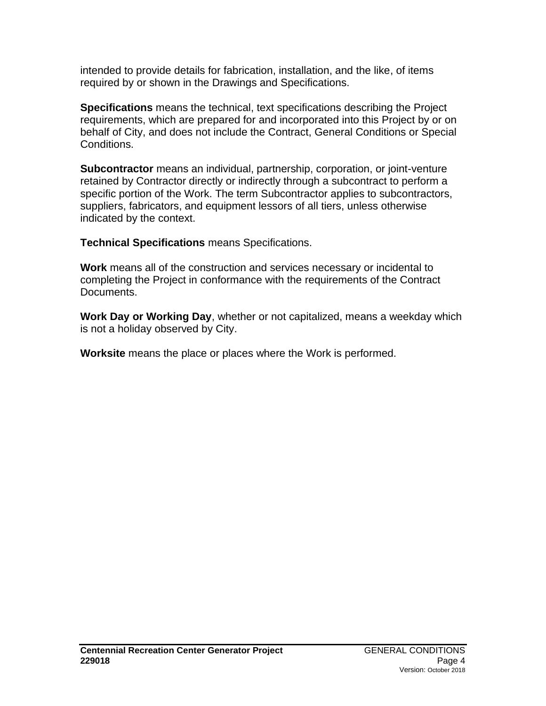intended to provide details for fabrication, installation, and the like, of items required by or shown in the Drawings and Specifications.

**Specifications** means the technical, text specifications describing the Project requirements, which are prepared for and incorporated into this Project by or on behalf of City, and does not include the Contract, General Conditions or Special Conditions.

**Subcontractor** means an individual, partnership, corporation, or joint-venture retained by Contractor directly or indirectly through a subcontract to perform a specific portion of the Work. The term Subcontractor applies to subcontractors, suppliers, fabricators, and equipment lessors of all tiers, unless otherwise indicated by the context.

**Technical Specifications** means Specifications.

**Work** means all of the construction and services necessary or incidental to completing the Project in conformance with the requirements of the Contract Documents.

**Work Day or Working Day**, whether or not capitalized, means a weekday which is not a holiday observed by City.

**Worksite** means the place or places where the Work is performed.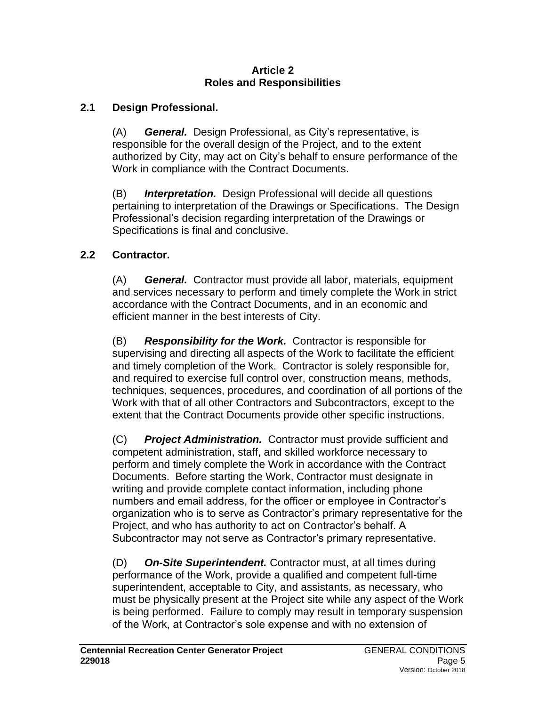#### **Article 2 Roles and Responsibilities**

# **2.1 Design Professional.**

(A) *General.* Design Professional, as City's representative, is responsible for the overall design of the Project, and to the extent authorized by City, may act on City's behalf to ensure performance of the Work in compliance with the Contract Documents.

(B) *Interpretation.* Design Professional will decide all questions pertaining to interpretation of the Drawings or Specifications. The Design Professional's decision regarding interpretation of the Drawings or Specifications is final and conclusive.

# **2.2 Contractor.**

(A) *General.* Contractor must provide all labor, materials, equipment and services necessary to perform and timely complete the Work in strict accordance with the Contract Documents, and in an economic and efficient manner in the best interests of City.

(B) *Responsibility for the Work.* Contractor is responsible for supervising and directing all aspects of the Work to facilitate the efficient and timely completion of the Work. Contractor is solely responsible for, and required to exercise full control over, construction means, methods, techniques, sequences, procedures, and coordination of all portions of the Work with that of all other Contractors and Subcontractors, except to the extent that the Contract Documents provide other specific instructions.

(C) *Project Administration.* Contractor must provide sufficient and competent administration, staff, and skilled workforce necessary to perform and timely complete the Work in accordance with the Contract Documents. Before starting the Work, Contractor must designate in writing and provide complete contact information, including phone numbers and email address, for the officer or employee in Contractor's organization who is to serve as Contractor's primary representative for the Project, and who has authority to act on Contractor's behalf. A Subcontractor may not serve as Contractor's primary representative.

(D) *On-Site Superintendent.* Contractor must, at all times during performance of the Work, provide a qualified and competent full-time superintendent, acceptable to City, and assistants, as necessary, who must be physically present at the Project site while any aspect of the Work is being performed. Failure to comply may result in temporary suspension of the Work, at Contractor's sole expense and with no extension of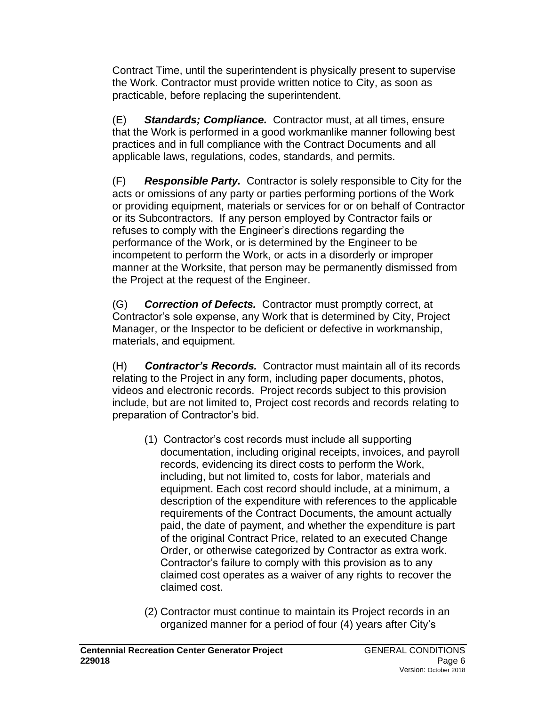Contract Time, until the superintendent is physically present to supervise the Work. Contractor must provide written notice to City, as soon as practicable, before replacing the superintendent.

(E) *Standards; Compliance.* Contractor must, at all times, ensure that the Work is performed in a good workmanlike manner following best practices and in full compliance with the Contract Documents and all applicable laws, regulations, codes, standards, and permits.

(F) *Responsible Party.* Contractor is solely responsible to City for the acts or omissions of any party or parties performing portions of the Work or providing equipment, materials or services for or on behalf of Contractor or its Subcontractors. If any person employed by Contractor fails or refuses to comply with the Engineer's directions regarding the performance of the Work, or is determined by the Engineer to be incompetent to perform the Work, or acts in a disorderly or improper manner at the Worksite, that person may be permanently dismissed from the Project at the request of the Engineer.

(G) *Correction of Defects.* Contractor must promptly correct, at Contractor's sole expense, any Work that is determined by City, Project Manager, or the Inspector to be deficient or defective in workmanship, materials, and equipment.

(H) *Contractor's Records.* Contractor must maintain all of its records relating to the Project in any form, including paper documents, photos, videos and electronic records. Project records subject to this provision include, but are not limited to, Project cost records and records relating to preparation of Contractor's bid.

- (1) Contractor's cost records must include all supporting documentation, including original receipts, invoices, and payroll records, evidencing its direct costs to perform the Work, including, but not limited to, costs for labor, materials and equipment. Each cost record should include, at a minimum, a description of the expenditure with references to the applicable requirements of the Contract Documents, the amount actually paid, the date of payment, and whether the expenditure is part of the original Contract Price, related to an executed Change Order, or otherwise categorized by Contractor as extra work. Contractor's failure to comply with this provision as to any claimed cost operates as a waiver of any rights to recover the claimed cost.
- (2) Contractor must continue to maintain its Project records in an organized manner for a period of four (4) years after City's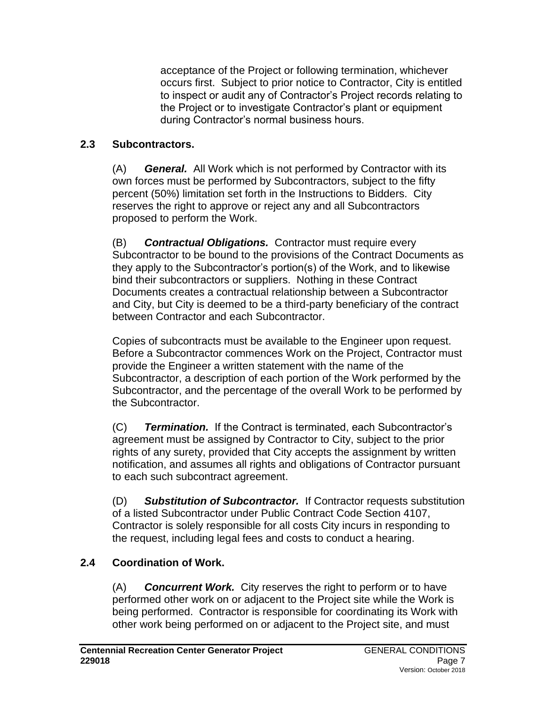acceptance of the Project or following termination, whichever occurs first. Subject to prior notice to Contractor, City is entitled to inspect or audit any of Contractor's Project records relating to the Project or to investigate Contractor's plant or equipment during Contractor's normal business hours.

# **2.3 Subcontractors.**

(A) *General.* All Work which is not performed by Contractor with its own forces must be performed by Subcontractors, subject to the fifty percent (50%) limitation set forth in the Instructions to Bidders. City reserves the right to approve or reject any and all Subcontractors proposed to perform the Work.

(B) *Contractual Obligations.* Contractor must require every Subcontractor to be bound to the provisions of the Contract Documents as they apply to the Subcontractor's portion(s) of the Work, and to likewise bind their subcontractors or suppliers. Nothing in these Contract Documents creates a contractual relationship between a Subcontractor and City, but City is deemed to be a third-party beneficiary of the contract between Contractor and each Subcontractor.

Copies of subcontracts must be available to the Engineer upon request. Before a Subcontractor commences Work on the Project, Contractor must provide the Engineer a written statement with the name of the Subcontractor, a description of each portion of the Work performed by the Subcontractor, and the percentage of the overall Work to be performed by the Subcontractor.

(C) *Termination.* If the Contract is terminated, each Subcontractor's agreement must be assigned by Contractor to City, subject to the prior rights of any surety, provided that City accepts the assignment by written notification, and assumes all rights and obligations of Contractor pursuant to each such subcontract agreement.

(D) *Substitution of Subcontractor.* If Contractor requests substitution of a listed Subcontractor under Public Contract Code Section 4107, Contractor is solely responsible for all costs City incurs in responding to the request, including legal fees and costs to conduct a hearing.

# **2.4 Coordination of Work.**

(A) *Concurrent Work.* City reserves the right to perform or to have performed other work on or adjacent to the Project site while the Work is being performed. Contractor is responsible for coordinating its Work with other work being performed on or adjacent to the Project site, and must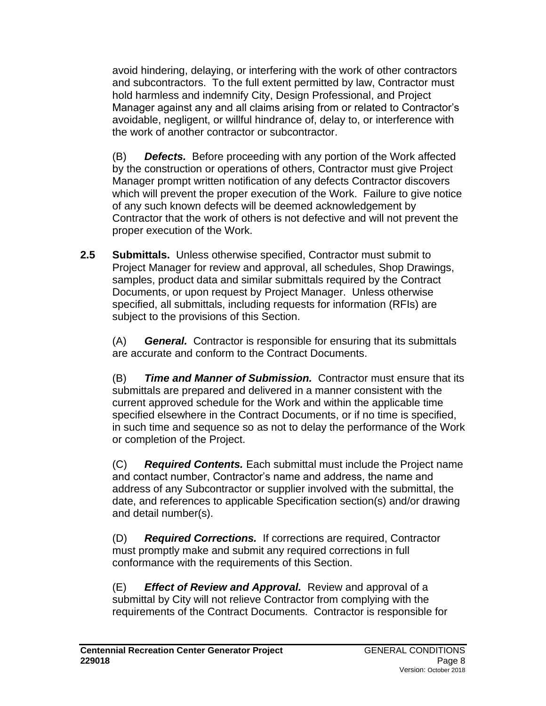avoid hindering, delaying, or interfering with the work of other contractors and subcontractors. To the full extent permitted by law, Contractor must hold harmless and indemnify City, Design Professional, and Project Manager against any and all claims arising from or related to Contractor's avoidable, negligent, or willful hindrance of, delay to, or interference with the work of another contractor or subcontractor.

(B) *Defects.* Before proceeding with any portion of the Work affected by the construction or operations of others, Contractor must give Project Manager prompt written notification of any defects Contractor discovers which will prevent the proper execution of the Work. Failure to give notice of any such known defects will be deemed acknowledgement by Contractor that the work of others is not defective and will not prevent the proper execution of the Work.

**2.5 Submittals.** Unless otherwise specified, Contractor must submit to Project Manager for review and approval, all schedules, Shop Drawings, samples, product data and similar submittals required by the Contract Documents, or upon request by Project Manager. Unless otherwise specified, all submittals, including requests for information (RFIs) are subject to the provisions of this Section.

(A) *General.* Contractor is responsible for ensuring that its submittals are accurate and conform to the Contract Documents.

(B) *Time and Manner of Submission.* Contractor must ensure that its submittals are prepared and delivered in a manner consistent with the current approved schedule for the Work and within the applicable time specified elsewhere in the Contract Documents, or if no time is specified, in such time and sequence so as not to delay the performance of the Work or completion of the Project.

(C) *Required Contents.* Each submittal must include the Project name and contact number, Contractor's name and address, the name and address of any Subcontractor or supplier involved with the submittal, the date, and references to applicable Specification section(s) and/or drawing and detail number(s).

(D) *Required Corrections.* If corrections are required, Contractor must promptly make and submit any required corrections in full conformance with the requirements of this Section.

(E) *Effect of Review and Approval.* Review and approval of a submittal by City will not relieve Contractor from complying with the requirements of the Contract Documents. Contractor is responsible for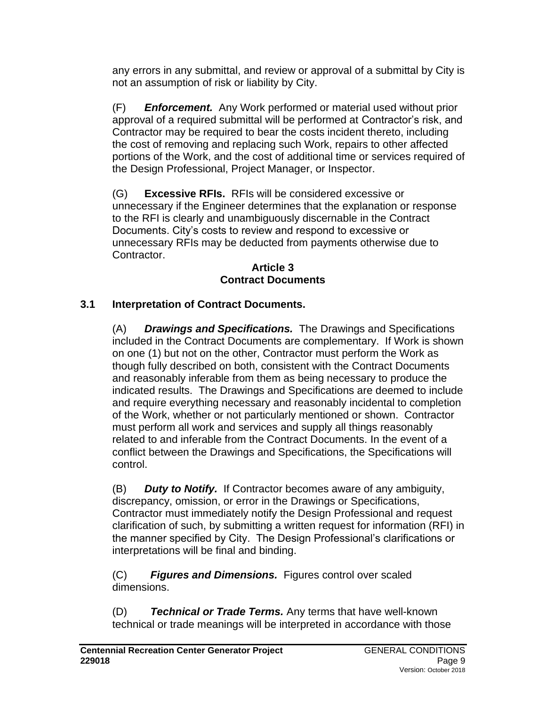any errors in any submittal, and review or approval of a submittal by City is not an assumption of risk or liability by City.

(F) *Enforcement.* Any Work performed or material used without prior approval of a required submittal will be performed at Contractor's risk, and Contractor may be required to bear the costs incident thereto, including the cost of removing and replacing such Work, repairs to other affected portions of the Work, and the cost of additional time or services required of the Design Professional, Project Manager, or Inspector.

(G) **Excessive RFIs.** RFIs will be considered excessive or unnecessary if the Engineer determines that the explanation or response to the RFI is clearly and unambiguously discernable in the Contract Documents. City's costs to review and respond to excessive or unnecessary RFIs may be deducted from payments otherwise due to Contractor.

#### **Article 3 Contract Documents**

# **3.1 Interpretation of Contract Documents.**

(A) *Drawings and Specifications.* The Drawings and Specifications included in the Contract Documents are complementary. If Work is shown on one (1) but not on the other, Contractor must perform the Work as though fully described on both, consistent with the Contract Documents and reasonably inferable from them as being necessary to produce the indicated results. The Drawings and Specifications are deemed to include and require everything necessary and reasonably incidental to completion of the Work, whether or not particularly mentioned or shown. Contractor must perform all work and services and supply all things reasonably related to and inferable from the Contract Documents. In the event of a conflict between the Drawings and Specifications, the Specifications will control.

(B) *Duty to Notify.* If Contractor becomes aware of any ambiguity, discrepancy, omission, or error in the Drawings or Specifications, Contractor must immediately notify the Design Professional and request clarification of such, by submitting a written request for information (RFI) in the manner specified by City. The Design Professional's clarifications or interpretations will be final and binding.

(C)*Figures and Dimensions.* Figures control over scaled dimensions.

(D) *Technical or Trade Terms.* Any terms that have well-known technical or trade meanings will be interpreted in accordance with those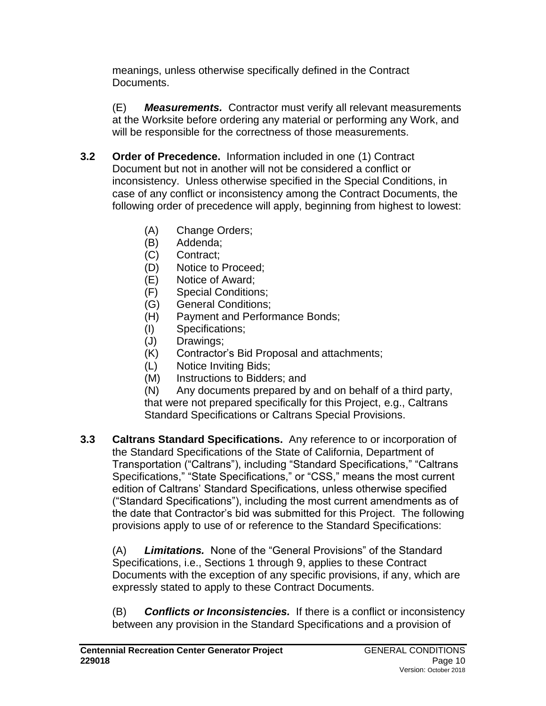meanings, unless otherwise specifically defined in the Contract Documents.

(E) *Measurements.* Contractor must verify all relevant measurements at the Worksite before ordering any material or performing any Work, and will be responsible for the correctness of those measurements.

- **3.2 Order of Precedence.** Information included in one (1) Contract Document but not in another will not be considered a conflict or inconsistency. Unless otherwise specified in the Special Conditions, in case of any conflict or inconsistency among the Contract Documents, the following order of precedence will apply, beginning from highest to lowest:
	- (A) Change Orders;
	- (B) Addenda;
	- (C) Contract;
	- (D) Notice to Proceed;
	- (E) Notice of Award;
	- (F) Special Conditions;
	- (G) General Conditions;
	- (H) Payment and Performance Bonds;
	- (I) Specifications;
	- (J) Drawings;
	- (K) Contractor's Bid Proposal and attachments;
	- (L) Notice Inviting Bids;
	- (M) Instructions to Bidders; and

(N) Any documents prepared by and on behalf of a third party, that were not prepared specifically for this Project, e.g., Caltrans Standard Specifications or Caltrans Special Provisions.

**3.3 Caltrans Standard Specifications.** Any reference to or incorporation of the Standard Specifications of the State of California, Department of Transportation ("Caltrans"), including "Standard Specifications," "Caltrans Specifications," "State Specifications," or "CSS," means the most current edition of Caltrans' Standard Specifications, unless otherwise specified ("Standard Specifications"), including the most current amendments as of the date that Contractor's bid was submitted for this Project. The following provisions apply to use of or reference to the Standard Specifications:

(A) *Limitations.* None of the "General Provisions" of the Standard Specifications, i.e., Sections 1 through 9, applies to these Contract Documents with the exception of any specific provisions, if any, which are expressly stated to apply to these Contract Documents.

(B) *Conflicts or Inconsistencies.* If there is a conflict or inconsistency between any provision in the Standard Specifications and a provision of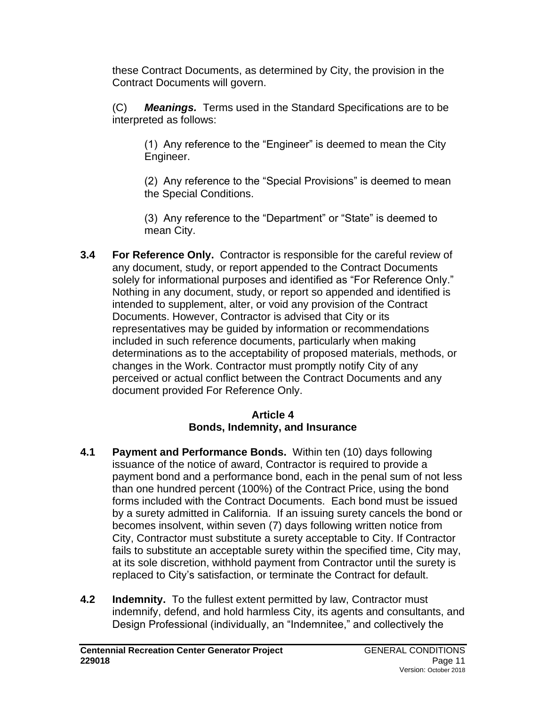these Contract Documents, as determined by City, the provision in the Contract Documents will govern.

(C) *Meanings.* Terms used in the Standard Specifications are to be interpreted as follows:

(1) Any reference to the "Engineer" is deemed to mean the City Engineer.

(2) Any reference to the "Special Provisions" is deemed to mean the Special Conditions.

(3) Any reference to the "Department" or "State" is deemed to mean City.

**3.4 For Reference Only.** Contractor is responsible for the careful review of any document, study, or report appended to the Contract Documents solely for informational purposes and identified as "For Reference Only." Nothing in any document, study, or report so appended and identified is intended to supplement, alter, or void any provision of the Contract Documents. However, Contractor is advised that City or its representatives may be guided by information or recommendations included in such reference documents, particularly when making determinations as to the acceptability of proposed materials, methods, or changes in the Work. Contractor must promptly notify City of any perceived or actual conflict between the Contract Documents and any document provided For Reference Only.

### **Article 4 Bonds, Indemnity, and Insurance**

- **4.1 Payment and Performance Bonds.** Within ten (10) days following issuance of the notice of award, Contractor is required to provide a payment bond and a performance bond, each in the penal sum of not less than one hundred percent (100%) of the Contract Price, using the bond forms included with the Contract Documents. Each bond must be issued by a surety admitted in California. If an issuing surety cancels the bond or becomes insolvent, within seven (7) days following written notice from City, Contractor must substitute a surety acceptable to City. If Contractor fails to substitute an acceptable surety within the specified time, City may, at its sole discretion, withhold payment from Contractor until the surety is replaced to City's satisfaction, or terminate the Contract for default.
- **4.2 Indemnity.** To the fullest extent permitted by law, Contractor must indemnify, defend, and hold harmless City, its agents and consultants, and Design Professional (individually, an "Indemnitee," and collectively the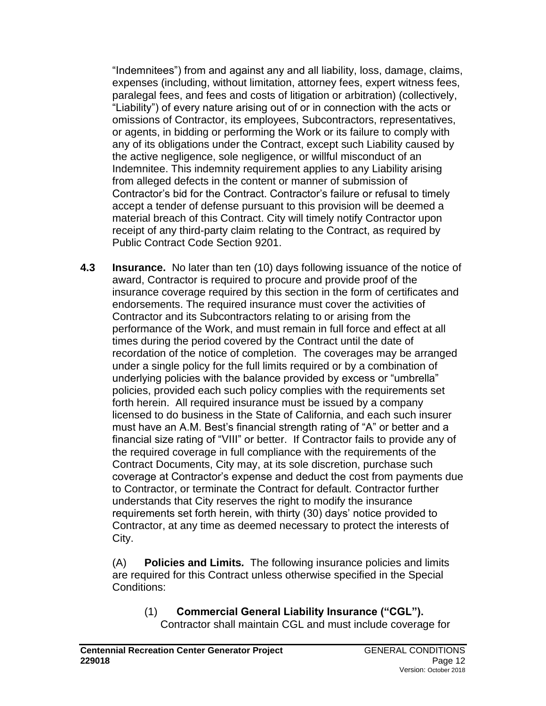"Indemnitees") from and against any and all liability, loss, damage, claims, expenses (including, without limitation, attorney fees, expert witness fees, paralegal fees, and fees and costs of litigation or arbitration) (collectively, "Liability") of every nature arising out of or in connection with the acts or omissions of Contractor, its employees, Subcontractors, representatives, or agents, in bidding or performing the Work or its failure to comply with any of its obligations under the Contract, except such Liability caused by the active negligence, sole negligence, or willful misconduct of an Indemnitee. This indemnity requirement applies to any Liability arising from alleged defects in the content or manner of submission of Contractor's bid for the Contract. Contractor's failure or refusal to timely accept a tender of defense pursuant to this provision will be deemed a material breach of this Contract. City will timely notify Contractor upon receipt of any third-party claim relating to the Contract, as required by Public Contract Code Section 9201.

**4.3 Insurance.** No later than ten (10) days following issuance of the notice of award, Contractor is required to procure and provide proof of the insurance coverage required by this section in the form of certificates and endorsements. The required insurance must cover the activities of Contractor and its Subcontractors relating to or arising from the performance of the Work, and must remain in full force and effect at all times during the period covered by the Contract until the date of recordation of the notice of completion. The coverages may be arranged under a single policy for the full limits required or by a combination of underlying policies with the balance provided by excess or "umbrella" policies, provided each such policy complies with the requirements set forth herein. All required insurance must be issued by a company licensed to do business in the State of California, and each such insurer must have an A.M. Best's financial strength rating of "A" or better and a financial size rating of "VIII" or better. If Contractor fails to provide any of the required coverage in full compliance with the requirements of the Contract Documents, City may, at its sole discretion, purchase such coverage at Contractor's expense and deduct the cost from payments due to Contractor, or terminate the Contract for default. Contractor further understands that City reserves the right to modify the insurance requirements set forth herein, with thirty (30) days' notice provided to Contractor, at any time as deemed necessary to protect the interests of City.

(A) **Policies and Limits***.* The following insurance policies and limits are required for this Contract unless otherwise specified in the Special Conditions:

(1) **Commercial General Liability Insurance ("CGL").** Contractor shall maintain CGL and must include coverage for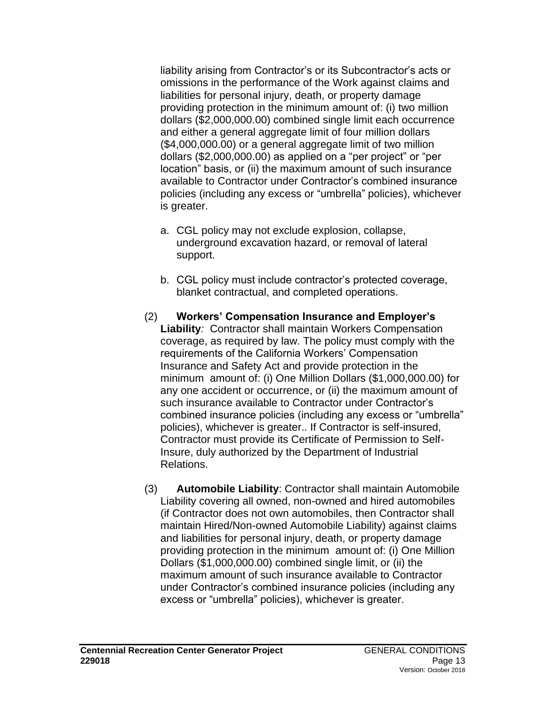liability arising from Contractor's or its Subcontractor's acts or omissions in the performance of the Work against claims and liabilities for personal injury, death, or property damage providing protection in the minimum amount of: (i) two million dollars (\$2,000,000.00) combined single limit each occurrence and either a general aggregate limit of four million dollars (\$4,000,000.00) or a general aggregate limit of two million dollars (\$2,000,000.00) as applied on a "per project" or "per location" basis, or (ii) the maximum amount of such insurance available to Contractor under Contractor's combined insurance policies (including any excess or "umbrella" policies), whichever is greater.

- a. CGL policy may not exclude explosion, collapse, underground excavation hazard, or removal of lateral support.
- b. CGL policy must include contractor's protected coverage, blanket contractual, and completed operations.
- (2) **Workers' Compensation Insurance and Employer's Liability***:* Contractor shall maintain Workers Compensation coverage, as required by law. The policy must comply with the requirements of the California Workers' Compensation Insurance and Safety Act and provide protection in the minimum amount of: (i) One Million Dollars (\$1,000,000.00) for any one accident or occurrence, or (ii) the maximum amount of such insurance available to Contractor under Contractor's combined insurance policies (including any excess or "umbrella" policies), whichever is greater.. If Contractor is self-insured, Contractor must provide its Certificate of Permission to Self-Insure, duly authorized by the Department of Industrial Relations.
- (3) **Automobile Liability**: Contractor shall maintain Automobile Liability covering all owned, non-owned and hired automobiles (if Contractor does not own automobiles, then Contractor shall maintain Hired/Non-owned Automobile Liability) against claims and liabilities for personal injury, death, or property damage providing protection in the minimum amount of: (i) One Million Dollars (\$1,000,000.00) combined single limit, or (ii) the maximum amount of such insurance available to Contractor under Contractor's combined insurance policies (including any excess or "umbrella" policies), whichever is greater.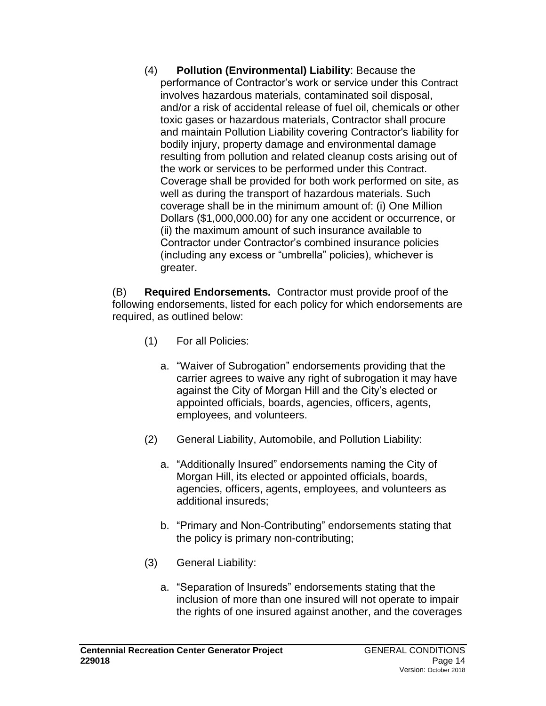(4) **Pollution (Environmental) Liability**: Because the performance of Contractor's work or service under this Contract involves hazardous materials, contaminated soil disposal, and/or a risk of accidental release of fuel oil, chemicals or other toxic gases or hazardous materials, Contractor shall procure and maintain Pollution Liability covering Contractor's liability for bodily injury, property damage and environmental damage resulting from pollution and related cleanup costs arising out of the work or services to be performed under this Contract. Coverage shall be provided for both work performed on site, as well as during the transport of hazardous materials. Such coverage shall be in the minimum amount of: (i) One Million Dollars (\$1,000,000.00) for any one accident or occurrence, or (ii) the maximum amount of such insurance available to Contractor under Contractor's combined insurance policies (including any excess or "umbrella" policies), whichever is greater.

(B) **Required Endorsements***.* Contractor must provide proof of the following endorsements, listed for each policy for which endorsements are required, as outlined below:

- (1) For all Policies:
	- a. "Waiver of Subrogation" endorsements providing that the carrier agrees to waive any right of subrogation it may have against the City of Morgan Hill and the City's elected or appointed officials, boards, agencies, officers, agents, employees, and volunteers.
- (2) General Liability, Automobile, and Pollution Liability:
	- a. "Additionally Insured" endorsements naming the City of Morgan Hill, its elected or appointed officials, boards, agencies, officers, agents, employees, and volunteers as additional insureds;
	- b. "Primary and Non-Contributing" endorsements stating that the policy is primary non-contributing;
- (3) General Liability:
	- a. "Separation of Insureds" endorsements stating that the inclusion of more than one insured will not operate to impair the rights of one insured against another, and the coverages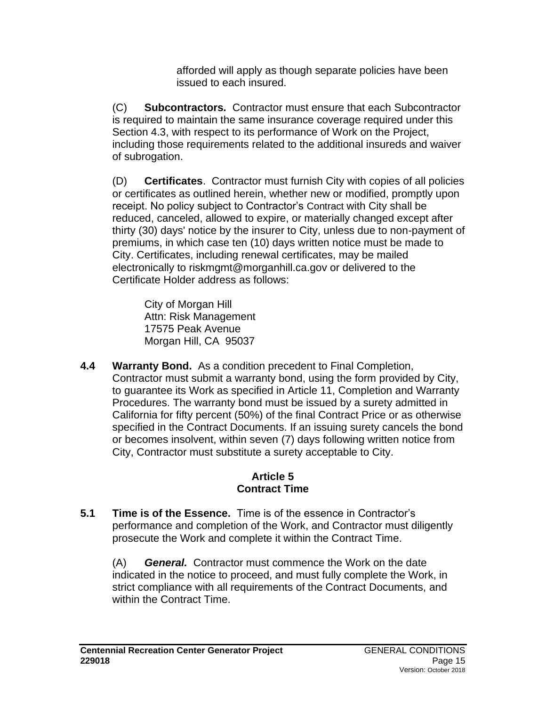afforded will apply as though separate policies have been issued to each insured.

(C) **Subcontractors***.* Contractor must ensure that each Subcontractor is required to maintain the same insurance coverage required under this Section 4.3, with respect to its performance of Work on the Project, including those requirements related to the additional insureds and waiver of subrogation.

(D) **Certificates**. Contractor must furnish City with copies of all policies or certificates as outlined herein, whether new or modified, promptly upon receipt. No policy subject to Contractor's Contract with City shall be reduced, canceled, allowed to expire, or materially changed except after thirty (30) days' notice by the insurer to City, unless due to non-payment of premiums, in which case ten (10) days written notice must be made to City. Certificates, including renewal certificates, may be mailed electronically to riskmgmt@morganhill.ca.gov or delivered to the Certificate Holder address as follows:

City of Morgan Hill Attn: Risk Management 17575 Peak Avenue Morgan Hill, CA 95037

**4.4 Warranty Bond.** As a condition precedent to Final Completion, Contractor must submit a warranty bond, using the form provided by City, to guarantee its Work as specified in Article 11, Completion and Warranty Procedures. The warranty bond must be issued by a surety admitted in California for fifty percent (50%) of the final Contract Price or as otherwise specified in the Contract Documents. If an issuing surety cancels the bond or becomes insolvent, within seven (7) days following written notice from City, Contractor must substitute a surety acceptable to City.

# **Article 5 Contract Time**

**5.1 Time is of the Essence.** Time is of the essence in Contractor's performance and completion of the Work, and Contractor must diligently prosecute the Work and complete it within the Contract Time.

(A) *General.* Contractor must commence the Work on the date indicated in the notice to proceed, and must fully complete the Work, in strict compliance with all requirements of the Contract Documents, and within the Contract Time.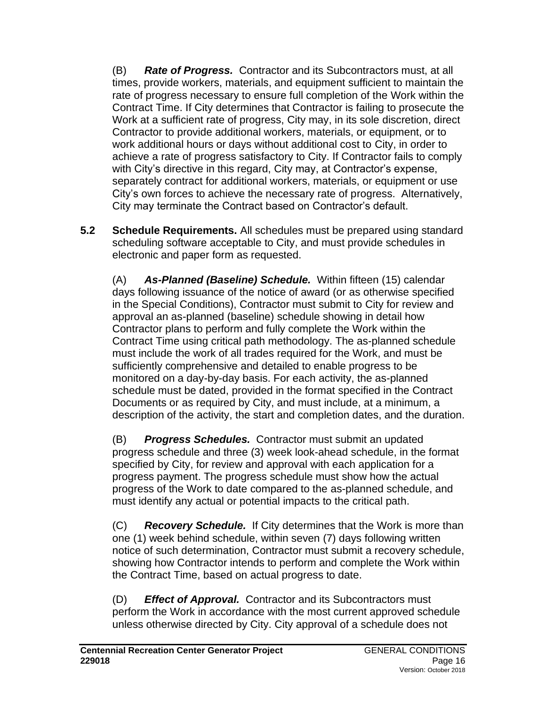(B) *Rate of Progress.* Contractor and its Subcontractors must, at all times, provide workers, materials, and equipment sufficient to maintain the rate of progress necessary to ensure full completion of the Work within the Contract Time. If City determines that Contractor is failing to prosecute the Work at a sufficient rate of progress, City may, in its sole discretion, direct Contractor to provide additional workers, materials, or equipment, or to work additional hours or days without additional cost to City, in order to achieve a rate of progress satisfactory to City. If Contractor fails to comply with City's directive in this regard, City may, at Contractor's expense, separately contract for additional workers, materials, or equipment or use City's own forces to achieve the necessary rate of progress. Alternatively, City may terminate the Contract based on Contractor's default.

**5.2 Schedule Requirements.** All schedules must be prepared using standard scheduling software acceptable to City, and must provide schedules in electronic and paper form as requested.

(A) *As-Planned (Baseline) Schedule.* Within fifteen (15) calendar days following issuance of the notice of award (or as otherwise specified in the Special Conditions), Contractor must submit to City for review and approval an as-planned (baseline) schedule showing in detail how Contractor plans to perform and fully complete the Work within the Contract Time using critical path methodology. The as-planned schedule must include the work of all trades required for the Work, and must be sufficiently comprehensive and detailed to enable progress to be monitored on a day-by-day basis. For each activity, the as-planned schedule must be dated, provided in the format specified in the Contract Documents or as required by City, and must include, at a minimum, a description of the activity, the start and completion dates, and the duration.

(B) *Progress Schedules.* Contractor must submit an updated progress schedule and three (3) week look-ahead schedule, in the format specified by City, for review and approval with each application for a progress payment. The progress schedule must show how the actual progress of the Work to date compared to the as-planned schedule, and must identify any actual or potential impacts to the critical path.

(C) *Recovery Schedule.* If City determines that the Work is more than one (1) week behind schedule, within seven (7) days following written notice of such determination, Contractor must submit a recovery schedule, showing how Contractor intends to perform and complete the Work within the Contract Time, based on actual progress to date.

(D) *Effect of Approval.* Contractor and its Subcontractors must perform the Work in accordance with the most current approved schedule unless otherwise directed by City. City approval of a schedule does not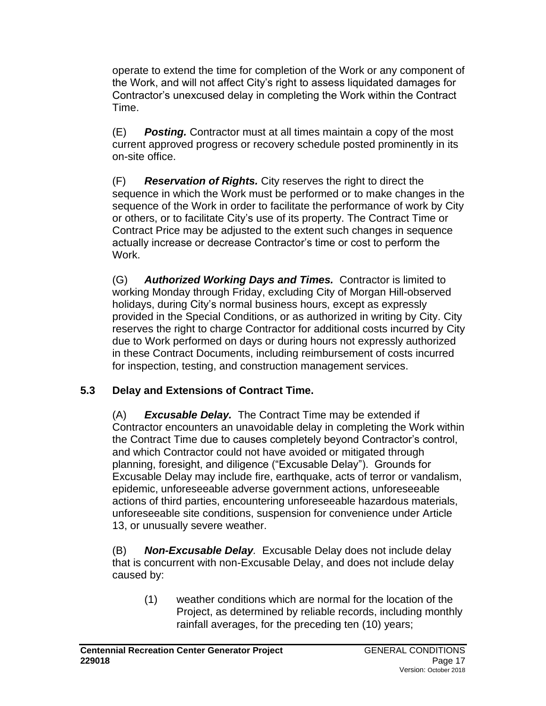operate to extend the time for completion of the Work or any component of the Work, and will not affect City's right to assess liquidated damages for Contractor's unexcused delay in completing the Work within the Contract Time.

(E) *Posting.* Contractor must at all times maintain a copy of the most current approved progress or recovery schedule posted prominently in its on-site office.

(F) *Reservation of Rights.* City reserves the right to direct the sequence in which the Work must be performed or to make changes in the sequence of the Work in order to facilitate the performance of work by City or others, or to facilitate City's use of its property. The Contract Time or Contract Price may be adjusted to the extent such changes in sequence actually increase or decrease Contractor's time or cost to perform the Work.

(G) *Authorized Working Days and Times.* Contractor is limited to working Monday through Friday, excluding City of Morgan Hill-observed holidays, during City's normal business hours, except as expressly provided in the Special Conditions, or as authorized in writing by City. City reserves the right to charge Contractor for additional costs incurred by City due to Work performed on days or during hours not expressly authorized in these Contract Documents, including reimbursement of costs incurred for inspection, testing, and construction management services.

# **5.3 Delay and Extensions of Contract Time.**

(A) *Excusable Delay.* The Contract Time may be extended if Contractor encounters an unavoidable delay in completing the Work within the Contract Time due to causes completely beyond Contractor's control, and which Contractor could not have avoided or mitigated through planning, foresight, and diligence ("Excusable Delay"). Grounds for Excusable Delay may include fire, earthquake, acts of terror or vandalism, epidemic, unforeseeable adverse government actions, unforeseeable actions of third parties, encountering unforeseeable hazardous materials, unforeseeable site conditions, suspension for convenience under Article 13, or unusually severe weather.

(B) *Non-Excusable Delay.* Excusable Delay does not include delay that is concurrent with non-Excusable Delay, and does not include delay caused by:

(1) weather conditions which are normal for the location of the Project, as determined by reliable records, including monthly rainfall averages, for the preceding ten (10) years;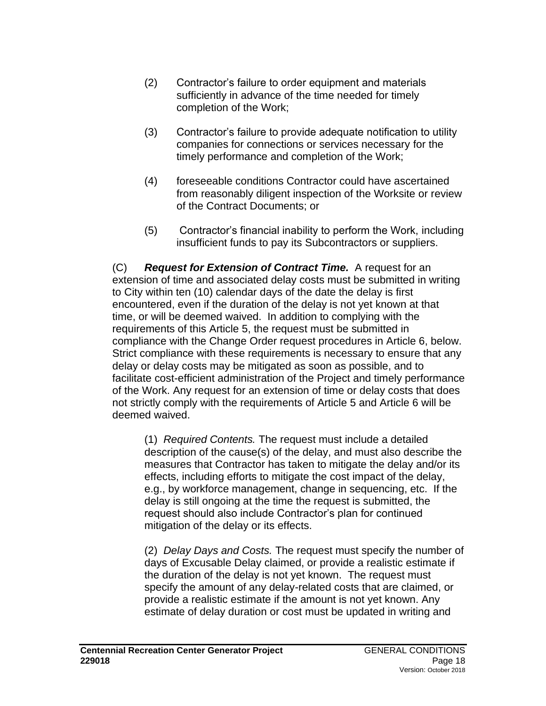- (2) Contractor's failure to order equipment and materials sufficiently in advance of the time needed for timely completion of the Work;
- (3) Contractor's failure to provide adequate notification to utility companies for connections or services necessary for the timely performance and completion of the Work;
- (4) foreseeable conditions Contractor could have ascertained from reasonably diligent inspection of the Worksite or review of the Contract Documents; or
- (5) Contractor's financial inability to perform the Work, including insufficient funds to pay its Subcontractors or suppliers.

(C) *Request for Extension of Contract Time.* A request for an extension of time and associated delay costs must be submitted in writing to City within ten (10) calendar days of the date the delay is first encountered, even if the duration of the delay is not yet known at that time, or will be deemed waived. In addition to complying with the requirements of this Article 5, the request must be submitted in compliance with the Change Order request procedures in Article 6, below. Strict compliance with these requirements is necessary to ensure that any delay or delay costs may be mitigated as soon as possible, and to facilitate cost-efficient administration of the Project and timely performance of the Work. Any request for an extension of time or delay costs that does not strictly comply with the requirements of Article 5 and Article 6 will be deemed waived.

(1) *Required Contents.* The request must include a detailed description of the cause(s) of the delay, and must also describe the measures that Contractor has taken to mitigate the delay and/or its effects, including efforts to mitigate the cost impact of the delay, e.g., by workforce management, change in sequencing, etc. If the delay is still ongoing at the time the request is submitted, the request should also include Contractor's plan for continued mitigation of the delay or its effects.

(2) *Delay Days and Costs.* The request must specify the number of days of Excusable Delay claimed, or provide a realistic estimate if the duration of the delay is not yet known. The request must specify the amount of any delay-related costs that are claimed, or provide a realistic estimate if the amount is not yet known. Any estimate of delay duration or cost must be updated in writing and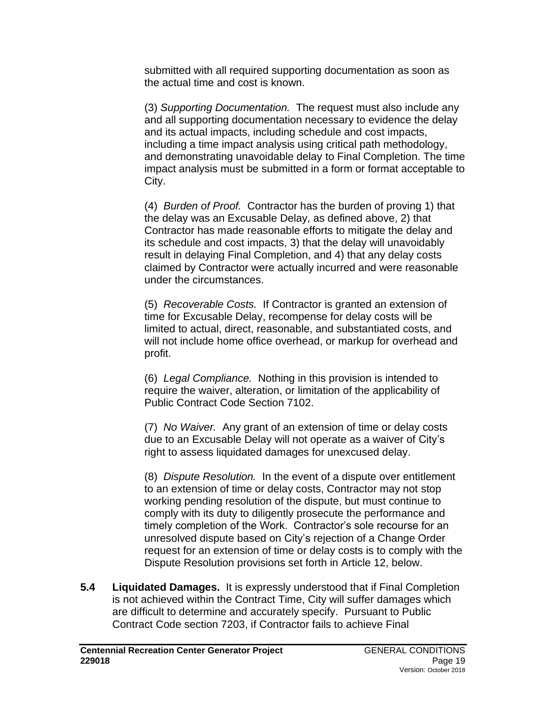submitted with all required supporting documentation as soon as the actual time and cost is known.

(3) *Supporting Documentation.* The request must also include any and all supporting documentation necessary to evidence the delay and its actual impacts, including schedule and cost impacts, including a time impact analysis using critical path methodology, and demonstrating unavoidable delay to Final Completion. The time impact analysis must be submitted in a form or format acceptable to City.

(4) *Burden of Proof.* Contractor has the burden of proving 1) that the delay was an Excusable Delay, as defined above, 2) that Contractor has made reasonable efforts to mitigate the delay and its schedule and cost impacts, 3) that the delay will unavoidably result in delaying Final Completion, and 4) that any delay costs claimed by Contractor were actually incurred and were reasonable under the circumstances.

(5) *Recoverable Costs.* If Contractor is granted an extension of time for Excusable Delay, recompense for delay costs will be limited to actual, direct, reasonable, and substantiated costs, and will not include home office overhead, or markup for overhead and profit.

(6) *Legal Compliance.* Nothing in this provision is intended to require the waiver, alteration, or limitation of the applicability of Public Contract Code Section 7102.

(7) *No Waiver.* Any grant of an extension of time or delay costs due to an Excusable Delay will not operate as a waiver of City's right to assess liquidated damages for unexcused delay.

(8) *Dispute Resolution.* In the event of a dispute over entitlement to an extension of time or delay costs, Contractor may not stop working pending resolution of the dispute, but must continue to comply with its duty to diligently prosecute the performance and timely completion of the Work. Contractor's sole recourse for an unresolved dispute based on City's rejection of a Change Order request for an extension of time or delay costs is to comply with the Dispute Resolution provisions set forth in Article 12, below.

**5.4 Liquidated Damages.** It is expressly understood that if Final Completion is not achieved within the Contract Time, City will suffer damages which are difficult to determine and accurately specify. Pursuant to Public Contract Code section 7203, if Contractor fails to achieve Final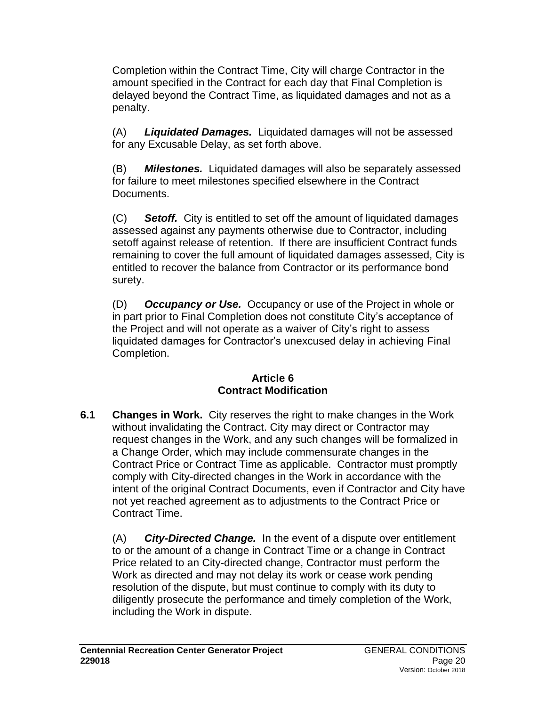Completion within the Contract Time, City will charge Contractor in the amount specified in the Contract for each day that Final Completion is delayed beyond the Contract Time, as liquidated damages and not as a penalty.

(A) *Liquidated Damages.* Liquidated damages will not be assessed for any Excusable Delay, as set forth above.

(B) *Milestones.* Liquidated damages will also be separately assessed for failure to meet milestones specified elsewhere in the Contract **Documents** 

(C) *Setoff.* City is entitled to set off the amount of liquidated damages assessed against any payments otherwise due to Contractor, including setoff against release of retention. If there are insufficient Contract funds remaining to cover the full amount of liquidated damages assessed, City is entitled to recover the balance from Contractor or its performance bond surety.

(D) *Occupancy or Use.* Occupancy or use of the Project in whole or in part prior to Final Completion does not constitute City's acceptance of the Project and will not operate as a waiver of City's right to assess liquidated damages for Contractor's unexcused delay in achieving Final Completion.

### **Article 6 Contract Modification**

**6.1 Changes in Work.** City reserves the right to make changes in the Work without invalidating the Contract. City may direct or Contractor may request changes in the Work, and any such changes will be formalized in a Change Order, which may include commensurate changes in the Contract Price or Contract Time as applicable. Contractor must promptly comply with City-directed changes in the Work in accordance with the intent of the original Contract Documents, even if Contractor and City have not yet reached agreement as to adjustments to the Contract Price or Contract Time.

(A) *City-Directed Change.* In the event of a dispute over entitlement to or the amount of a change in Contract Time or a change in Contract Price related to an City-directed change, Contractor must perform the Work as directed and may not delay its work or cease work pending resolution of the dispute, but must continue to comply with its duty to diligently prosecute the performance and timely completion of the Work, including the Work in dispute.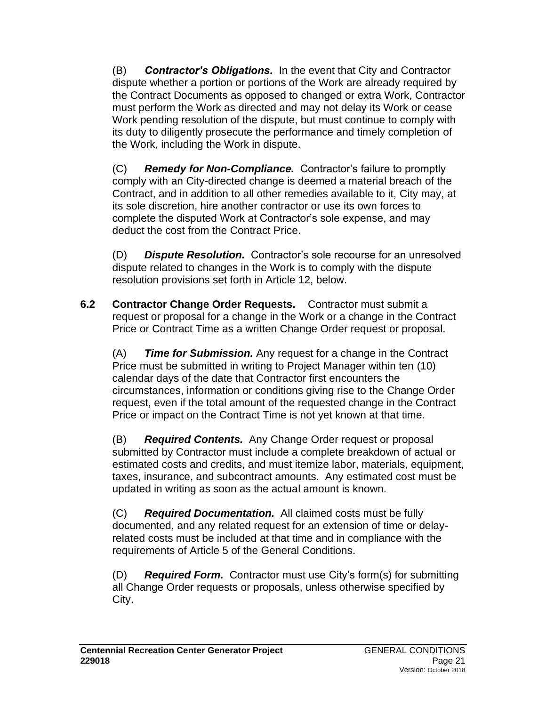(B) *Contractor's Obligations.* In the event that City and Contractor dispute whether a portion or portions of the Work are already required by the Contract Documents as opposed to changed or extra Work, Contractor must perform the Work as directed and may not delay its Work or cease Work pending resolution of the dispute, but must continue to comply with its duty to diligently prosecute the performance and timely completion of the Work, including the Work in dispute.

(C) *Remedy for Non-Compliance.* Contractor's failure to promptly comply with an City-directed change is deemed a material breach of the Contract, and in addition to all other remedies available to it, City may, at its sole discretion, hire another contractor or use its own forces to complete the disputed Work at Contractor's sole expense, and may deduct the cost from the Contract Price.

(D) *Dispute Resolution.* Contractor's sole recourse for an unresolved dispute related to changes in the Work is to comply with the dispute resolution provisions set forth in Article 12, below.

**6.2 Contractor Change Order Requests.** Contractor must submit a request or proposal for a change in the Work or a change in the Contract Price or Contract Time as a written Change Order request or proposal.

(A) *Time for Submission.* Any request for a change in the Contract Price must be submitted in writing to Project Manager within ten (10) calendar days of the date that Contractor first encounters the circumstances, information or conditions giving rise to the Change Order request, even if the total amount of the requested change in the Contract Price or impact on the Contract Time is not yet known at that time.

(B) *Required Contents.* Any Change Order request or proposal submitted by Contractor must include a complete breakdown of actual or estimated costs and credits, and must itemize labor, materials, equipment, taxes, insurance, and subcontract amounts. Any estimated cost must be updated in writing as soon as the actual amount is known.

(C) *Required Documentation.* All claimed costs must be fully documented, and any related request for an extension of time or delayrelated costs must be included at that time and in compliance with the requirements of Article 5 of the General Conditions.

(D) *Required Form.* Contractor must use City's form(s) for submitting all Change Order requests or proposals, unless otherwise specified by City.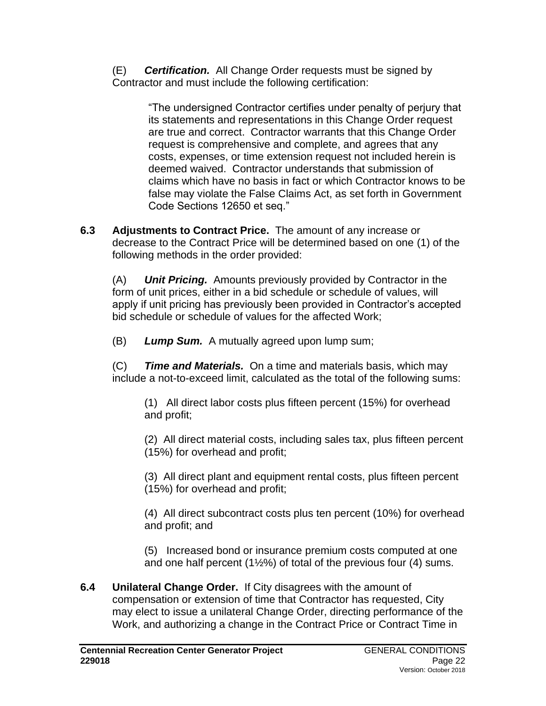(E) *Certification.* All Change Order requests must be signed by Contractor and must include the following certification:

> "The undersigned Contractor certifies under penalty of perjury that its statements and representations in this Change Order request are true and correct. Contractor warrants that this Change Order request is comprehensive and complete, and agrees that any costs, expenses, or time extension request not included herein is deemed waived. Contractor understands that submission of claims which have no basis in fact or which Contractor knows to be false may violate the False Claims Act, as set forth in Government Code Sections 12650 et seq."

**6.3 Adjustments to Contract Price.** The amount of any increase or decrease to the Contract Price will be determined based on one (1) of the following methods in the order provided:

(A) *Unit Pricing.* Amounts previously provided by Contractor in the form of unit prices, either in a bid schedule or schedule of values, will apply if unit pricing has previously been provided in Contractor's accepted bid schedule or schedule of values for the affected Work;

(B) *Lump Sum.* A mutually agreed upon lump sum;

(C) *Time and Materials.* On a time and materials basis, which may include a not-to-exceed limit, calculated as the total of the following sums:

(1) All direct labor costs plus fifteen percent (15%) for overhead and profit;

(2) All direct material costs, including sales tax, plus fifteen percent (15%) for overhead and profit;

(3) All direct plant and equipment rental costs, plus fifteen percent (15%) for overhead and profit;

(4) All direct subcontract costs plus ten percent (10%) for overhead and profit; and

(5) Increased bond or insurance premium costs computed at one and one half percent (1½%) of total of the previous four (4) sums.

**6.4 Unilateral Change Order.**If City disagrees with the amount of compensation or extension of time that Contractor has requested, City may elect to issue a unilateral Change Order, directing performance of the Work, and authorizing a change in the Contract Price or Contract Time in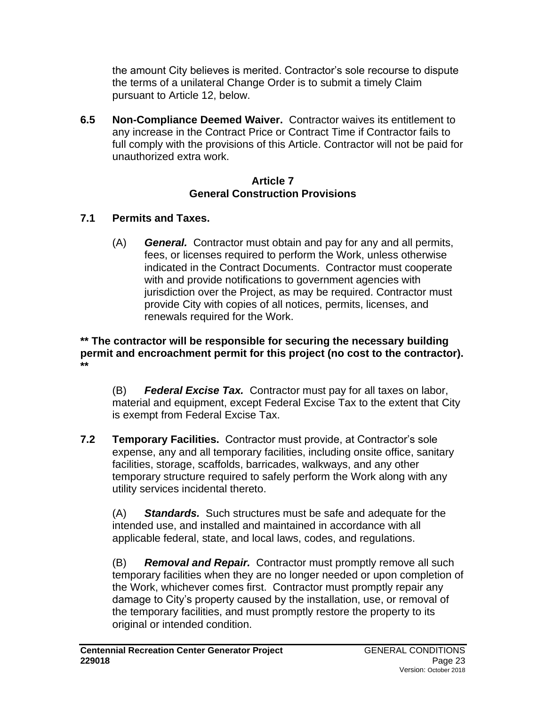the amount City believes is merited. Contractor's sole recourse to dispute the terms of a unilateral Change Order is to submit a timely Claim pursuant to Article 12, below.

**6.5 Non-Compliance Deemed Waiver.** Contractor waives its entitlement to any increase in the Contract Price or Contract Time if Contractor fails to full comply with the provisions of this Article. Contractor will not be paid for unauthorized extra work.

#### **Article 7 General Construction Provisions**

# **7.1 Permits and Taxes.**

(A) *General.* Contractor must obtain and pay for any and all permits, fees, or licenses required to perform the Work, unless otherwise indicated in the Contract Documents. Contractor must cooperate with and provide notifications to government agencies with jurisdiction over the Project, as may be required. Contractor must provide City with copies of all notices, permits, licenses, and renewals required for the Work.

#### **\*\* The contractor will be responsible for securing the necessary building permit and encroachment permit for this project (no cost to the contractor). \*\***

(B) *Federal Excise Tax.* Contractor must pay for all taxes on labor, material and equipment, except Federal Excise Tax to the extent that City is exempt from Federal Excise Tax.

**7.2 Temporary Facilities.** Contractor must provide, at Contractor's sole expense, any and all temporary facilities, including onsite office, sanitary facilities, storage, scaffolds, barricades, walkways, and any other temporary structure required to safely perform the Work along with any utility services incidental thereto.

(A) *Standards.* Such structures must be safe and adequate for the intended use, and installed and maintained in accordance with all applicable federal, state, and local laws, codes, and regulations.

(B) *Removal and Repair.* Contractor must promptly remove all such temporary facilities when they are no longer needed or upon completion of the Work, whichever comes first. Contractor must promptly repair any damage to City's property caused by the installation, use, or removal of the temporary facilities, and must promptly restore the property to its original or intended condition.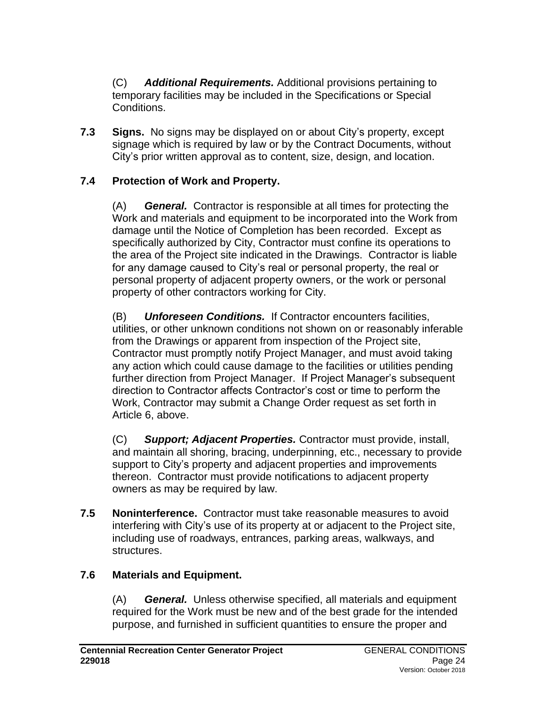(C) *Additional Requirements.* Additional provisions pertaining to temporary facilities may be included in the Specifications or Special Conditions.

**7.3 Signs.** No signs may be displayed on or about City's property, except signage which is required by law or by the Contract Documents, without City's prior written approval as to content, size, design, and location.

### **7.4 Protection of Work and Property.**

(A) *General.* Contractor is responsible at all times for protecting the Work and materials and equipment to be incorporated into the Work from damage until the Notice of Completion has been recorded. Except as specifically authorized by City, Contractor must confine its operations to the area of the Project site indicated in the Drawings. Contractor is liable for any damage caused to City's real or personal property, the real or personal property of adjacent property owners, or the work or personal property of other contractors working for City.

(B) *Unforeseen Conditions.* If Contractor encounters facilities, utilities, or other unknown conditions not shown on or reasonably inferable from the Drawings or apparent from inspection of the Project site, Contractor must promptly notify Project Manager, and must avoid taking any action which could cause damage to the facilities or utilities pending further direction from Project Manager. If Project Manager's subsequent direction to Contractor affects Contractor's cost or time to perform the Work, Contractor may submit a Change Order request as set forth in Article 6, above.

(C) *Support; Adjacent Properties.* Contractor must provide, install, and maintain all shoring, bracing, underpinning, etc., necessary to provide support to City's property and adjacent properties and improvements thereon. Contractor must provide notifications to adjacent property owners as may be required by law.

**7.5 Noninterference.** Contractor must take reasonable measures to avoid interfering with City's use of its property at or adjacent to the Project site, including use of roadways, entrances, parking areas, walkways, and structures.

### **7.6 Materials and Equipment.**

(A) *General.* Unless otherwise specified, all materials and equipment required for the Work must be new and of the best grade for the intended purpose, and furnished in sufficient quantities to ensure the proper and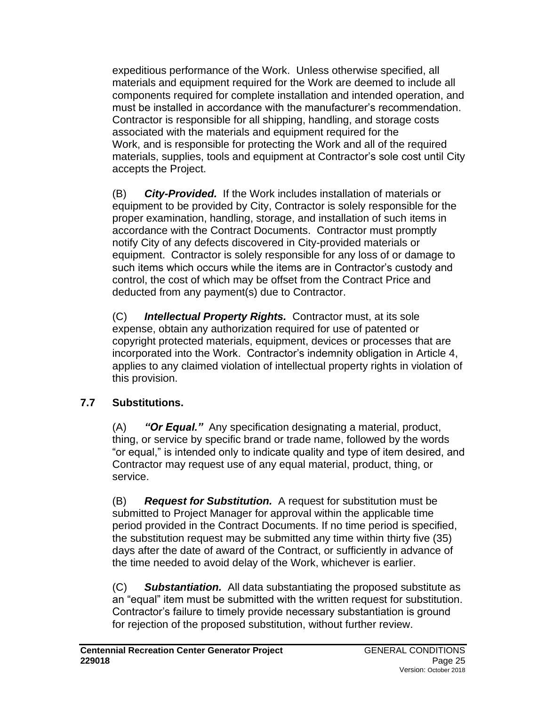expeditious performance of the Work. Unless otherwise specified, all materials and equipment required for the Work are deemed to include all components required for complete installation and intended operation, and must be installed in accordance with the manufacturer's recommendation. Contractor is responsible for all shipping, handling, and storage costs associated with the materials and equipment required for the Work, and is responsible for protecting the Work and all of the required materials, supplies, tools and equipment at Contractor's sole cost until City accepts the Project.

(B) *City-Provided.* If the Work includes installation of materials or equipment to be provided by City, Contractor is solely responsible for the proper examination, handling, storage, and installation of such items in accordance with the Contract Documents. Contractor must promptly notify City of any defects discovered in City-provided materials or equipment. Contractor is solely responsible for any loss of or damage to such items which occurs while the items are in Contractor's custody and control, the cost of which may be offset from the Contract Price and deducted from any payment(s) due to Contractor.

(C) *Intellectual Property Rights.* Contractor must, at its sole expense, obtain any authorization required for use of patented or copyright protected materials, equipment, devices or processes that are incorporated into the Work. Contractor's indemnity obligation in Article 4, applies to any claimed violation of intellectual property rights in violation of this provision.

# **7.7 Substitutions.**

(A) *"Or Equal."* Any specification designating a material, product, thing, or service by specific brand or trade name, followed by the words "or equal," is intended only to indicate quality and type of item desired, and Contractor may request use of any equal material, product, thing, or service.

(B) *Request for Substitution.* A request for substitution must be submitted to Project Manager for approval within the applicable time period provided in the Contract Documents. If no time period is specified, the substitution request may be submitted any time within thirty five (35) days after the date of award of the Contract, or sufficiently in advance of the time needed to avoid delay of the Work, whichever is earlier.

(C) *Substantiation.* All data substantiating the proposed substitute as an "equal" item must be submitted with the written request for substitution. Contractor's failure to timely provide necessary substantiation is ground for rejection of the proposed substitution, without further review.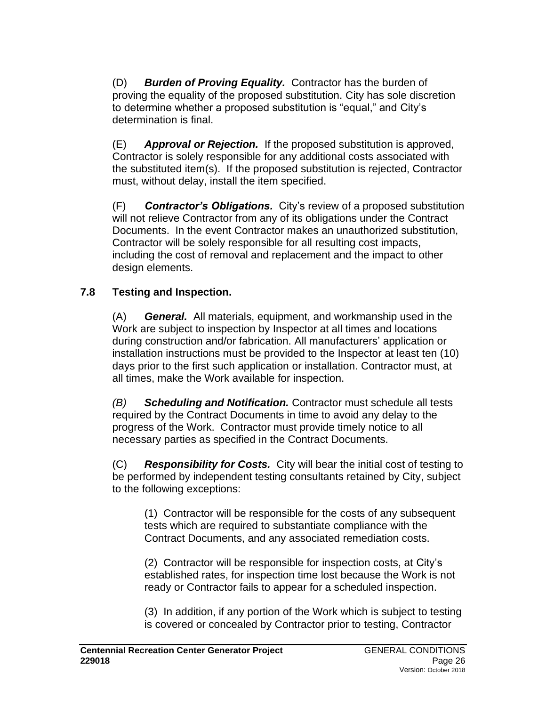(D) *Burden of Proving Equality.* Contractor has the burden of proving the equality of the proposed substitution. City has sole discretion to determine whether a proposed substitution is "equal," and City's determination is final.

(E) *Approval or Rejection.* If the proposed substitution is approved, Contractor is solely responsible for any additional costs associated with the substituted item(s). If the proposed substitution is rejected, Contractor must, without delay, install the item specified.

(F) *Contractor's Obligations.* City's review of a proposed substitution will not relieve Contractor from any of its obligations under the Contract Documents. In the event Contractor makes an unauthorized substitution, Contractor will be solely responsible for all resulting cost impacts, including the cost of removal and replacement and the impact to other design elements.

# **7.8 Testing and Inspection.**

(A) *General.* All materials, equipment, and workmanship used in the Work are subject to inspection by Inspector at all times and locations during construction and/or fabrication. All manufacturers' application or installation instructions must be provided to the Inspector at least ten (10) days prior to the first such application or installation. Contractor must, at all times, make the Work available for inspection.

*(B) Scheduling and Notification.* Contractor must schedule all tests required by the Contract Documents in time to avoid any delay to the progress of the Work. Contractor must provide timely notice to all necessary parties as specified in the Contract Documents.

(C) *Responsibility for Costs.* City will bear the initial cost of testing to be performed by independent testing consultants retained by City, subject to the following exceptions:

(1) Contractor will be responsible for the costs of any subsequent tests which are required to substantiate compliance with the Contract Documents, and any associated remediation costs.

(2) Contractor will be responsible for inspection costs, at City's established rates, for inspection time lost because the Work is not ready or Contractor fails to appear for a scheduled inspection.

(3) In addition, if any portion of the Work which is subject to testing is covered or concealed by Contractor prior to testing, Contractor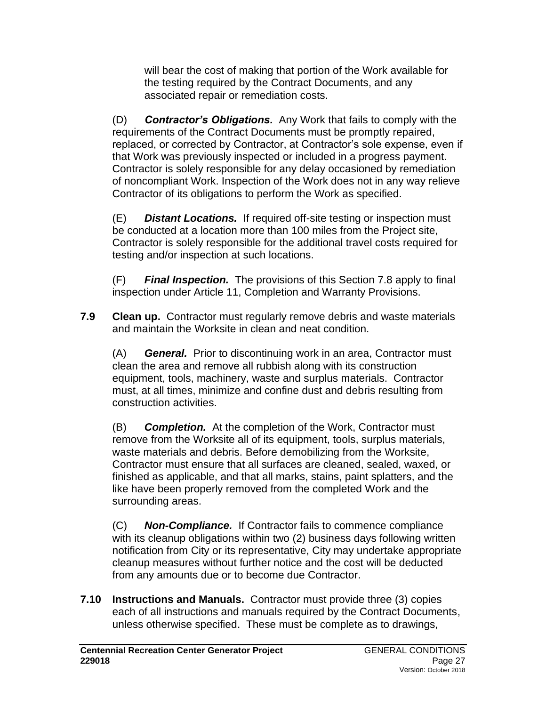will bear the cost of making that portion of the Work available for the testing required by the Contract Documents, and any associated repair or remediation costs.

(D) *Contractor's Obligations.* Any Work that fails to comply with the requirements of the Contract Documents must be promptly repaired, replaced, or corrected by Contractor, at Contractor's sole expense, even if that Work was previously inspected or included in a progress payment. Contractor is solely responsible for any delay occasioned by remediation of noncompliant Work. Inspection of the Work does not in any way relieve Contractor of its obligations to perform the Work as specified.

(E) *Distant Locations.* If required off-site testing or inspection must be conducted at a location more than 100 miles from the Project site, Contractor is solely responsible for the additional travel costs required for testing and/or inspection at such locations.

(F) *Final Inspection.* The provisions of this Section 7.8 apply to final inspection under Article 11, Completion and Warranty Provisions.

**7.9 Clean up.** Contractor must regularly remove debris and waste materials and maintain the Worksite in clean and neat condition.

(A) *General.* Prior to discontinuing work in an area, Contractor must clean the area and remove all rubbish along with its construction equipment, tools, machinery, waste and surplus materials. Contractor must, at all times, minimize and confine dust and debris resulting from construction activities.

(B) *Completion.* At the completion of the Work, Contractor must remove from the Worksite all of its equipment, tools, surplus materials, waste materials and debris. Before demobilizing from the Worksite, Contractor must ensure that all surfaces are cleaned, sealed, waxed, or finished as applicable, and that all marks, stains, paint splatters, and the like have been properly removed from the completed Work and the surrounding areas.

(C) *Non-Compliance.* If Contractor fails to commence compliance with its cleanup obligations within two (2) business days following written notification from City or its representative, City may undertake appropriate cleanup measures without further notice and the cost will be deducted from any amounts due or to become due Contractor.

**7.10 Instructions and Manuals.** Contractor must provide three (3) copies each of all instructions and manuals required by the Contract Documents, unless otherwise specified. These must be complete as to drawings,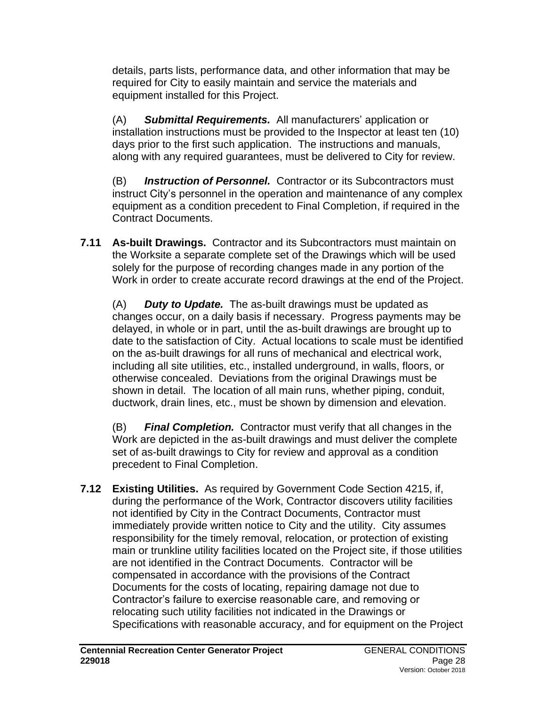details, parts lists, performance data, and other information that may be required for City to easily maintain and service the materials and equipment installed for this Project.

(A) *Submittal Requirements.* All manufacturers' application or installation instructions must be provided to the Inspector at least ten (10) days prior to the first such application. The instructions and manuals, along with any required guarantees, must be delivered to City for review.

(B) *Instruction of Personnel.* Contractor or its Subcontractors must instruct City's personnel in the operation and maintenance of any complex equipment as a condition precedent to Final Completion, if required in the Contract Documents.

**7.11 As-built Drawings.** Contractor and its Subcontractors must maintain on the Worksite a separate complete set of the Drawings which will be used solely for the purpose of recording changes made in any portion of the Work in order to create accurate record drawings at the end of the Project.

(A) *Duty to Update.* The as-built drawings must be updated as changes occur, on a daily basis if necessary. Progress payments may be delayed, in whole or in part, until the as-built drawings are brought up to date to the satisfaction of City. Actual locations to scale must be identified on the as-built drawings for all runs of mechanical and electrical work, including all site utilities, etc., installed underground, in walls, floors, or otherwise concealed. Deviations from the original Drawings must be shown in detail. The location of all main runs, whether piping, conduit, ductwork, drain lines, etc., must be shown by dimension and elevation.

(B) *Final Completion.* Contractor must verify that all changes in the Work are depicted in the as-built drawings and must deliver the complete set of as-built drawings to City for review and approval as a condition precedent to Final Completion.

**7.12 Existing Utilities.** As required by Government Code Section 4215, if, during the performance of the Work, Contractor discovers utility facilities not identified by City in the Contract Documents, Contractor must immediately provide written notice to City and the utility. City assumes responsibility for the timely removal, relocation, or protection of existing main or trunkline utility facilities located on the Project site, if those utilities are not identified in the Contract Documents. Contractor will be compensated in accordance with the provisions of the Contract Documents for the costs of locating, repairing damage not due to Contractor's failure to exercise reasonable care, and removing or relocating such utility facilities not indicated in the Drawings or Specifications with reasonable accuracy, and for equipment on the Project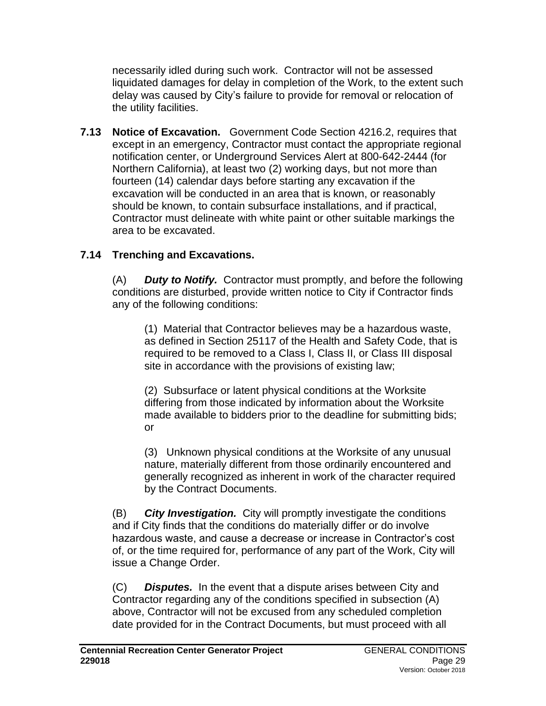necessarily idled during such work. Contractor will not be assessed liquidated damages for delay in completion of the Work, to the extent such delay was caused by City's failure to provide for removal or relocation of the utility facilities.

**7.13 Notice of Excavation.** Government Code Section 4216.2, requires that except in an emergency, Contractor must contact the appropriate regional notification center, or Underground Services Alert at 800-642-2444 (for Northern California), at least two (2) working days, but not more than fourteen (14) calendar days before starting any excavation if the excavation will be conducted in an area that is known, or reasonably should be known, to contain subsurface installations, and if practical, Contractor must delineate with white paint or other suitable markings the area to be excavated.

# **7.14 Trenching and Excavations.**

(A) *Duty to Notify.* Contractor must promptly, and before the following conditions are disturbed, provide written notice to City if Contractor finds any of the following conditions:

(1) Material that Contractor believes may be a hazardous waste, as defined in Section 25117 of the Health and Safety Code, that is required to be removed to a Class I, Class II, or Class III disposal site in accordance with the provisions of existing law;

(2) Subsurface or latent physical conditions at the Worksite differing from those indicated by information about the Worksite made available to bidders prior to the deadline for submitting bids; or

(3) Unknown physical conditions at the Worksite of any unusual nature, materially different from those ordinarily encountered and generally recognized as inherent in work of the character required by the Contract Documents.

(B) *City Investigation.* City will promptly investigate the conditions and if City finds that the conditions do materially differ or do involve hazardous waste, and cause a decrease or increase in Contractor's cost of, or the time required for, performance of any part of the Work, City will issue a Change Order.

(C) *Disputes.* In the event that a dispute arises between City and Contractor regarding any of the conditions specified in subsection (A) above, Contractor will not be excused from any scheduled completion date provided for in the Contract Documents, but must proceed with all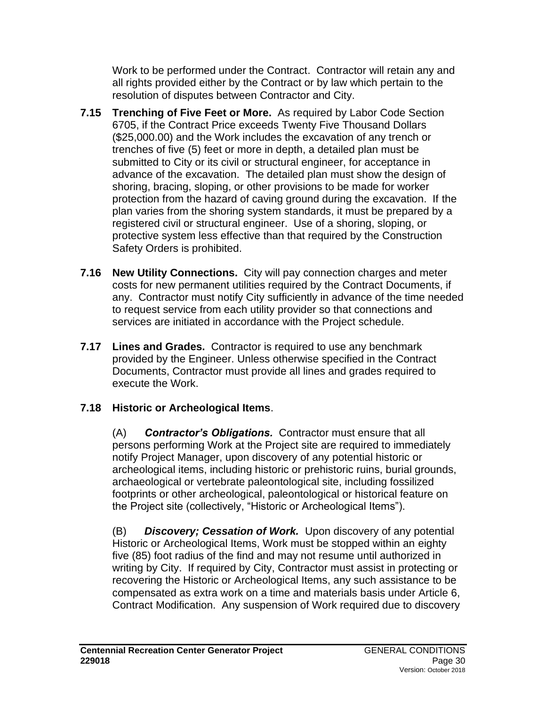Work to be performed under the Contract. Contractor will retain any and all rights provided either by the Contract or by law which pertain to the resolution of disputes between Contractor and City.

- **7.15 Trenching of Five Feet or More.** As required by Labor Code Section 6705, if the Contract Price exceeds Twenty Five Thousand Dollars (\$25,000.00) and the Work includes the excavation of any trench or trenches of five (5) feet or more in depth, a detailed plan must be submitted to City or its civil or structural engineer, for acceptance in advance of the excavation. The detailed plan must show the design of shoring, bracing, sloping, or other provisions to be made for worker protection from the hazard of caving ground during the excavation. If the plan varies from the shoring system standards, it must be prepared by a registered civil or structural engineer. Use of a shoring, sloping, or protective system less effective than that required by the Construction Safety Orders is prohibited.
- **7.16 New Utility Connections.** City will pay connection charges and meter costs for new permanent utilities required by the Contract Documents, if any. Contractor must notify City sufficiently in advance of the time needed to request service from each utility provider so that connections and services are initiated in accordance with the Project schedule.
- **7.17 Lines and Grades.** Contractor is required to use any benchmark provided by the Engineer. Unless otherwise specified in the Contract Documents, Contractor must provide all lines and grades required to execute the Work.

# **7.18 Historic or Archeological Items**.

(A) *Contractor's Obligations.* Contractor must ensure that all persons performing Work at the Project site are required to immediately notify Project Manager, upon discovery of any potential historic or archeological items, including historic or prehistoric ruins, burial grounds, archaeological or vertebrate paleontological site, including fossilized footprints or other archeological, paleontological or historical feature on the Project site (collectively, "Historic or Archeological Items").

(B) *Discovery; Cessation of Work.* Upon discovery of any potential Historic or Archeological Items, Work must be stopped within an eighty five (85) foot radius of the find and may not resume until authorized in writing by City. If required by City, Contractor must assist in protecting or recovering the Historic or Archeological Items, any such assistance to be compensated as extra work on a time and materials basis under Article 6, Contract Modification. Any suspension of Work required due to discovery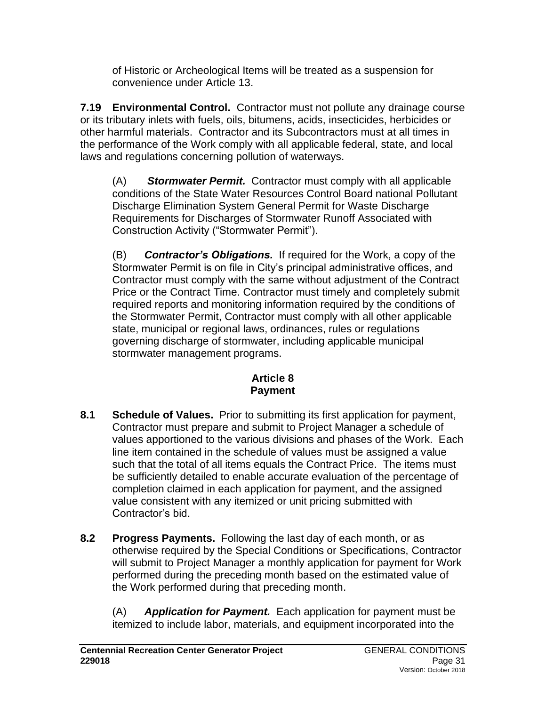of Historic or Archeological Items will be treated as a suspension for convenience under Article 13.

**7.19 Environmental Control.** Contractor must not pollute any drainage course or its tributary inlets with fuels, oils, bitumens, acids, insecticides, herbicides or other harmful materials. Contractor and its Subcontractors must at all times in the performance of the Work comply with all applicable federal, state, and local laws and regulations concerning pollution of waterways.

(A) *Stormwater Permit.* Contractor must comply with all applicable conditions of the State Water Resources Control Board national Pollutant Discharge Elimination System General Permit for Waste Discharge Requirements for Discharges of Stormwater Runoff Associated with Construction Activity ("Stormwater Permit").

(B) *Contractor's Obligations.* If required for the Work, a copy of the Stormwater Permit is on file in City's principal administrative offices, and Contractor must comply with the same without adjustment of the Contract Price or the Contract Time. Contractor must timely and completely submit required reports and monitoring information required by the conditions of the Stormwater Permit, Contractor must comply with all other applicable state, municipal or regional laws, ordinances, rules or regulations governing discharge of stormwater, including applicable municipal stormwater management programs.

# **Article 8 Payment**

- **8.1 Schedule of Values.** Prior to submitting its first application for payment, Contractor must prepare and submit to Project Manager a schedule of values apportioned to the various divisions and phases of the Work. Each line item contained in the schedule of values must be assigned a value such that the total of all items equals the Contract Price. The items must be sufficiently detailed to enable accurate evaluation of the percentage of completion claimed in each application for payment, and the assigned value consistent with any itemized or unit pricing submitted with Contractor's bid.
- **8.2 Progress Payments.** Following the last day of each month, or as otherwise required by the Special Conditions or Specifications, Contractor will submit to Project Manager a monthly application for payment for Work performed during the preceding month based on the estimated value of the Work performed during that preceding month.

(A) *Application for Payment.* Each application for payment must be itemized to include labor, materials, and equipment incorporated into the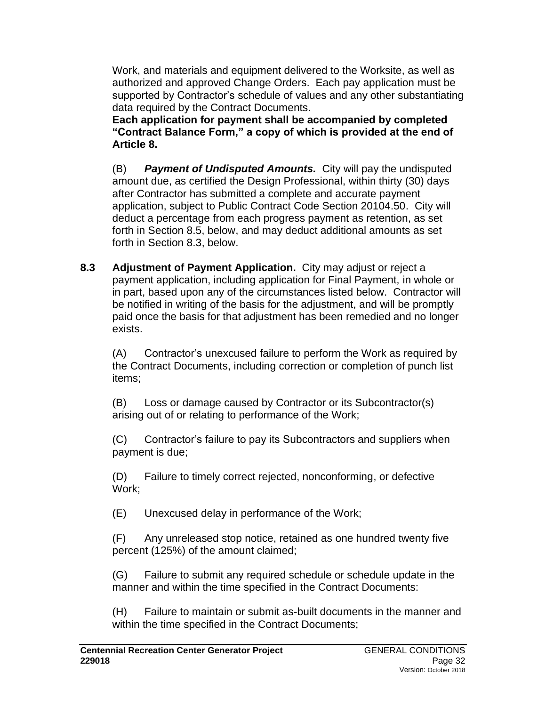Work, and materials and equipment delivered to the Worksite, as well as authorized and approved Change Orders. Each pay application must be supported by Contractor's schedule of values and any other substantiating data required by the Contract Documents.

**Each application for payment shall be accompanied by completed "Contract Balance Form," a copy of which is provided at the end of Article 8.**

(B) *Payment of Undisputed Amounts.* City will pay the undisputed amount due, as certified the Design Professional, within thirty (30) days after Contractor has submitted a complete and accurate payment application, subject to Public Contract Code Section 20104.50. City will deduct a percentage from each progress payment as retention, as set forth in Section 8.5, below, and may deduct additional amounts as set forth in Section 8.3, below.

**8.3 Adjustment of Payment Application.** City may adjust or reject a payment application, including application for Final Payment, in whole or in part, based upon any of the circumstances listed below. Contractor will be notified in writing of the basis for the adjustment, and will be promptly paid once the basis for that adjustment has been remedied and no longer exists.

(A) Contractor's unexcused failure to perform the Work as required by the Contract Documents, including correction or completion of punch list items;

(B) Loss or damage caused by Contractor or its Subcontractor(s) arising out of or relating to performance of the Work;

(C) Contractor's failure to pay its Subcontractors and suppliers when payment is due;

(D) Failure to timely correct rejected, nonconforming, or defective Work;

(E) Unexcused delay in performance of the Work;

(F) Any unreleased stop notice, retained as one hundred twenty five percent (125%) of the amount claimed;

(G) Failure to submit any required schedule or schedule update in the manner and within the time specified in the Contract Documents:

(H) Failure to maintain or submit as-built documents in the manner and within the time specified in the Contract Documents;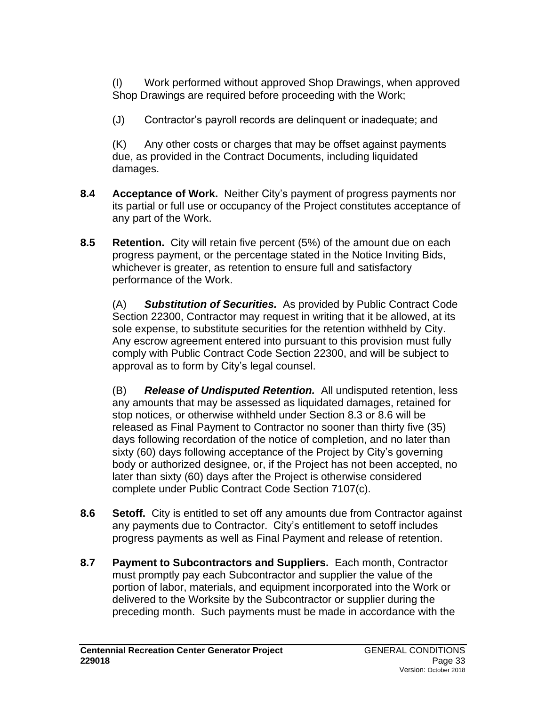(I) Work performed without approved Shop Drawings, when approved Shop Drawings are required before proceeding with the Work;

(J) Contractor's payroll records are delinquent or inadequate; and

(K) Any other costs or charges that may be offset against payments due, as provided in the Contract Documents, including liquidated damages.

- **8.4 Acceptance of Work.** Neither City's payment of progress payments nor its partial or full use or occupancy of the Project constitutes acceptance of any part of the Work.
- **8.5 Retention.** City will retain five percent (5%) of the amount due on each progress payment, or the percentage stated in the Notice Inviting Bids, whichever is greater, as retention to ensure full and satisfactory performance of the Work.

(A) *Substitution of Securities.* As provided by Public Contract Code Section 22300, Contractor may request in writing that it be allowed, at its sole expense, to substitute securities for the retention withheld by City. Any escrow agreement entered into pursuant to this provision must fully comply with Public Contract Code Section 22300, and will be subject to approval as to form by City's legal counsel.

(B) *Release of Undisputed Retention.* All undisputed retention, less any amounts that may be assessed as liquidated damages, retained for stop notices, or otherwise withheld under Section 8.3 or 8.6 will be released as Final Payment to Contractor no sooner than thirty five (35) days following recordation of the notice of completion, and no later than sixty (60) days following acceptance of the Project by City's governing body or authorized designee, or, if the Project has not been accepted, no later than sixty (60) days after the Project is otherwise considered complete under Public Contract Code Section 7107(c).

- **8.6 Setoff.** City is entitled to set off any amounts due from Contractor against any payments due to Contractor. City's entitlement to setoff includes progress payments as well as Final Payment and release of retention.
- **8.7 Payment to Subcontractors and Suppliers.** Each month, Contractor must promptly pay each Subcontractor and supplier the value of the portion of labor, materials, and equipment incorporated into the Work or delivered to the Worksite by the Subcontractor or supplier during the preceding month. Such payments must be made in accordance with the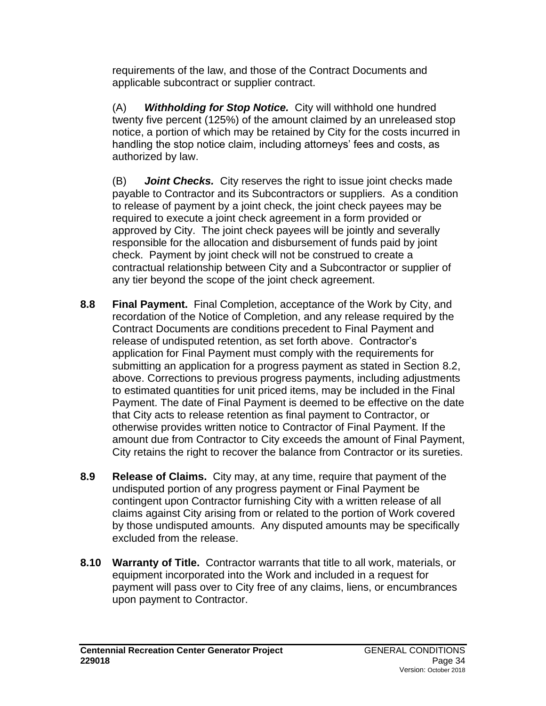requirements of the law, and those of the Contract Documents and applicable subcontract or supplier contract.

(A) *Withholding for Stop Notice.* City will withhold one hundred twenty five percent (125%) of the amount claimed by an unreleased stop notice, a portion of which may be retained by City for the costs incurred in handling the stop notice claim, including attorneys' fees and costs, as authorized by law.

(B) *Joint Checks.* City reserves the right to issue joint checks made payable to Contractor and its Subcontractors or suppliers. As a condition to release of payment by a joint check, the joint check payees may be required to execute a joint check agreement in a form provided or approved by City. The joint check payees will be jointly and severally responsible for the allocation and disbursement of funds paid by joint check. Payment by joint check will not be construed to create a contractual relationship between City and a Subcontractor or supplier of any tier beyond the scope of the joint check agreement.

- **8.8 Final Payment.** Final Completion, acceptance of the Work by City, and recordation of the Notice of Completion, and any release required by the Contract Documents are conditions precedent to Final Payment and release of undisputed retention, as set forth above. Contractor's application for Final Payment must comply with the requirements for submitting an application for a progress payment as stated in Section 8.2, above. Corrections to previous progress payments, including adjustments to estimated quantities for unit priced items, may be included in the Final Payment. The date of Final Payment is deemed to be effective on the date that City acts to release retention as final payment to Contractor, or otherwise provides written notice to Contractor of Final Payment. If the amount due from Contractor to City exceeds the amount of Final Payment, City retains the right to recover the balance from Contractor or its sureties.
- **8.9 Release of Claims.** City may, at any time, require that payment of the undisputed portion of any progress payment or Final Payment be contingent upon Contractor furnishing City with a written release of all claims against City arising from or related to the portion of Work covered by those undisputed amounts. Any disputed amounts may be specifically excluded from the release.
- **8.10 Warranty of Title.** Contractor warrants that title to all work, materials, or equipment incorporated into the Work and included in a request for payment will pass over to City free of any claims, liens, or encumbrances upon payment to Contractor.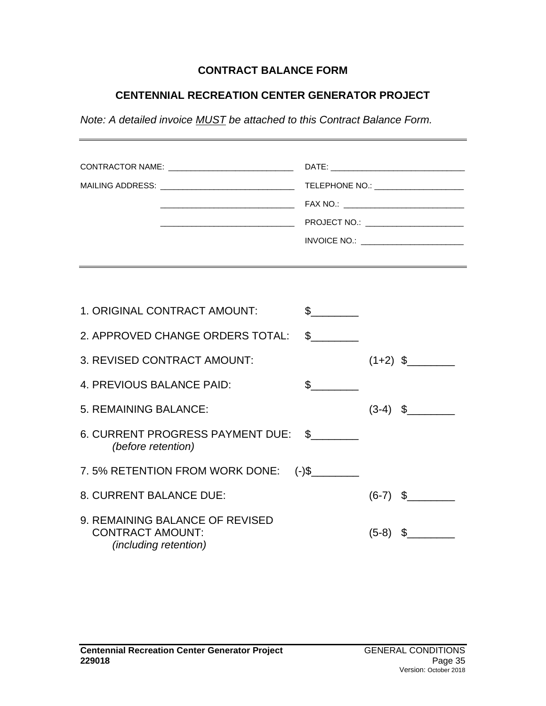### **CONTRACT BALANCE FORM**

### **CENTENNIAL RECREATION CENTER GENERATOR PROJECT**

*Note: A detailed invoice MUST be attached to this Contract Balance Form.*

| CONTRACTOR NAME: ______________________________<br>MAILING ADDRESS: ________________________________ |                      |            | TELEPHONE NO.: ______________________<br>FAX NO.: _________________________________<br>PROJECT NO.: ________________________<br>INVOICE NO.: _________________________ |
|------------------------------------------------------------------------------------------------------|----------------------|------------|------------------------------------------------------------------------------------------------------------------------------------------------------------------------|
|                                                                                                      |                      |            |                                                                                                                                                                        |
| 1. ORIGINAL CONTRACT AMOUNT:                                                                         | $\frac{1}{\sqrt{2}}$ |            |                                                                                                                                                                        |
| 2. APPROVED CHANGE ORDERS TOTAL:                                                                     | $\frac{1}{2}$        |            |                                                                                                                                                                        |
| 3. REVISED CONTRACT AMOUNT:                                                                          |                      |            | $(1+2)$ \$                                                                                                                                                             |
| 4. PREVIOUS BALANCE PAID:                                                                            | $\frac{1}{2}$        |            |                                                                                                                                                                        |
| 5. REMAINING BALANCE:                                                                                |                      |            | $(3-4)$ \$                                                                                                                                                             |
| 6. CURRENT PROGRESS PAYMENT DUE: \$<br>(before retention)                                            |                      |            |                                                                                                                                                                        |
| 7.5% RETENTION FROM WORK DONE: (-)\$                                                                 |                      |            |                                                                                                                                                                        |
| 8. CURRENT BALANCE DUE:                                                                              |                      |            | $(6-7)$ \$                                                                                                                                                             |
| 9. REMAINING BALANCE OF REVISED<br><b>CONTRACT AMOUNT:</b>                                           |                      | $(5-8)$ \$ |                                                                                                                                                                        |

*(including retention)*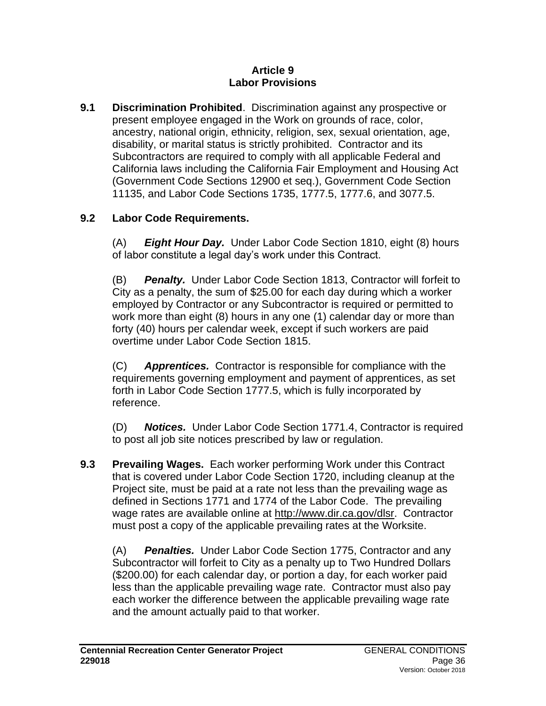#### **Article 9 Labor Provisions**

**9.1 Discrimination Prohibited**. Discrimination against any prospective or present employee engaged in the Work on grounds of race, color, ancestry, national origin, ethnicity, religion, sex, sexual orientation, age, disability, or marital status is strictly prohibited. Contractor and its Subcontractors are required to comply with all applicable Federal and California laws including the California Fair Employment and Housing Act (Government Code Sections 12900 et seq.), Government Code Section 11135, and Labor Code Sections 1735, 1777.5, 1777.6, and 3077.5.

# **9.2 Labor Code Requirements.**

(A) *Eight Hour Day.* Under Labor Code Section 1810, eight (8) hours of labor constitute a legal day's work under this Contract.

(B) *Penalty.* Under Labor Code Section 1813, Contractor will forfeit to City as a penalty, the sum of \$25.00 for each day during which a worker employed by Contractor or any Subcontractor is required or permitted to work more than eight (8) hours in any one (1) calendar day or more than forty (40) hours per calendar week, except if such workers are paid overtime under Labor Code Section 1815.

(C) *Apprentices.* Contractor is responsible for compliance with the requirements governing employment and payment of apprentices, as set forth in Labor Code Section 1777.5, which is fully incorporated by reference.

(D) *Notices.* Under Labor Code Section 1771.4, Contractor is required to post all job site notices prescribed by law or regulation.

**9.3 Prevailing Wages.** Each worker performing Work under this Contract that is covered under Labor Code Section 1720, including cleanup at the Project site, must be paid at a rate not less than the prevailing wage as defined in Sections 1771 and 1774 of the Labor Code. The prevailing wage rates are available online at [http://www.dir.ca.gov/dlsr.](http://www.dir.ca.gov/dlsr) Contractor must post a copy of the applicable prevailing rates at the Worksite.

(A) *Penalties.* Under Labor Code Section 1775, Contractor and any Subcontractor will forfeit to City as a penalty up to Two Hundred Dollars (\$200.00) for each calendar day, or portion a day, for each worker paid less than the applicable prevailing wage rate. Contractor must also pay each worker the difference between the applicable prevailing wage rate and the amount actually paid to that worker.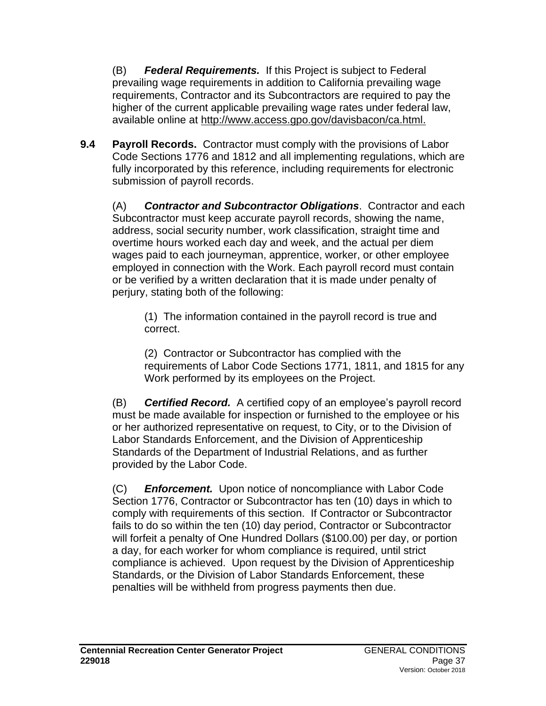(B) *Federal Requirements.* If this Project is subject to Federal prevailing wage requirements in addition to California prevailing wage requirements, Contractor and its Subcontractors are required to pay the higher of the current applicable prevailing wage rates under federal law, available online at [http://www.access.gpo.gov/davisbacon/ca.html.](http://www.access.gpo.gov/davisbacon/ca.html)

**9.4 Payroll Records.** Contractor must comply with the provisions of Labor Code Sections 1776 and 1812 and all implementing regulations, which are fully incorporated by this reference, including requirements for electronic submission of payroll records.

(A) *Contractor and Subcontractor Obligations*. Contractor and each Subcontractor must keep accurate payroll records, showing the name, address, social security number, work classification, straight time and overtime hours worked each day and week, and the actual per diem wages paid to each journeyman, apprentice, worker, or other employee employed in connection with the Work. Each payroll record must contain or be verified by a written declaration that it is made under penalty of perjury, stating both of the following:

(1) The information contained in the payroll record is true and correct.

(2) Contractor or Subcontractor has complied with the requirements of Labor Code Sections 1771, 1811, and 1815 for any Work performed by its employees on the Project.

(B) *Certified Record.* A certified copy of an employee's payroll record must be made available for inspection or furnished to the employee or his or her authorized representative on request, to City, or to the Division of Labor Standards Enforcement, and the Division of Apprenticeship Standards of the Department of Industrial Relations, and as further provided by the Labor Code.

(C) *Enforcement.* Upon notice of noncompliance with Labor Code Section 1776, Contractor or Subcontractor has ten (10) days in which to comply with requirements of this section. If Contractor or Subcontractor fails to do so within the ten (10) day period, Contractor or Subcontractor will forfeit a penalty of One Hundred Dollars (\$100.00) per day, or portion a day, for each worker for whom compliance is required, until strict compliance is achieved. Upon request by the Division of Apprenticeship Standards, or the Division of Labor Standards Enforcement, these penalties will be withheld from progress payments then due.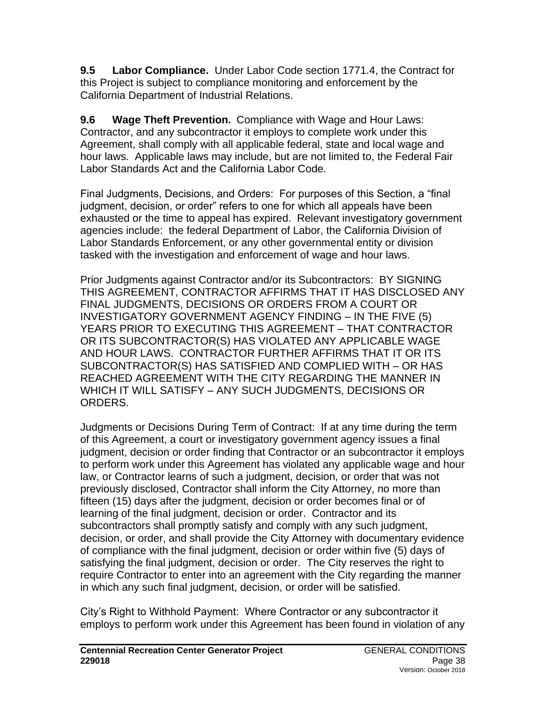**9.5 Labor Compliance.** Under Labor Code section 1771.4, the Contract for this Project is subject to compliance monitoring and enforcement by the California Department of Industrial Relations.

**9.6 Wage Theft Prevention.** Compliance with Wage and Hour Laws: Contractor, and any subcontractor it employs to complete work under this Agreement, shall comply with all applicable federal, state and local wage and hour laws. Applicable laws may include, but are not limited to, the Federal Fair Labor Standards Act and the California Labor Code.

Final Judgments, Decisions, and Orders: For purposes of this Section, a "final judgment, decision, or order" refers to one for which all appeals have been exhausted or the time to appeal has expired. Relevant investigatory government agencies include: the federal Department of Labor, the California Division of Labor Standards Enforcement, or any other governmental entity or division tasked with the investigation and enforcement of wage and hour laws.

Prior Judgments against Contractor and/or its Subcontractors: BY SIGNING THIS AGREEMENT, CONTRACTOR AFFIRMS THAT IT HAS DISCLOSED ANY FINAL JUDGMENTS, DECISIONS OR ORDERS FROM A COURT OR INVESTIGATORY GOVERNMENT AGENCY FINDING – IN THE FIVE (5) YEARS PRIOR TO EXECUTING THIS AGREEMENT – THAT CONTRACTOR OR ITS SUBCONTRACTOR(S) HAS VIOLATED ANY APPLICABLE WAGE AND HOUR LAWS. CONTRACTOR FURTHER AFFIRMS THAT IT OR ITS SUBCONTRACTOR(S) HAS SATISFIED AND COMPLIED WITH – OR HAS REACHED AGREEMENT WITH THE CITY REGARDING THE MANNER IN WHICH IT WILL SATISFY – ANY SUCH JUDGMENTS, DECISIONS OR ORDERS.

Judgments or Decisions During Term of Contract: If at any time during the term of this Agreement, a court or investigatory government agency issues a final judgment, decision or order finding that Contractor or an subcontractor it employs to perform work under this Agreement has violated any applicable wage and hour law, or Contractor learns of such a judgment, decision, or order that was not previously disclosed, Contractor shall inform the City Attorney, no more than fifteen (15) days after the judgment, decision or order becomes final or of learning of the final judgment, decision or order. Contractor and its subcontractors shall promptly satisfy and comply with any such judgment, decision, or order, and shall provide the City Attorney with documentary evidence of compliance with the final judgment, decision or order within five (5) days of satisfying the final judgment, decision or order. The City reserves the right to require Contractor to enter into an agreement with the City regarding the manner in which any such final judgment, decision, or order will be satisfied.

City's Right to Withhold Payment: Where Contractor or any subcontractor it employs to perform work under this Agreement has been found in violation of any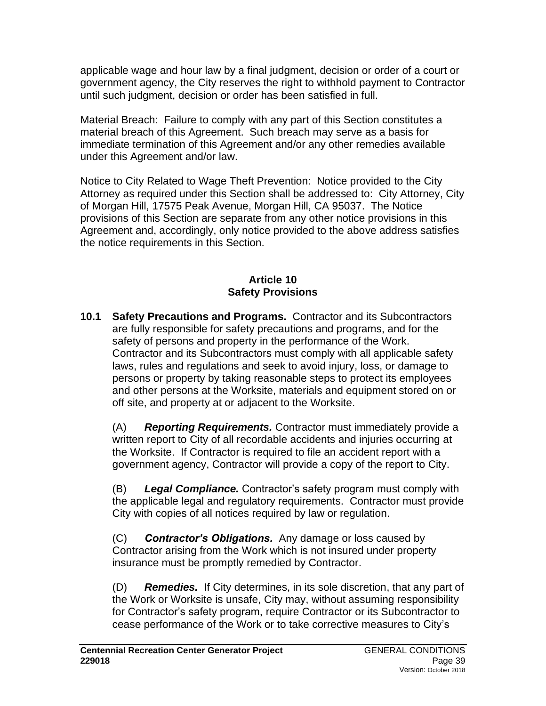applicable wage and hour law by a final judgment, decision or order of a court or government agency, the City reserves the right to withhold payment to Contractor until such judgment, decision or order has been satisfied in full.

Material Breach: Failure to comply with any part of this Section constitutes a material breach of this Agreement. Such breach may serve as a basis for immediate termination of this Agreement and/or any other remedies available under this Agreement and/or law.

Notice to City Related to Wage Theft Prevention: Notice provided to the City Attorney as required under this Section shall be addressed to: City Attorney, City of Morgan Hill, 17575 Peak Avenue, Morgan Hill, CA 95037. The Notice provisions of this Section are separate from any other notice provisions in this Agreement and, accordingly, only notice provided to the above address satisfies the notice requirements in this Section.

#### **Article 10 Safety Provisions**

**10.1 Safety Precautions and Programs.** Contractor and its Subcontractors are fully responsible for safety precautions and programs, and for the safety of persons and property in the performance of the Work. Contractor and its Subcontractors must comply with all applicable safety laws, rules and regulations and seek to avoid injury, loss, or damage to persons or property by taking reasonable steps to protect its employees and other persons at the Worksite, materials and equipment stored on or off site, and property at or adjacent to the Worksite.

(A) *Reporting Requirements.* Contractor must immediately provide a written report to City of all recordable accidents and injuries occurring at the Worksite. If Contractor is required to file an accident report with a government agency, Contractor will provide a copy of the report to City.

(B) *Legal Compliance.* Contractor's safety program must comply with the applicable legal and regulatory requirements. Contractor must provide City with copies of all notices required by law or regulation.

(C) *Contractor's Obligations.* Any damage or loss caused by Contractor arising from the Work which is not insured under property insurance must be promptly remedied by Contractor.

(D) *Remedies.* If City determines, in its sole discretion, that any part of the Work or Worksite is unsafe, City may, without assuming responsibility for Contractor's safety program, require Contractor or its Subcontractor to cease performance of the Work or to take corrective measures to City's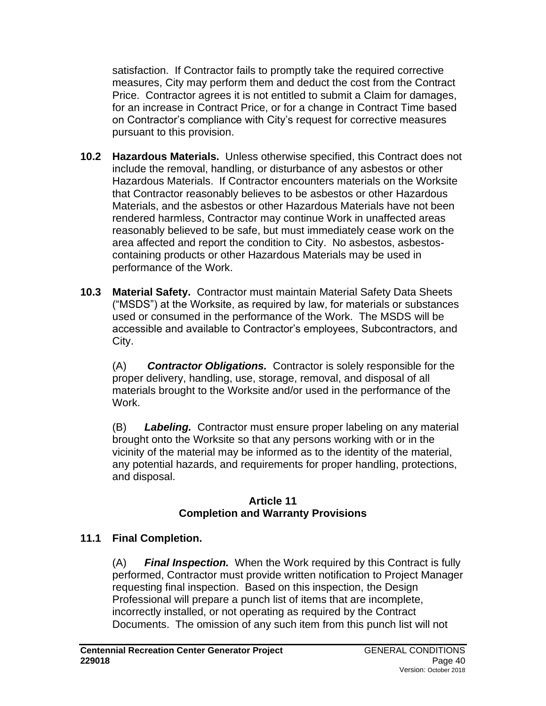satisfaction. If Contractor fails to promptly take the required corrective measures, City may perform them and deduct the cost from the Contract Price. Contractor agrees it is not entitled to submit a Claim for damages, for an increase in Contract Price, or for a change in Contract Time based on Contractor's compliance with City's request for corrective measures pursuant to this provision.

- **10.2 Hazardous Materials.** Unless otherwise specified, this Contract does not include the removal, handling, or disturbance of any asbestos or other Hazardous Materials. If Contractor encounters materials on the Worksite that Contractor reasonably believes to be asbestos or other Hazardous Materials, and the asbestos or other Hazardous Materials have not been rendered harmless, Contractor may continue Work in unaffected areas reasonably believed to be safe, but must immediately cease work on the area affected and report the condition to City. No asbestos, asbestoscontaining products or other Hazardous Materials may be used in performance of the Work.
- **10.3 Material Safety.** Contractor must maintain Material Safety Data Sheets ("MSDS") at the Worksite, as required by law, for materials or substances used or consumed in the performance of the Work. The MSDS will be accessible and available to Contractor's employees, Subcontractors, and City.

(A) *Contractor Obligations.* Contractor is solely responsible for the proper delivery, handling, use, storage, removal, and disposal of all materials brought to the Worksite and/or used in the performance of the Work.

(B) *Labeling.* Contractor must ensure proper labeling on any material brought onto the Worksite so that any persons working with or in the vicinity of the material may be informed as to the identity of the material, any potential hazards, and requirements for proper handling, protections, and disposal.

#### **Article 11 Completion and Warranty Provisions**

# **11.1 Final Completion.**

(A) *Final Inspection.* When the Work required by this Contract is fully performed, Contractor must provide written notification to Project Manager requesting final inspection. Based on this inspection, the Design Professional will prepare a punch list of items that are incomplete, incorrectly installed, or not operating as required by the Contract Documents. The omission of any such item from this punch list will not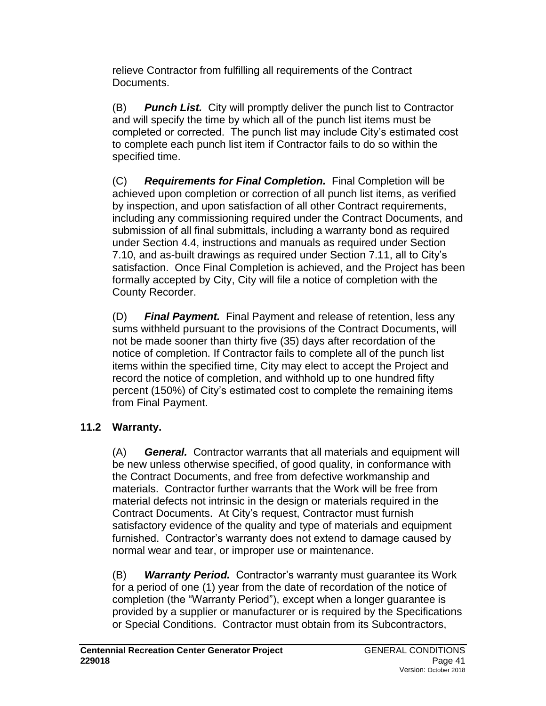relieve Contractor from fulfilling all requirements of the Contract Documents.

(B) *Punch List.* City will promptly deliver the punch list to Contractor and will specify the time by which all of the punch list items must be completed or corrected. The punch list may include City's estimated cost to complete each punch list item if Contractor fails to do so within the specified time.

(C) *Requirements for Final Completion.* Final Completion will be achieved upon completion or correction of all punch list items, as verified by inspection, and upon satisfaction of all other Contract requirements, including any commissioning required under the Contract Documents, and submission of all final submittals, including a warranty bond as required under Section 4.4, instructions and manuals as required under Section 7.10, and as-built drawings as required under Section 7.11, all to City's satisfaction. Once Final Completion is achieved, and the Project has been formally accepted by City, City will file a notice of completion with the County Recorder.

(D) *Final Payment.* Final Payment and release of retention, less any sums withheld pursuant to the provisions of the Contract Documents, will not be made sooner than thirty five (35) days after recordation of the notice of completion. If Contractor fails to complete all of the punch list items within the specified time, City may elect to accept the Project and record the notice of completion, and withhold up to one hundred fifty percent (150%) of City's estimated cost to complete the remaining items from Final Payment.

# **11.2 Warranty.**

(A) *General.* Contractor warrants that all materials and equipment will be new unless otherwise specified, of good quality, in conformance with the Contract Documents, and free from defective workmanship and materials. Contractor further warrants that the Work will be free from material defects not intrinsic in the design or materials required in the Contract Documents. At City's request, Contractor must furnish satisfactory evidence of the quality and type of materials and equipment furnished. Contractor's warranty does not extend to damage caused by normal wear and tear, or improper use or maintenance.

(B) *Warranty Period.* Contractor's warranty must guarantee its Work for a period of one (1) year from the date of recordation of the notice of completion (the "Warranty Period"), except when a longer guarantee is provided by a supplier or manufacturer or is required by the Specifications or Special Conditions. Contractor must obtain from its Subcontractors,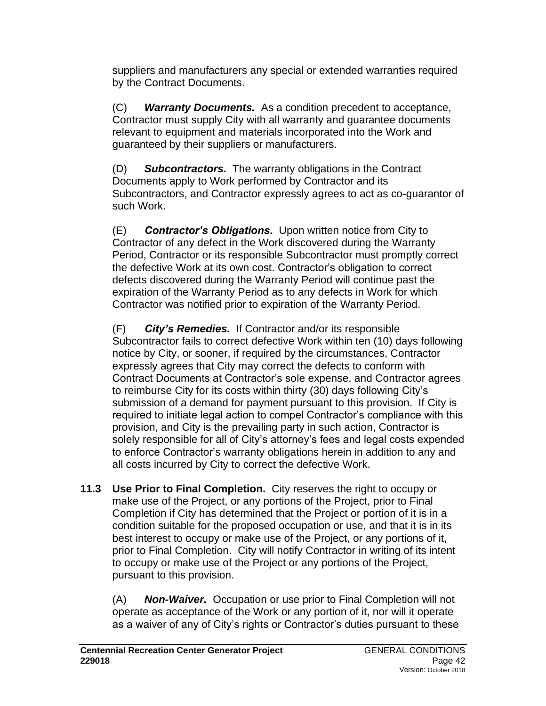suppliers and manufacturers any special or extended warranties required by the Contract Documents.

(C) *Warranty Documents.* As a condition precedent to acceptance, Contractor must supply City with all warranty and guarantee documents relevant to equipment and materials incorporated into the Work and guaranteed by their suppliers or manufacturers.

(D) *Subcontractors.* The warranty obligations in the Contract Documents apply to Work performed by Contractor and its Subcontractors, and Contractor expressly agrees to act as co-guarantor of such Work.

(E) *Contractor's Obligations.* Upon written notice from City to Contractor of any defect in the Work discovered during the Warranty Period, Contractor or its responsible Subcontractor must promptly correct the defective Work at its own cost. Contractor's obligation to correct defects discovered during the Warranty Period will continue past the expiration of the Warranty Period as to any defects in Work for which Contractor was notified prior to expiration of the Warranty Period.

(F) *City's Remedies.* If Contractor and/or its responsible Subcontractor fails to correct defective Work within ten (10) days following notice by City, or sooner, if required by the circumstances, Contractor expressly agrees that City may correct the defects to conform with Contract Documents at Contractor's sole expense, and Contractor agrees to reimburse City for its costs within thirty (30) days following City's submission of a demand for payment pursuant to this provision. If City is required to initiate legal action to compel Contractor's compliance with this provision, and City is the prevailing party in such action, Contractor is solely responsible for all of City's attorney's fees and legal costs expended to enforce Contractor's warranty obligations herein in addition to any and all costs incurred by City to correct the defective Work.

**11.3 Use Prior to Final Completion.** City reserves the right to occupy or make use of the Project, or any portions of the Project, prior to Final Completion if City has determined that the Project or portion of it is in a condition suitable for the proposed occupation or use, and that it is in its best interest to occupy or make use of the Project, or any portions of it, prior to Final Completion. City will notify Contractor in writing of its intent to occupy or make use of the Project or any portions of the Project, pursuant to this provision.

(A) *Non-Waiver.* Occupation or use prior to Final Completion will not operate as acceptance of the Work or any portion of it, nor will it operate as a waiver of any of City's rights or Contractor's duties pursuant to these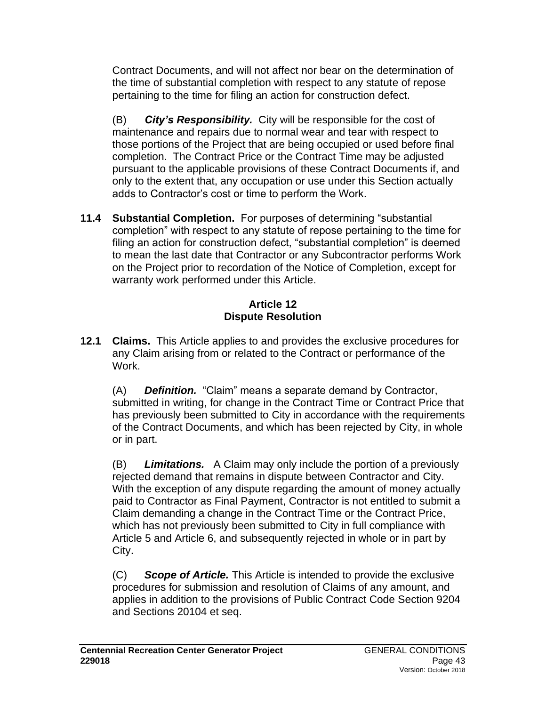Contract Documents, and will not affect nor bear on the determination of the time of substantial completion with respect to any statute of repose pertaining to the time for filing an action for construction defect.

(B) *City's Responsibility.* City will be responsible for the cost of maintenance and repairs due to normal wear and tear with respect to those portions of the Project that are being occupied or used before final completion. The Contract Price or the Contract Time may be adjusted pursuant to the applicable provisions of these Contract Documents if, and only to the extent that, any occupation or use under this Section actually adds to Contractor's cost or time to perform the Work.

**11.4 Substantial Completion.** For purposes of determining "substantial completion" with respect to any statute of repose pertaining to the time for filing an action for construction defect, "substantial completion" is deemed to mean the last date that Contractor or any Subcontractor performs Work on the Project prior to recordation of the Notice of Completion, except for warranty work performed under this Article.

#### **Article 12 Dispute Resolution**

**12.1 Claims.** This Article applies to and provides the exclusive procedures for any Claim arising from or related to the Contract or performance of the Work.

(A) *Definition.* "Claim" means a separate demand by Contractor, submitted in writing, for change in the Contract Time or Contract Price that has previously been submitted to City in accordance with the requirements of the Contract Documents, and which has been rejected by City, in whole or in part.

(B) *Limitations.* A Claim may only include the portion of a previously rejected demand that remains in dispute between Contractor and City. With the exception of any dispute regarding the amount of money actually paid to Contractor as Final Payment, Contractor is not entitled to submit a Claim demanding a change in the Contract Time or the Contract Price, which has not previously been submitted to City in full compliance with Article 5 and Article 6, and subsequently rejected in whole or in part by City.

(C) *Scope of Article.* This Article is intended to provide the exclusive procedures for submission and resolution of Claims of any amount, and applies in addition to the provisions of Public Contract Code Section 9204 and Sections 20104 et seq.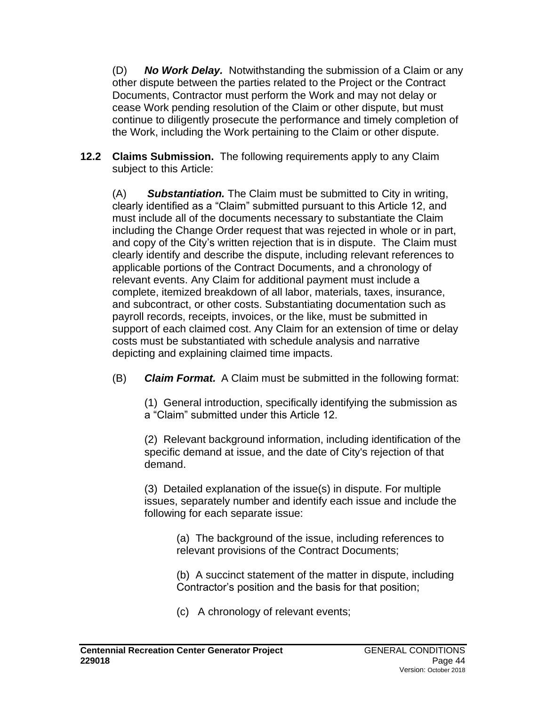(D) *No Work Delay.* Notwithstanding the submission of a Claim or any other dispute between the parties related to the Project or the Contract Documents, Contractor must perform the Work and may not delay or cease Work pending resolution of the Claim or other dispute, but must continue to diligently prosecute the performance and timely completion of the Work, including the Work pertaining to the Claim or other dispute.

**12.2 Claims Submission.** The following requirements apply to any Claim subject to this Article:

(A) *Substantiation.* The Claim must be submitted to City in writing, clearly identified as a "Claim" submitted pursuant to this Article 12, and must include all of the documents necessary to substantiate the Claim including the Change Order request that was rejected in whole or in part, and copy of the City's written rejection that is in dispute. The Claim must clearly identify and describe the dispute, including relevant references to applicable portions of the Contract Documents, and a chronology of relevant events. Any Claim for additional payment must include a complete, itemized breakdown of all labor, materials, taxes, insurance, and subcontract, or other costs. Substantiating documentation such as payroll records, receipts, invoices, or the like, must be submitted in support of each claimed cost. Any Claim for an extension of time or delay costs must be substantiated with schedule analysis and narrative depicting and explaining claimed time impacts.

(B) *Claim Format.* A Claim must be submitted in the following format:

(1) General introduction, specifically identifying the submission as a "Claim" submitted under this Article 12.

(2) Relevant background information, including identification of the specific demand at issue, and the date of City's rejection of that demand.

(3) Detailed explanation of the issue(s) in dispute. For multiple issues, separately number and identify each issue and include the following for each separate issue:

> (a) The background of the issue, including references to relevant provisions of the Contract Documents;

(b) A succinct statement of the matter in dispute, including Contractor's position and the basis for that position;

(c) A chronology of relevant events;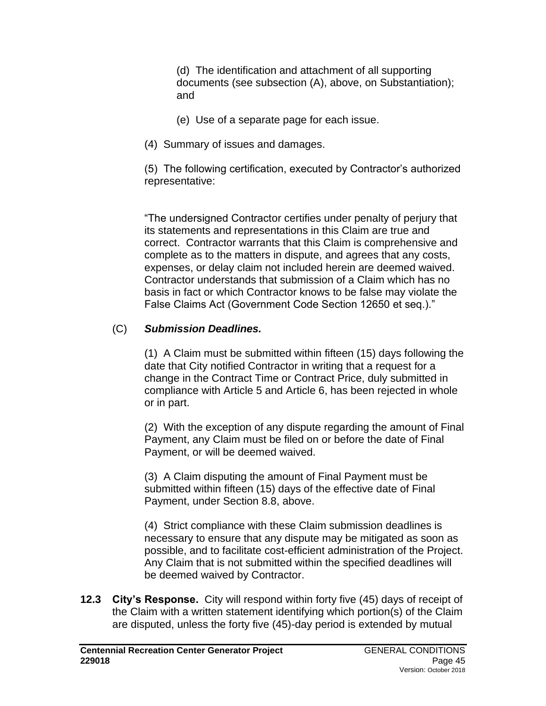(d) The identification and attachment of all supporting documents (see subsection (A), above, on Substantiation); and

- (e) Use of a separate page for each issue.
- (4) Summary of issues and damages.

(5) The following certification, executed by Contractor's authorized representative:

"The undersigned Contractor certifies under penalty of perjury that its statements and representations in this Claim are true and correct. Contractor warrants that this Claim is comprehensive and complete as to the matters in dispute, and agrees that any costs, expenses, or delay claim not included herein are deemed waived. Contractor understands that submission of a Claim which has no basis in fact or which Contractor knows to be false may violate the False Claims Act (Government Code Section 12650 et seq.)."

### (C) *Submission Deadlines.*

(1) A Claim must be submitted within fifteen (15) days following the date that City notified Contractor in writing that a request for a change in the Contract Time or Contract Price, duly submitted in compliance with Article 5 and Article 6, has been rejected in whole or in part.

(2) With the exception of any dispute regarding the amount of Final Payment, any Claim must be filed on or before the date of Final Payment, or will be deemed waived.

(3) A Claim disputing the amount of Final Payment must be submitted within fifteen (15) days of the effective date of Final Payment, under Section 8.8, above.

(4) Strict compliance with these Claim submission deadlines is necessary to ensure that any dispute may be mitigated as soon as possible, and to facilitate cost-efficient administration of the Project. Any Claim that is not submitted within the specified deadlines will be deemed waived by Contractor.

**12.3 City's Response.** City will respond within forty five (45) days of receipt of the Claim with a written statement identifying which portion(s) of the Claim are disputed, unless the forty five (45)-day period is extended by mutual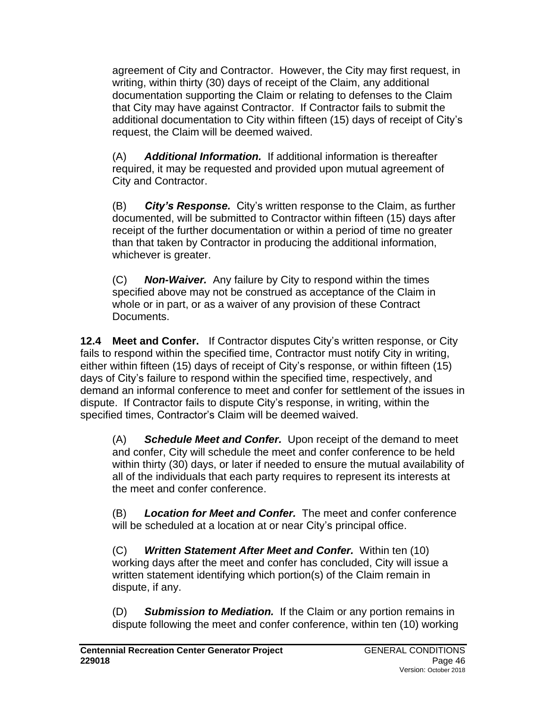agreement of City and Contractor. However, the City may first request, in writing, within thirty (30) days of receipt of the Claim, any additional documentation supporting the Claim or relating to defenses to the Claim that City may have against Contractor. If Contractor fails to submit the additional documentation to City within fifteen (15) days of receipt of City's request, the Claim will be deemed waived.

(A) *Additional Information.* If additional information is thereafter required, it may be requested and provided upon mutual agreement of City and Contractor.

(B) *City's Response.* City's written response to the Claim, as further documented, will be submitted to Contractor within fifteen (15) days after receipt of the further documentation or within a period of time no greater than that taken by Contractor in producing the additional information, whichever is greater.

(C) *Non-Waiver.* Any failure by City to respond within the times specified above may not be construed as acceptance of the Claim in whole or in part, or as a waiver of any provision of these Contract Documents.

**12.4 Meet and Confer.** If Contractor disputes City's written response, or City fails to respond within the specified time, Contractor must notify City in writing, either within fifteen (15) days of receipt of City's response, or within fifteen (15) days of City's failure to respond within the specified time, respectively, and demand an informal conference to meet and confer for settlement of the issues in dispute. If Contractor fails to dispute City's response, in writing, within the specified times, Contractor's Claim will be deemed waived.

(A) *Schedule Meet and Confer.* Upon receipt of the demand to meet and confer, City will schedule the meet and confer conference to be held within thirty (30) days, or later if needed to ensure the mutual availability of all of the individuals that each party requires to represent its interests at the meet and confer conference.

(B) *Location for Meet and Confer.* The meet and confer conference will be scheduled at a location at or near City's principal office.

(C) *Written Statement After Meet and Confer.* Within ten (10) working days after the meet and confer has concluded, City will issue a written statement identifying which portion(s) of the Claim remain in dispute, if any.

(D) *Submission to Mediation.* If the Claim or any portion remains in dispute following the meet and confer conference, within ten (10) working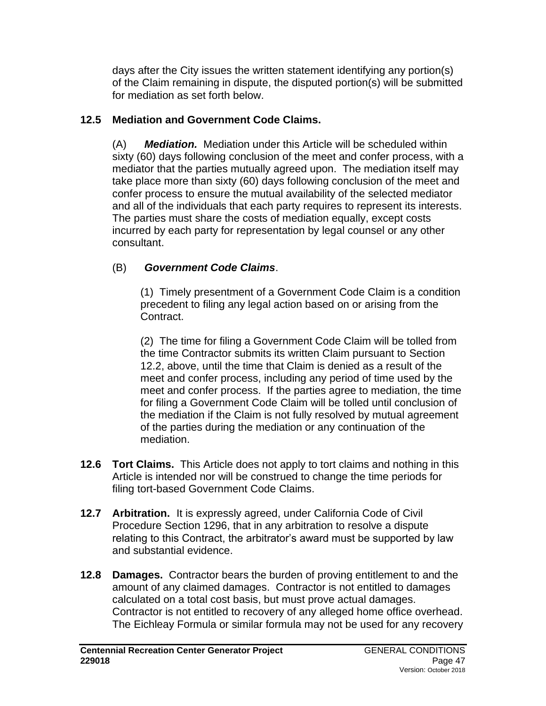days after the City issues the written statement identifying any portion(s) of the Claim remaining in dispute, the disputed portion(s) will be submitted for mediation as set forth below.

## **12.5 Mediation and Government Code Claims.**

(A) *Mediation.*Mediation under this Article will be scheduled within sixty (60) days following conclusion of the meet and confer process, with a mediator that the parties mutually agreed upon. The mediation itself may take place more than sixty (60) days following conclusion of the meet and confer process to ensure the mutual availability of the selected mediator and all of the individuals that each party requires to represent its interests. The parties must share the costs of mediation equally, except costs incurred by each party for representation by legal counsel or any other consultant.

# (B) *Government Code Claims*.

(1)Timely presentment of a Government Code Claim is a condition precedent to filing any legal action based on or arising from the Contract.

(2) The time for filing a Government Code Claim will be tolled from the time Contractor submits its written Claim pursuant to Section 12.2, above, until the time that Claim is denied as a result of the meet and confer process, including any period of time used by the meet and confer process. If the parties agree to mediation, the time for filing a Government Code Claim will be tolled until conclusion of the mediation if the Claim is not fully resolved by mutual agreement of the parties during the mediation or any continuation of the mediation.

- **12.6 Tort Claims.** This Article does not apply to tort claims and nothing in this Article is intended nor will be construed to change the time periods for filing tort-based Government Code Claims.
- **12.7 Arbitration.** It is expressly agreed, under California Code of Civil Procedure Section 1296, that in any arbitration to resolve a dispute relating to this Contract, the arbitrator's award must be supported by law and substantial evidence.
- **12.8 Damages.** Contractor bears the burden of proving entitlement to and the amount of any claimed damages. Contractor is not entitled to damages calculated on a total cost basis, but must prove actual damages. Contractor is not entitled to recovery of any alleged home office overhead. The Eichleay Formula or similar formula may not be used for any recovery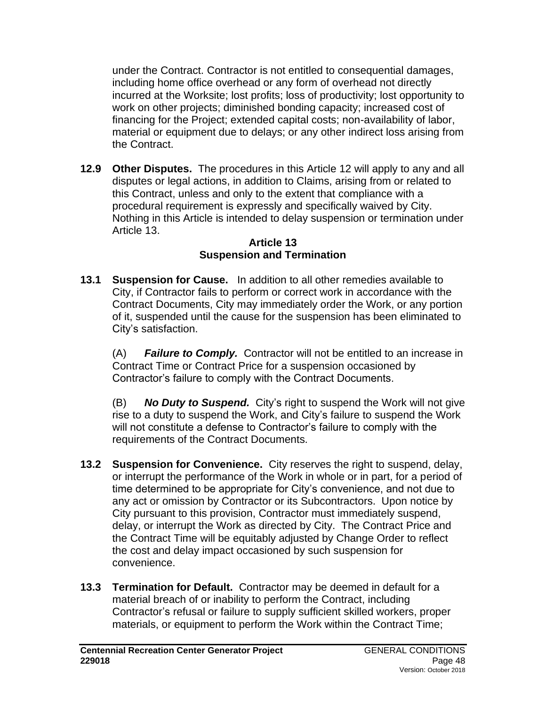under the Contract. Contractor is not entitled to consequential damages, including home office overhead or any form of overhead not directly incurred at the Worksite; lost profits; loss of productivity; lost opportunity to work on other projects; diminished bonding capacity; increased cost of financing for the Project; extended capital costs; non-availability of labor, material or equipment due to delays; or any other indirect loss arising from the Contract.

**12.9 Other Disputes.** The procedures in this Article 12 will apply to any and all disputes or legal actions, in addition to Claims, arising from or related to this Contract, unless and only to the extent that compliance with a procedural requirement is expressly and specifically waived by City. Nothing in this Article is intended to delay suspension or termination under Article 13.

#### **Article 13 Suspension and Termination**

**13.1 Suspension for Cause.** In addition to all other remedies available to City, if Contractor fails to perform or correct work in accordance with the Contract Documents, City may immediately order the Work, or any portion of it, suspended until the cause for the suspension has been eliminated to City's satisfaction.

(A) *Failure to Comply.* Contractor will not be entitled to an increase in Contract Time or Contract Price for a suspension occasioned by Contractor's failure to comply with the Contract Documents.

(B) *No Duty to Suspend.* City's right to suspend the Work will not give rise to a duty to suspend the Work, and City's failure to suspend the Work will not constitute a defense to Contractor's failure to comply with the requirements of the Contract Documents.

- **13.2 Suspension for Convenience.** City reserves the right to suspend, delay, or interrupt the performance of the Work in whole or in part, for a period of time determined to be appropriate for City's convenience, and not due to any act or omission by Contractor or its Subcontractors. Upon notice by City pursuant to this provision, Contractor must immediately suspend, delay, or interrupt the Work as directed by City. The Contract Price and the Contract Time will be equitably adjusted by Change Order to reflect the cost and delay impact occasioned by such suspension for convenience.
- **13.3 Termination for Default.** Contractor may be deemed in default for a material breach of or inability to perform the Contract, including Contractor's refusal or failure to supply sufficient skilled workers, proper materials, or equipment to perform the Work within the Contract Time;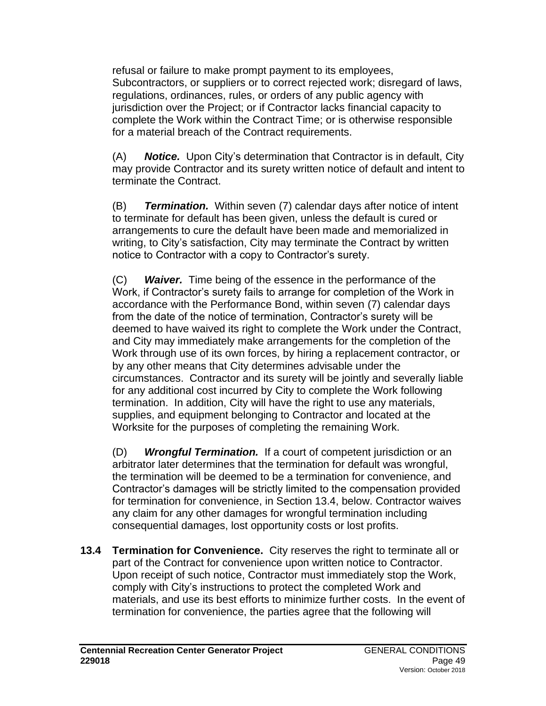refusal or failure to make prompt payment to its employees, Subcontractors, or suppliers or to correct rejected work; disregard of laws, regulations, ordinances, rules, or orders of any public agency with jurisdiction over the Project; or if Contractor lacks financial capacity to complete the Work within the Contract Time; or is otherwise responsible for a material breach of the Contract requirements.

(A) *Notice.* Upon City's determination that Contractor is in default, City may provide Contractor and its surety written notice of default and intent to terminate the Contract.

(B) *Termination.* Within seven (7) calendar days after notice of intent to terminate for default has been given, unless the default is cured or arrangements to cure the default have been made and memorialized in writing, to City's satisfaction, City may terminate the Contract by written notice to Contractor with a copy to Contractor's surety.

(C) *Waiver.* Time being of the essence in the performance of the Work, if Contractor's surety fails to arrange for completion of the Work in accordance with the Performance Bond, within seven (7) calendar days from the date of the notice of termination, Contractor's surety will be deemed to have waived its right to complete the Work under the Contract, and City may immediately make arrangements for the completion of the Work through use of its own forces, by hiring a replacement contractor, or by any other means that City determines advisable under the circumstances. Contractor and its surety will be jointly and severally liable for any additional cost incurred by City to complete the Work following termination. In addition, City will have the right to use any materials, supplies, and equipment belonging to Contractor and located at the Worksite for the purposes of completing the remaining Work.

(D) *Wrongful Termination.* If a court of competent jurisdiction or an arbitrator later determines that the termination for default was wrongful, the termination will be deemed to be a termination for convenience, and Contractor's damages will be strictly limited to the compensation provided for termination for convenience, in Section 13.4, below. Contractor waives any claim for any other damages for wrongful termination including consequential damages, lost opportunity costs or lost profits.

**13.4 Termination for Convenience.** City reserves the right to terminate all or part of the Contract for convenience upon written notice to Contractor. Upon receipt of such notice, Contractor must immediately stop the Work, comply with City's instructions to protect the completed Work and materials, and use its best efforts to minimize further costs. In the event of termination for convenience, the parties agree that the following will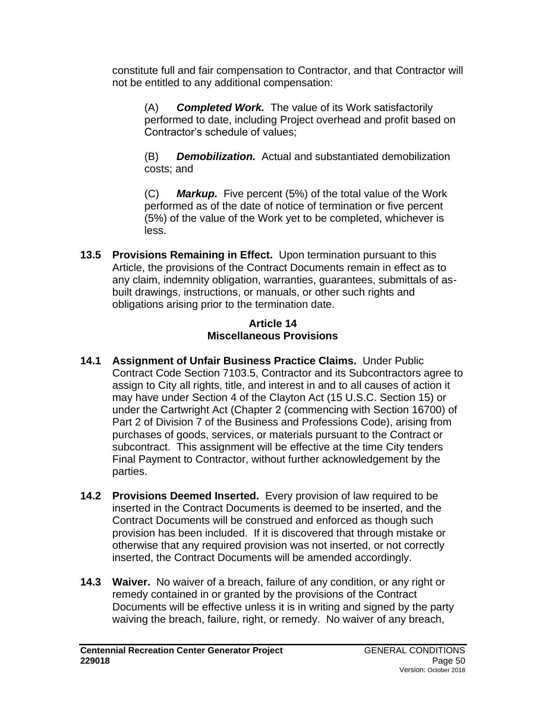constitute full and fair compensation to Contractor, and that Contractor will not be entitled to any additional compensation:

(A) *Completed Work.* The value of its Work satisfactorily performed to date, including Project overhead and profit based on Contractor's schedule of values;

(B) *Demobilization.* Actual and substantiated demobilization costs; and

(C) *Markup.* Five percent (5%) of the total value of the Work performed as of the date of notice of termination or five percent (5%) of the value of the Work yet to be completed, whichever is less.

**13.5 Provisions Remaining in Effect.** Upon termination pursuant to this Article, the provisions of the Contract Documents remain in effect as to any claim, indemnity obligation, warranties, guarantees, submittals of asbuilt drawings, instructions, or manuals, or other such rights and obligations arising prior to the termination date.

#### **Article 14 Miscellaneous Provisions**

- **14.1 Assignment of Unfair Business Practice Claims.** Under Public Contract Code Section 7103.5, Contractor and its Subcontractors agree to assign to City all rights, title, and interest in and to all causes of action it may have under Section 4 of the Clayton Act (15 U.S.C. Section 15) or under the Cartwright Act (Chapter 2 (commencing with Section 16700) of Part 2 of Division 7 of the Business and Professions Code), arising from purchases of goods, services, or materials pursuant to the Contract or subcontract. This assignment will be effective at the time City tenders Final Payment to Contractor, without further acknowledgement by the parties.
- **14.2 Provisions Deemed Inserted.** Every provision of law required to be inserted in the Contract Documents is deemed to be inserted, and the Contract Documents will be construed and enforced as though such provision has been included. If it is discovered that through mistake or otherwise that any required provision was not inserted, or not correctly inserted, the Contract Documents will be amended accordingly.
- **14.3 Waiver.** No waiver of a breach, failure of any condition, or any right or remedy contained in or granted by the provisions of the Contract Documents will be effective unless it is in writing and signed by the party waiving the breach, failure, right, or remedy. No waiver of any breach,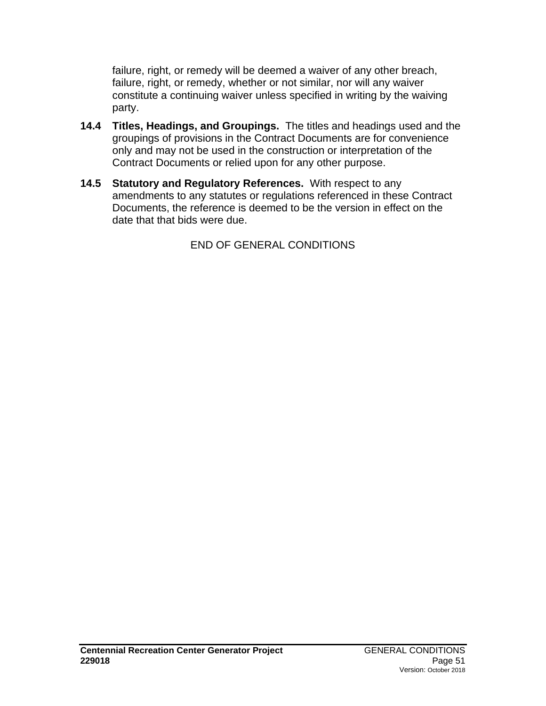failure, right, or remedy will be deemed a waiver of any other breach, failure, right, or remedy, whether or not similar, nor will any waiver constitute a continuing waiver unless specified in writing by the waiving party.

- **14.4 Titles, Headings, and Groupings.** The titles and headings used and the groupings of provisions in the Contract Documents are for convenience only and may not be used in the construction or interpretation of the Contract Documents or relied upon for any other purpose.
- **14.5 Statutory and Regulatory References.** With respect to any amendments to any statutes or regulations referenced in these Contract Documents, the reference is deemed to be the version in effect on the date that that bids were due.

END OF GENERAL CONDITIONS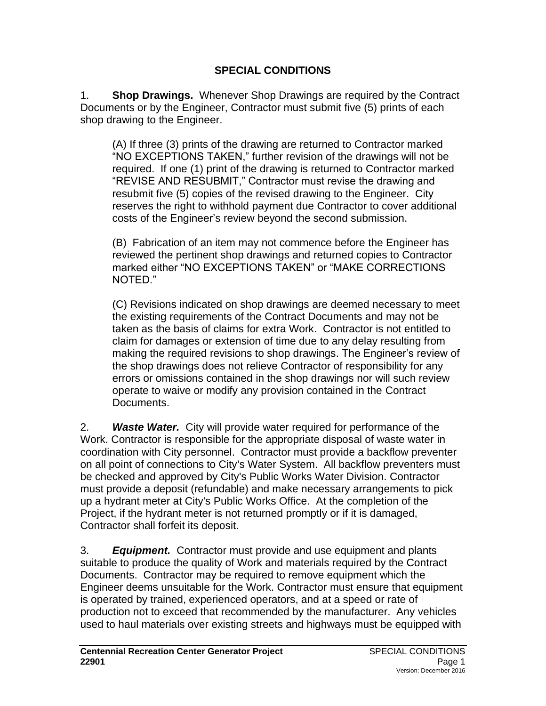#### **SPECIAL CONDITIONS**

1. **Shop Drawings.** Whenever Shop Drawings are required by the Contract Documents or by the Engineer, Contractor must submit five (5) prints of each shop drawing to the Engineer.

(A) If three (3) prints of the drawing are returned to Contractor marked "NO EXCEPTIONS TAKEN," further revision of the drawings will not be required. If one (1) print of the drawing is returned to Contractor marked "REVISE AND RESUBMIT," Contractor must revise the drawing and resubmit five (5) copies of the revised drawing to the Engineer. City reserves the right to withhold payment due Contractor to cover additional costs of the Engineer's review beyond the second submission.

(B) Fabrication of an item may not commence before the Engineer has reviewed the pertinent shop drawings and returned copies to Contractor marked either "NO EXCEPTIONS TAKEN" or "MAKE CORRECTIONS NOTED."

(C) Revisions indicated on shop drawings are deemed necessary to meet the existing requirements of the Contract Documents and may not be taken as the basis of claims for extra Work. Contractor is not entitled to claim for damages or extension of time due to any delay resulting from making the required revisions to shop drawings. The Engineer's review of the shop drawings does not relieve Contractor of responsibility for any errors or omissions contained in the shop drawings nor will such review operate to waive or modify any provision contained in the Contract Documents.

2. *Waste Water.* City will provide water required for performance of the Work. Contractor is responsible for the appropriate disposal of waste water in coordination with City personnel. Contractor must provide a backflow preventer on all point of connections to City's Water System. All backflow preventers must be checked and approved by City's Public Works Water Division. Contractor must provide a deposit (refundable) and make necessary arrangements to pick up a hydrant meter at City's Public Works Office. At the completion of the Project, if the hydrant meter is not returned promptly or if it is damaged, Contractor shall forfeit its deposit.

3. *Equipment.* Contractor must provide and use equipment and plants suitable to produce the quality of Work and materials required by the Contract Documents. Contractor may be required to remove equipment which the Engineer deems unsuitable for the Work. Contractor must ensure that equipment is operated by trained, experienced operators, and at a speed or rate of production not to exceed that recommended by the manufacturer. Any vehicles used to haul materials over existing streets and highways must be equipped with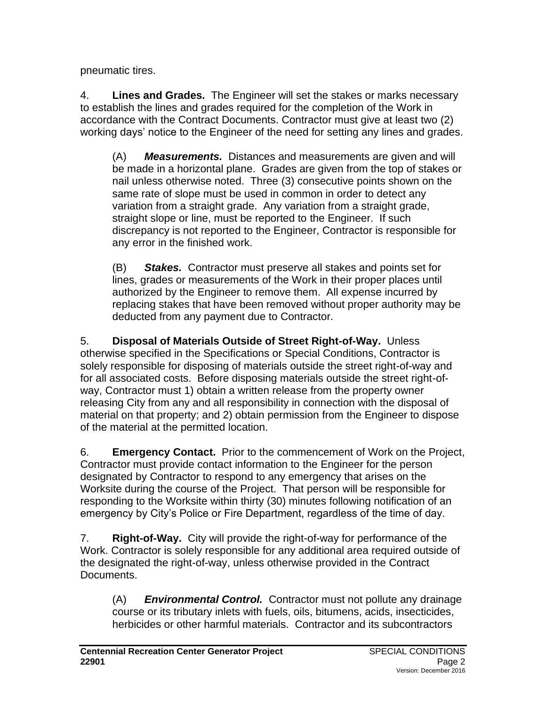pneumatic tires.

4. **Lines and Grades.** The Engineer will set the stakes or marks necessary to establish the lines and grades required for the completion of the Work in accordance with the Contract Documents. Contractor must give at least two (2) working days' notice to the Engineer of the need for setting any lines and grades.

(A) *Measurements.* Distances and measurements are given and will be made in a horizontal plane. Grades are given from the top of stakes or nail unless otherwise noted. Three (3) consecutive points shown on the same rate of slope must be used in common in order to detect any variation from a straight grade. Any variation from a straight grade, straight slope or line, must be reported to the Engineer. If such discrepancy is not reported to the Engineer, Contractor is responsible for any error in the finished work.

(B) *Stakes.* Contractor must preserve all stakes and points set for lines, grades or measurements of the Work in their proper places until authorized by the Engineer to remove them. All expense incurred by replacing stakes that have been removed without proper authority may be deducted from any payment due to Contractor.

5. **Disposal of Materials Outside of Street Right-of-Way.** Unless otherwise specified in the Specifications or Special Conditions, Contractor is solely responsible for disposing of materials outside the street right-of-way and for all associated costs. Before disposing materials outside the street right-ofway, Contractor must 1) obtain a written release from the property owner releasing City from any and all responsibility in connection with the disposal of material on that property; and 2) obtain permission from the Engineer to dispose of the material at the permitted location.

6. **Emergency Contact.** Prior to the commencement of Work on the Project, Contractor must provide contact information to the Engineer for the person designated by Contractor to respond to any emergency that arises on the Worksite during the course of the Project. That person will be responsible for responding to the Worksite within thirty (30) minutes following notification of an emergency by City's Police or Fire Department, regardless of the time of day.

7. **Right-of-Way.** City will provide the right-of-way for performance of the Work. Contractor is solely responsible for any additional area required outside of the designated the right-of-way, unless otherwise provided in the Contract Documents.

(A) *Environmental Control.* Contractor must not pollute any drainage course or its tributary inlets with fuels, oils, bitumens, acids, insecticides, herbicides or other harmful materials. Contractor and its subcontractors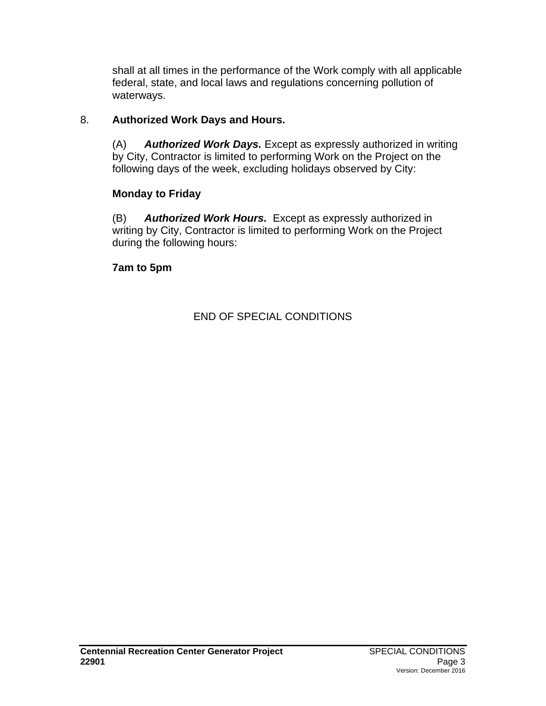shall at all times in the performance of the Work comply with all applicable federal, state, and local laws and regulations concerning pollution of waterways.

### 8. **Authorized Work Days and Hours.**

(A) *Authorized Work Days.* Except as expressly authorized in writing by City, Contractor is limited to performing Work on the Project on the following days of the week, excluding holidays observed by City:

# **Monday to Friday**

(B) *Authorized Work Hours.* Except as expressly authorized in writing by City, Contractor is limited to performing Work on the Project during the following hours:

### **7am to 5pm**

END OF SPECIAL CONDITIONS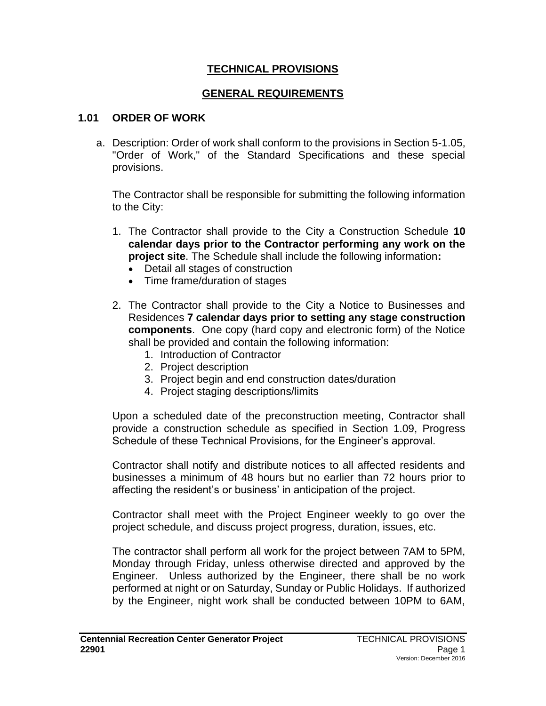#### **TECHNICAL PROVISIONS**

#### **GENERAL REQUIREMENTS**

#### **1.01 ORDER OF WORK**

a. Description: Order of work shall conform to the provisions in Section 5-1.05, "Order of Work," of the Standard Specifications and these special provisions.

The Contractor shall be responsible for submitting the following information to the City:

- 1. The Contractor shall provide to the City a Construction Schedule **10 calendar days prior to the Contractor performing any work on the project site**. The Schedule shall include the following information**:**
	- Detail all stages of construction
	- Time frame/duration of stages
- 2. The Contractor shall provide to the City a Notice to Businesses and Residences **7 calendar days prior to setting any stage construction components**. One copy (hard copy and electronic form) of the Notice shall be provided and contain the following information:
	- 1. Introduction of Contractor
	- 2. Project description
	- 3. Project begin and end construction dates/duration
	- 4. Project staging descriptions/limits

Upon a scheduled date of the preconstruction meeting, Contractor shall provide a construction schedule as specified in Section 1.09, Progress Schedule of these Technical Provisions, for the Engineer's approval.

Contractor shall notify and distribute notices to all affected residents and businesses a minimum of 48 hours but no earlier than 72 hours prior to affecting the resident's or business' in anticipation of the project.

Contractor shall meet with the Project Engineer weekly to go over the project schedule, and discuss project progress, duration, issues, etc.

The contractor shall perform all work for the project between 7AM to 5PM, Monday through Friday, unless otherwise directed and approved by the Engineer. Unless authorized by the Engineer, there shall be no work performed at night or on Saturday, Sunday or Public Holidays. If authorized by the Engineer, night work shall be conducted between 10PM to 6AM,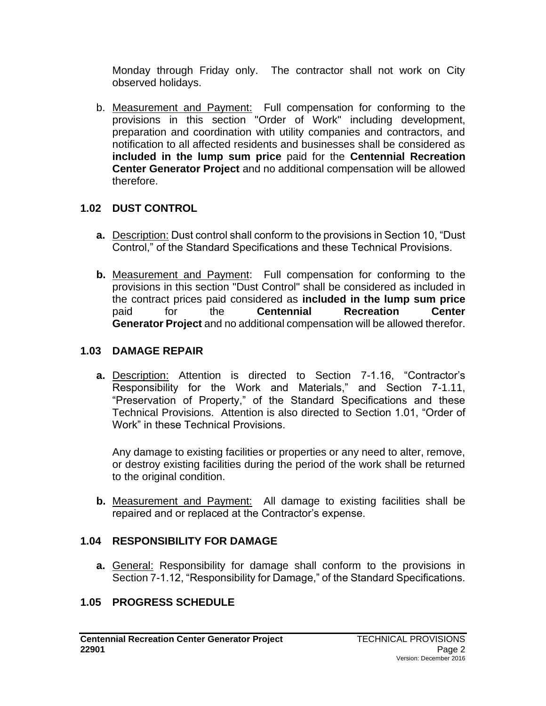Monday through Friday only. The contractor shall not work on City observed holidays.

b. Measurement and Payment: Full compensation for conforming to the provisions in this section "Order of Work" including development, preparation and coordination with utility companies and contractors, and notification to all affected residents and businesses shall be considered as **included in the lump sum price** paid for the **Centennial Recreation Center Generator Project** and no additional compensation will be allowed therefore.

### **1.02 DUST CONTROL**

- **a.** Description: Dust control shall conform to the provisions in Section 10, "Dust Control," of the Standard Specifications and these Technical Provisions.
- **b.** Measurement and Payment: Full compensation for conforming to the provisions in this section "Dust Control" shall be considered as included in the contract prices paid considered as **included in the lump sum price** paid for the **Centennial Recreation Center Generator Project** and no additional compensation will be allowed therefor.

### **1.03 DAMAGE REPAIR**

**a.** Description: Attention is directed to Section 7-1.16, "Contractor's Responsibility for the Work and Materials," and Section 7-1.11, "Preservation of Property," of the Standard Specifications and these Technical Provisions. Attention is also directed to Section 1.01, "Order of Work" in these Technical Provisions.

Any damage to existing facilities or properties or any need to alter, remove, or destroy existing facilities during the period of the work shall be returned to the original condition.

**b.** Measurement and Payment: All damage to existing facilities shall be repaired and or replaced at the Contractor's expense.

# **1.04 RESPONSIBILITY FOR DAMAGE**

**a.** General: Responsibility for damage shall conform to the provisions in Section 7-1.12, "Responsibility for Damage," of the Standard Specifications.

# **1.05 PROGRESS SCHEDULE**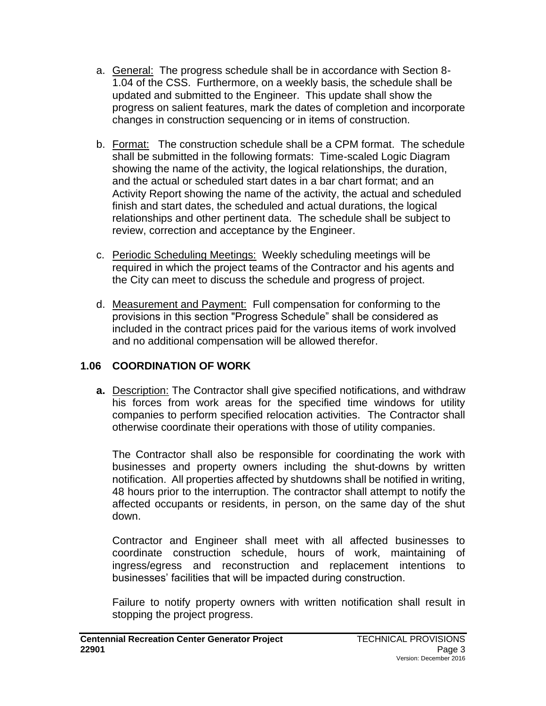- a. General: The progress schedule shall be in accordance with Section 8- 1.04 of the CSS. Furthermore, on a weekly basis, the schedule shall be updated and submitted to the Engineer. This update shall show the progress on salient features, mark the dates of completion and incorporate changes in construction sequencing or in items of construction.
- b. Format: The construction schedule shall be a CPM format. The schedule shall be submitted in the following formats: Time-scaled Logic Diagram showing the name of the activity, the logical relationships, the duration, and the actual or scheduled start dates in a bar chart format; and an Activity Report showing the name of the activity, the actual and scheduled finish and start dates, the scheduled and actual durations, the logical relationships and other pertinent data. The schedule shall be subject to review, correction and acceptance by the Engineer.
- c. Periodic Scheduling Meetings: Weekly scheduling meetings will be required in which the project teams of the Contractor and his agents and the City can meet to discuss the schedule and progress of project.
- d. Measurement and Payment: Full compensation for conforming to the provisions in this section "Progress Schedule" shall be considered as included in the contract prices paid for the various items of work involved and no additional compensation will be allowed therefor.

# **1.06 COORDINATION OF WORK**

**a.** Description: The Contractor shall give specified notifications, and withdraw his forces from work areas for the specified time windows for utility companies to perform specified relocation activities. The Contractor shall otherwise coordinate their operations with those of utility companies.

The Contractor shall also be responsible for coordinating the work with businesses and property owners including the shut-downs by written notification. All properties affected by shutdowns shall be notified in writing, 48 hours prior to the interruption. The contractor shall attempt to notify the affected occupants or residents, in person, on the same day of the shut down.

Contractor and Engineer shall meet with all affected businesses to coordinate construction schedule, hours of work, maintaining of ingress/egress and reconstruction and replacement intentions to businesses' facilities that will be impacted during construction.

Failure to notify property owners with written notification shall result in stopping the project progress.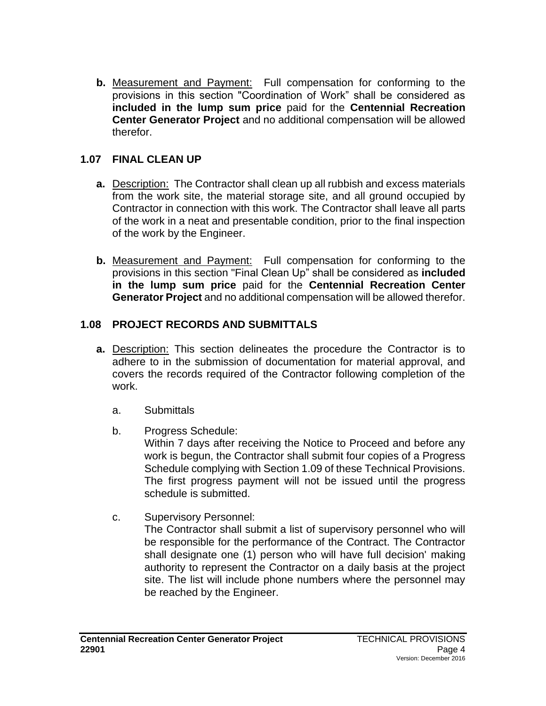**b.** Measurement and Payment: Full compensation for conforming to the provisions in this section "Coordination of Work" shall be considered as **included in the lump sum price** paid for the **Centennial Recreation Center Generator Project** and no additional compensation will be allowed therefor.

#### **1.07 FINAL CLEAN UP**

- **a.** Description: The Contractor shall clean up all rubbish and excess materials from the work site, the material storage site, and all ground occupied by Contractor in connection with this work. The Contractor shall leave all parts of the work in a neat and presentable condition, prior to the final inspection of the work by the Engineer.
- **b.** Measurement and Payment: Full compensation for conforming to the provisions in this section "Final Clean Up" shall be considered as **included in the lump sum price** paid for the **Centennial Recreation Center Generator Project** and no additional compensation will be allowed therefor.

### **1.08 PROJECT RECORDS AND SUBMITTALS**

- **a.** Description: This section delineates the procedure the Contractor is to adhere to in the submission of documentation for material approval, and covers the records required of the Contractor following completion of the work.
	- a. Submittals
	- b. Progress Schedule:

Within 7 days after receiving the Notice to Proceed and before any work is begun, the Contractor shall submit four copies of a Progress Schedule complying with Section 1.09 of these Technical Provisions. The first progress payment will not be issued until the progress schedule is submitted.

c. Supervisory Personnel:

The Contractor shall submit a list of supervisory personnel who will be responsible for the performance of the Contract. The Contractor shall designate one (1) person who will have full decision' making authority to represent the Contractor on a daily basis at the project site. The list will include phone numbers where the personnel may be reached by the Engineer.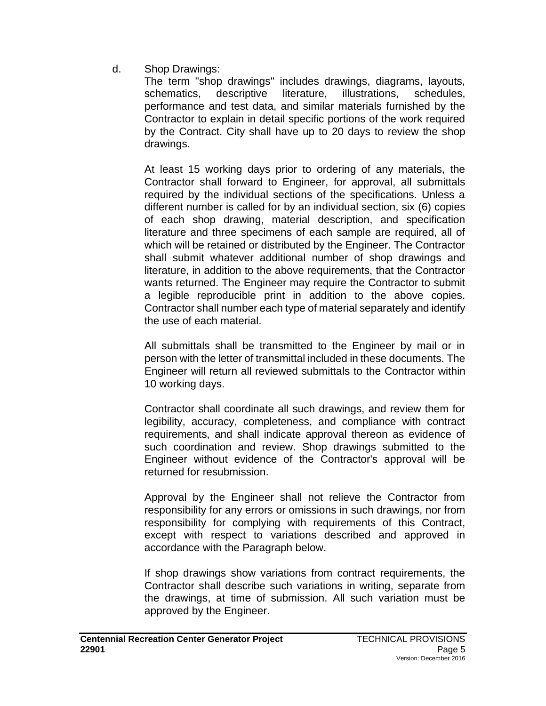d. Shop Drawings:

The term "shop drawings" includes drawings, diagrams, layouts, schematics, descriptive literature, illustrations, schedules, performance and test data, and similar materials furnished by the Contractor to explain in detail specific portions of the work required by the Contract. City shall have up to 20 days to review the shop drawings.

At least 15 working days prior to ordering of any materials, the Contractor shall forward to Engineer, for approval, all submittals required by the individual sections of the specifications. Unless a different number is called for by an individual section, six (6) copies of each shop drawing, material description, and specification literature and three specimens of each sample are required, all of which will be retained or distributed by the Engineer. The Contractor shall submit whatever additional number of shop drawings and literature, in addition to the above requirements, that the Contractor wants returned. The Engineer may require the Contractor to submit a legible reproducible print in addition to the above copies. Contractor shall number each type of material separately and identify the use of each material.

All submittals shall be transmitted to the Engineer by mail or in person with the letter of transmittal included in these documents. The Engineer will return all reviewed submittals to the Contractor within 10 working days.

Contractor shall coordinate all such drawings, and review them for legibility, accuracy, completeness, and compliance with contract requirements, and shall indicate approval thereon as evidence of such coordination and review. Shop drawings submitted to the Engineer without evidence of the Contractor's approval will be returned for resubmission.

Approval by the Engineer shall not relieve the Contractor from responsibility for any errors or omissions in such drawings, nor from responsibility for complying with requirements of this Contract, except with respect to variations described and approved in accordance with the Paragraph below.

If shop drawings show variations from contract requirements, the Contractor shall describe such variations in writing, separate from the drawings, at time of submission. All such variation must be approved by the Engineer.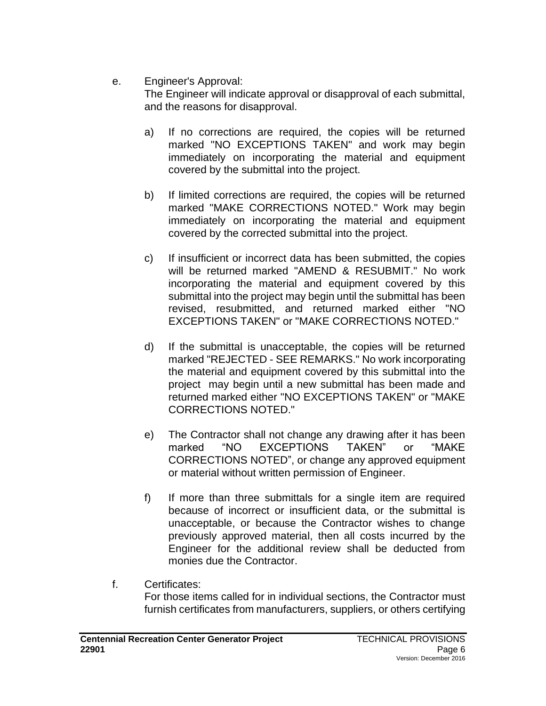#### e. Engineer's Approval:

The Engineer will indicate approval or disapproval of each submittal, and the reasons for disapproval.

- a) If no corrections are required, the copies will be returned marked "NO EXCEPTIONS TAKEN" and work may begin immediately on incorporating the material and equipment covered by the submittal into the project.
- b) If limited corrections are required, the copies will be returned marked "MAKE CORRECTIONS NOTED." Work may begin immediately on incorporating the material and equipment covered by the corrected submittal into the project.
- c) If insufficient or incorrect data has been submitted, the copies will be returned marked "AMEND & RESUBMIT." No work incorporating the material and equipment covered by this submittal into the project may begin until the submittal has been revised, resubmitted, and returned marked either "NO EXCEPTIONS TAKEN" or "MAKE CORRECTIONS NOTED."
- d) If the submittal is unacceptable, the copies will be returned marked "REJECTED - SEE REMARKS." No work incorporating the material and equipment covered by this submittal into the project may begin until a new submittal has been made and returned marked either "NO EXCEPTIONS TAKEN" or "MAKE CORRECTIONS NOTED."
- e) The Contractor shall not change any drawing after it has been marked "NO EXCEPTIONS TAKEN" or "MAKE CORRECTIONS NOTED", or change any approved equipment or material without written permission of Engineer.
- f) If more than three submittals for a single item are required because of incorrect or insufficient data, or the submittal is unacceptable, or because the Contractor wishes to change previously approved material, then all costs incurred by the Engineer for the additional review shall be deducted from monies due the Contractor.
- f. Certificates: For those items called for in individual sections, the Contractor must furnish certificates from manufacturers, suppliers, or others certifying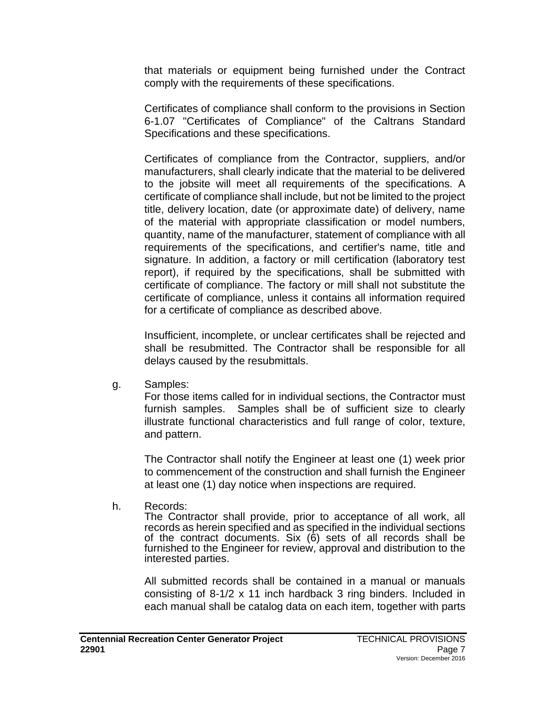that materials or equipment being furnished under the Contract comply with the requirements of these specifications.

Certificates of compliance shall conform to the provisions in Section 6-1.07 "Certificates of Compliance" of the Caltrans Standard Specifications and these specifications.

Certificates of compliance from the Contractor, suppliers, and/or manufacturers, shall clearly indicate that the material to be delivered to the jobsite will meet all requirements of the specifications. A certificate of compliance shall include, but not be limited to the project title, delivery location, date (or approximate date) of delivery, name of the material with appropriate classification or model numbers, quantity, name of the manufacturer, statement of compliance with all requirements of the specifications, and certifier's name, title and signature. In addition, a factory or mill certification (laboratory test report), if required by the specifications, shall be submitted with certificate of compliance. The factory or mill shall not substitute the certificate of compliance, unless it contains all information required for a certificate of compliance as described above.

Insufficient, incomplete, or unclear certificates shall be rejected and shall be resubmitted. The Contractor shall be responsible for all delays caused by the resubmittals.

g. Samples:

For those items called for in individual sections, the Contractor must furnish samples. Samples shall be of sufficient size to clearly illustrate functional characteristics and full range of color, texture, and pattern.

The Contractor shall notify the Engineer at least one (1) week prior to commencement of the construction and shall furnish the Engineer at least one (1) day notice when inspections are required.

h. Records:

The Contractor shall provide, prior to acceptance of all work, all records as herein specified and as specified in the individual sections of the contract documents. Six (6) sets of all records shall be furnished to the Engineer for review, approval and distribution to the interested parties.

All submitted records shall be contained in a manual or manuals consisting of 8-1/2 x 11 inch hardback 3 ring binders. Included in each manual shall be catalog data on each item, together with parts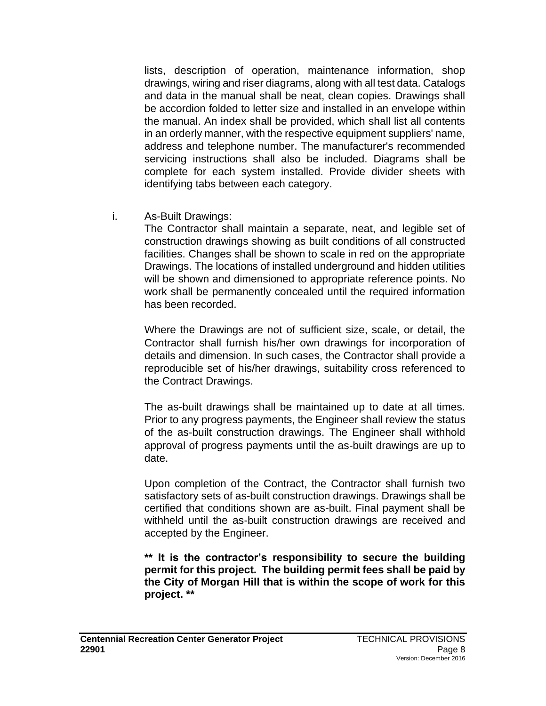lists, description of operation, maintenance information, shop drawings, wiring and riser diagrams, along with all test data. Catalogs and data in the manual shall be neat, clean copies. Drawings shall be accordion folded to letter size and installed in an envelope within the manual. An index shall be provided, which shall list all contents in an orderly manner, with the respective equipment suppliers' name, address and telephone number. The manufacturer's recommended servicing instructions shall also be included. Diagrams shall be complete for each system installed. Provide divider sheets with identifying tabs between each category.

i. As-Built Drawings:

The Contractor shall maintain a separate, neat, and legible set of construction drawings showing as built conditions of all constructed facilities. Changes shall be shown to scale in red on the appropriate Drawings. The locations of installed underground and hidden utilities will be shown and dimensioned to appropriate reference points. No work shall be permanently concealed until the required information has been recorded.

Where the Drawings are not of sufficient size, scale, or detail, the Contractor shall furnish his/her own drawings for incorporation of details and dimension. In such cases, the Contractor shall provide a reproducible set of his/her drawings, suitability cross referenced to the Contract Drawings.

The as-built drawings shall be maintained up to date at all times. Prior to any progress payments, the Engineer shall review the status of the as-built construction drawings. The Engineer shall withhold approval of progress payments until the as-built drawings are up to date.

Upon completion of the Contract, the Contractor shall furnish two satisfactory sets of as-built construction drawings. Drawings shall be certified that conditions shown are as-built. Final payment shall be withheld until the as-built construction drawings are received and accepted by the Engineer.

**\*\* It is the contractor's responsibility to secure the building permit for this project. The building permit fees shall be paid by the City of Morgan Hill that is within the scope of work for this project. \*\***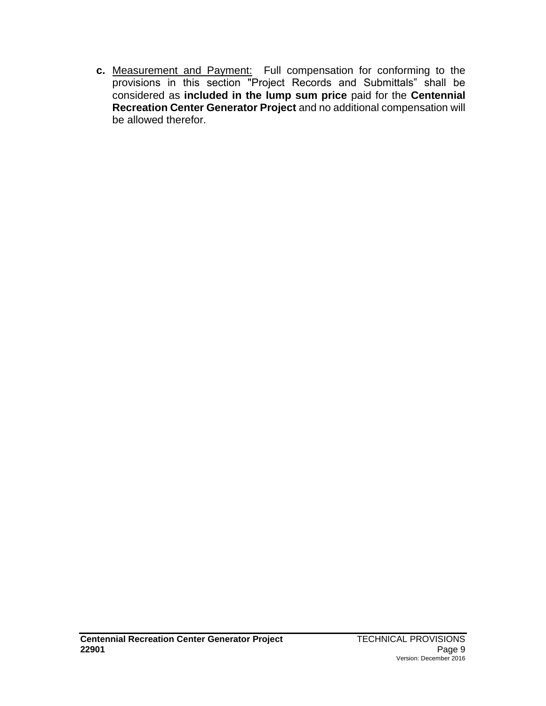**c.** Measurement and Payment: Full compensation for conforming to the provisions in this section "Project Records and Submittals" shall be considered as **included in the lump sum price** paid for the **Centennial Recreation Center Generator Project** and no additional compensation will be allowed therefor.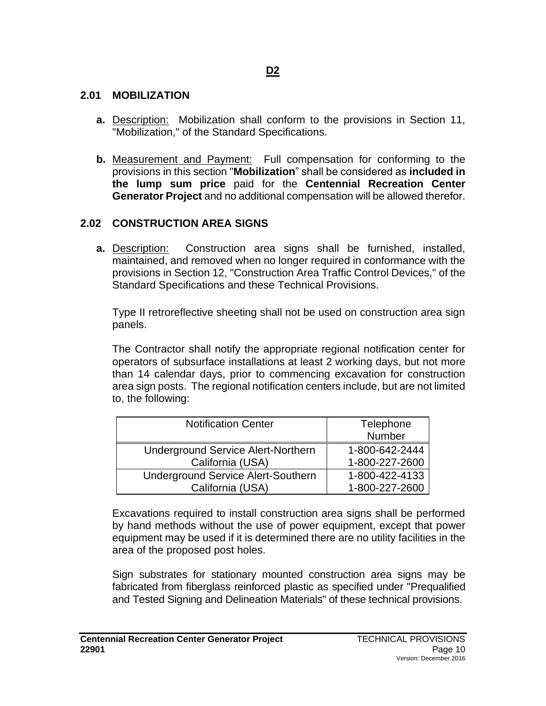#### **2.01 MOBILIZATION**

- **a.** Description: Mobilization shall conform to the provisions in Section 11, "Mobilization," of the Standard Specifications.
- **b.** Measurement and Payment: Full compensation for conforming to the provisions in this section "**Mobilization**" shall be considered as **included in the lump sum price** paid for the **Centennial Recreation Center Generator Project** and no additional compensation will be allowed therefor.

#### **2.02 CONSTRUCTION AREA SIGNS**

**a.** Description: Construction area signs shall be furnished, installed, maintained, and removed when no longer required in conformance with the provisions in Section 12, "Construction Area Traffic Control Devices," of the Standard Specifications and these Technical Provisions.

Type II retroreflective sheeting shall not be used on construction area sign panels.

The Contractor shall notify the appropriate regional notification center for operators of subsurface installations at least 2 working days, but not more than 14 calendar days, prior to commencing excavation for construction area sign posts. The regional notification centers include, but are not limited to, the following:

| <b>Notification Center</b>                | Telephone<br>Number |
|-------------------------------------------|---------------------|
|                                           |                     |
| <b>Underground Service Alert-Northern</b> | 1-800-642-2444      |
| California (USA)                          | 1-800-227-2600      |
| <b>Underground Service Alert-Southern</b> | 1-800-422-4133      |
| California (USA)                          | 1-800-227-2600      |

Excavations required to install construction area signs shall be performed by hand methods without the use of power equipment, except that power equipment may be used if it is determined there are no utility facilities in the area of the proposed post holes.

Sign substrates for stationary mounted construction area signs may be fabricated from fiberglass reinforced plastic as specified under "Prequalified and Tested Signing and Delineation Materials" of these technical provisions.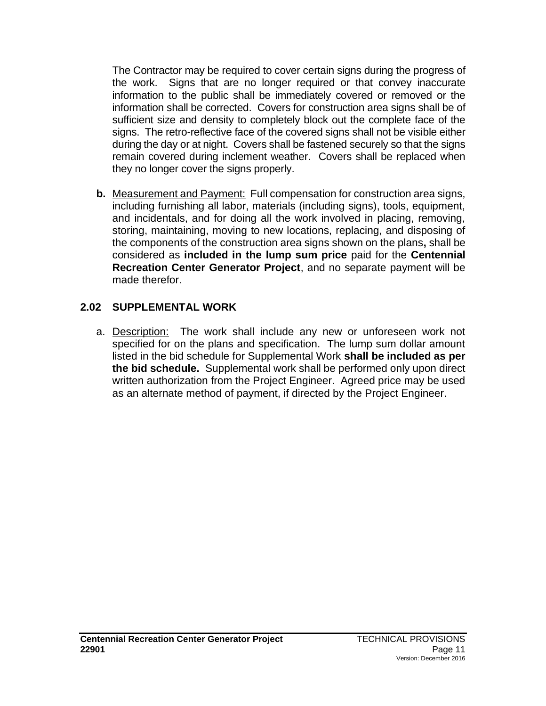The Contractor may be required to cover certain signs during the progress of the work. Signs that are no longer required or that convey inaccurate information to the public shall be immediately covered or removed or the information shall be corrected. Covers for construction area signs shall be of sufficient size and density to completely block out the complete face of the signs. The retro-reflective face of the covered signs shall not be visible either during the day or at night. Covers shall be fastened securely so that the signs remain covered during inclement weather. Covers shall be replaced when they no longer cover the signs properly.

**b.** Measurement and Payment: Full compensation for construction area signs, including furnishing all labor, materials (including signs), tools, equipment, and incidentals, and for doing all the work involved in placing, removing, storing, maintaining, moving to new locations, replacing, and disposing of the components of the construction area signs shown on the plans**,** shall be considered as **included in the lump sum price** paid for the **Centennial Recreation Center Generator Project**, and no separate payment will be made therefor.

#### **2.02 SUPPLEMENTAL WORK**

a. Description: The work shall include any new or unforeseen work not specified for on the plans and specification. The lump sum dollar amount listed in the bid schedule for Supplemental Work **shall be included as per the bid schedule.** Supplemental work shall be performed only upon direct written authorization from the Project Engineer. Agreed price may be used as an alternate method of payment, if directed by the Project Engineer.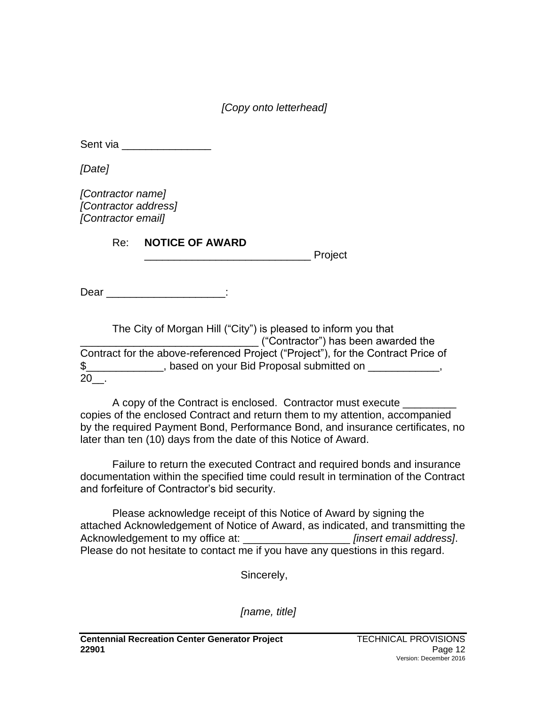*[Copy onto letterhead]*

Sent via \_\_\_\_\_\_\_\_\_\_\_\_\_\_\_\_\_\_\_\_

*[Date]*

*[Contractor name] [Contractor address] [Contractor email]*

Re: **NOTICE OF AWARD**

**Example 1** Project

Dear in the contract of the contract of the contract of the contract of the contract of the contract of the contract of the contract of the contract of the contract of the contract of the contract of the contract of the co

The City of Morgan Hill ("City") is pleased to inform you that \_\_\_\_\_\_\_\_\_\_\_\_\_\_\_\_\_\_\_\_\_\_\_\_\_\_\_\_\_\_ ("Contractor") has been awarded the Contract for the above-referenced Project ("Project"), for the Contract Price of \$\_\_\_\_\_\_\_\_\_\_\_\_\_, based on your Bid Proposal submitted on \_\_\_\_\_\_\_\_\_\_\_\_, 20\_\_.

A copy of the Contract is enclosed. Contractor must execute copies of the enclosed Contract and return them to my attention, accompanied by the required Payment Bond, Performance Bond, and insurance certificates, no later than ten (10) days from the date of this Notice of Award.

Failure to return the executed Contract and required bonds and insurance documentation within the specified time could result in termination of the Contract and forfeiture of Contractor's bid security.

Please acknowledge receipt of this Notice of Award by signing the attached Acknowledgement of Notice of Award, as indicated, and transmitting the Acknowledgement to my office at: \_\_\_\_\_\_\_\_\_\_\_\_\_\_\_\_\_\_ *[insert email address]*. Please do not hesitate to contact me if you have any questions in this regard.

Sincerely,

*[name, title]*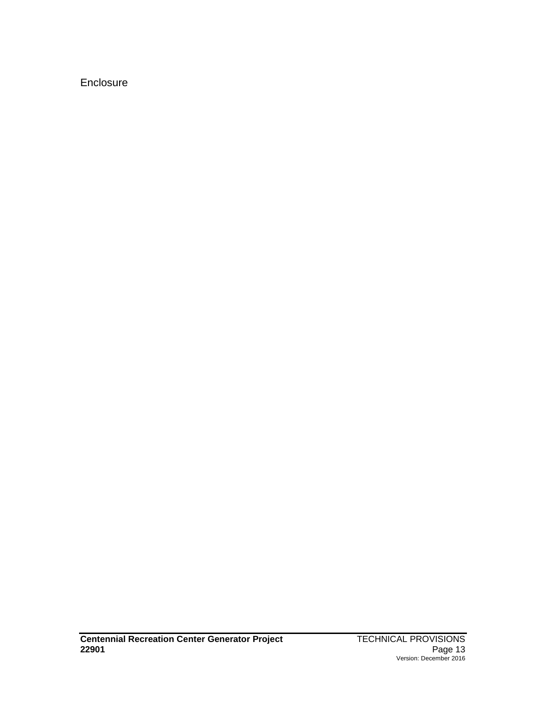## Enclosure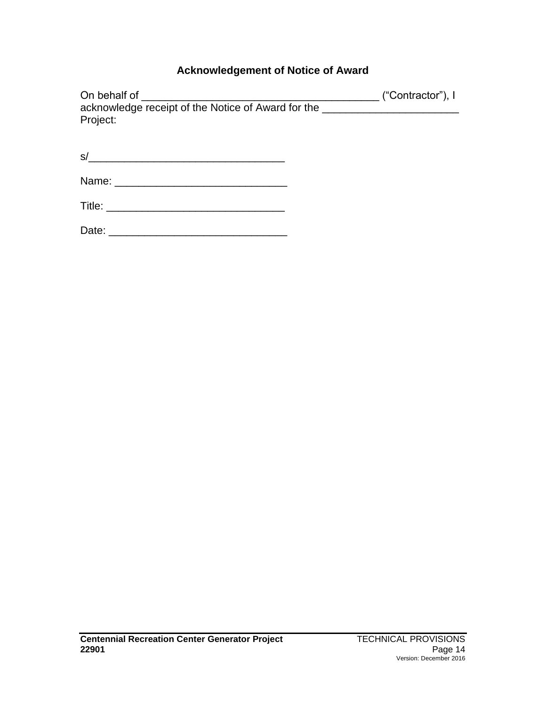# **Acknowledgement of Notice of Award**

| On behalf of                                                                                                                                                                                                                   | ("Contractor"), I |
|--------------------------------------------------------------------------------------------------------------------------------------------------------------------------------------------------------------------------------|-------------------|
| acknowledge receipt of the Notice of Award for the _____________________________                                                                                                                                               |                   |
| Project:                                                                                                                                                                                                                       |                   |
|                                                                                                                                                                                                                                |                   |
| s/<br><u> 1989 - Johann Barn, mars and de Brasilian (b. 1989)</u>                                                                                                                                                              |                   |
|                                                                                                                                                                                                                                |                   |
| Title: The contract of the contract of the contract of the contract of the contract of the contract of the contract of the contract of the contract of the contract of the contract of the contract of the contract of the con |                   |
| Date:                                                                                                                                                                                                                          |                   |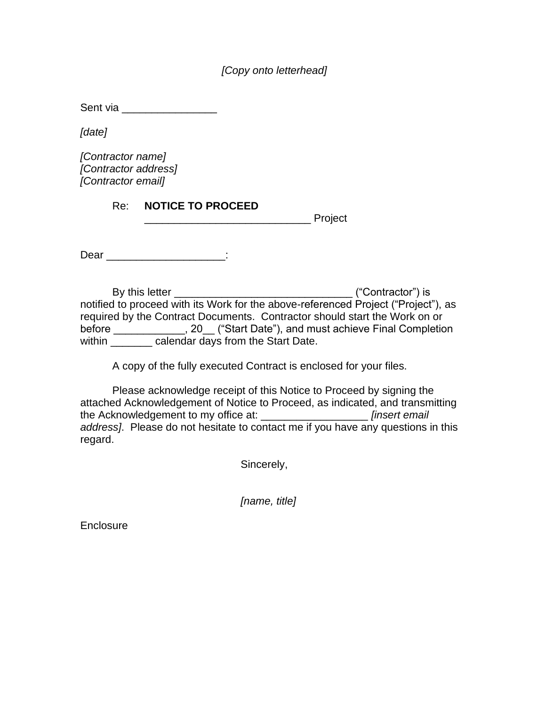*[Copy onto letterhead]*

Sent via **Exercise Sent via** 

*[date]*

*[Contractor name] [Contractor address] [Contractor email]*

Re: **NOTICE TO PROCEED**

\_\_\_\_\_\_\_\_\_\_\_\_\_\_\_\_\_\_\_\_\_\_\_\_\_\_\_\_ Project

Dear in the contract of the contract of the contract of the contract of the contract of the contract of the contract of the contract of the contract of the contract of the contract of the contract of the contract of the co

By this letter \_\_\_\_\_\_\_\_\_\_\_\_\_\_\_\_\_\_\_\_\_\_\_\_\_\_\_\_\_\_ ("Contractor") is notified to proceed with its Work for the above-referenced Project ("Project"), as required by the Contract Documents. Contractor should start the Work on or before \_\_\_\_\_\_\_\_\_\_\_\_, 20\_\_ ("Start Date"), and must achieve Final Completion within \_\_\_\_\_\_\_\_ calendar days from the Start Date.

A copy of the fully executed Contract is enclosed for your files.

Please acknowledge receipt of this Notice to Proceed by signing the attached Acknowledgement of Notice to Proceed, as indicated, and transmitting the Acknowledgement to my office at: \_\_\_\_\_\_\_\_\_\_\_\_\_\_\_\_\_\_ *[insert email address]*. Please do not hesitate to contact me if you have any questions in this regard.

Sincerely,

*[name, title]*

**Enclosure**